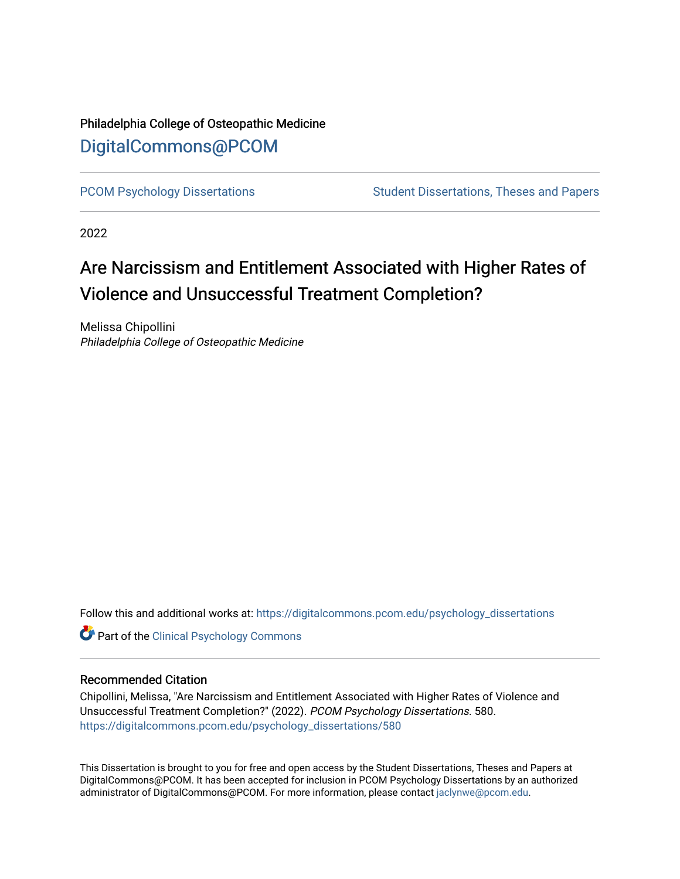## Philadelphia College of Osteopathic Medicine [DigitalCommons@PCOM](https://digitalcommons.pcom.edu/)

[PCOM Psychology Dissertations](https://digitalcommons.pcom.edu/psychology_dissertations) Student Dissertations, Theses and Papers

2022

## Are Narcissism and Entitlement Associated with Higher Rates of Violence and Unsuccessful Treatment Completion?

Melissa Chipollini Philadelphia College of Osteopathic Medicine

Follow this and additional works at: [https://digitalcommons.pcom.edu/psychology\\_dissertations](https://digitalcommons.pcom.edu/psychology_dissertations?utm_source=digitalcommons.pcom.edu%2Fpsychology_dissertations%2F580&utm_medium=PDF&utm_campaign=PDFCoverPages)

**Part of the Clinical Psychology Commons** 

#### Recommended Citation

Chipollini, Melissa, "Are Narcissism and Entitlement Associated with Higher Rates of Violence and Unsuccessful Treatment Completion?" (2022). PCOM Psychology Dissertations. 580. [https://digitalcommons.pcom.edu/psychology\\_dissertations/580](https://digitalcommons.pcom.edu/psychology_dissertations/580?utm_source=digitalcommons.pcom.edu%2Fpsychology_dissertations%2F580&utm_medium=PDF&utm_campaign=PDFCoverPages) 

This Dissertation is brought to you for free and open access by the Student Dissertations, Theses and Papers at DigitalCommons@PCOM. It has been accepted for inclusion in PCOM Psychology Dissertations by an authorized administrator of DigitalCommons@PCOM. For more information, please contact [jaclynwe@pcom.edu.](mailto:jaclynwe@pcom.edu)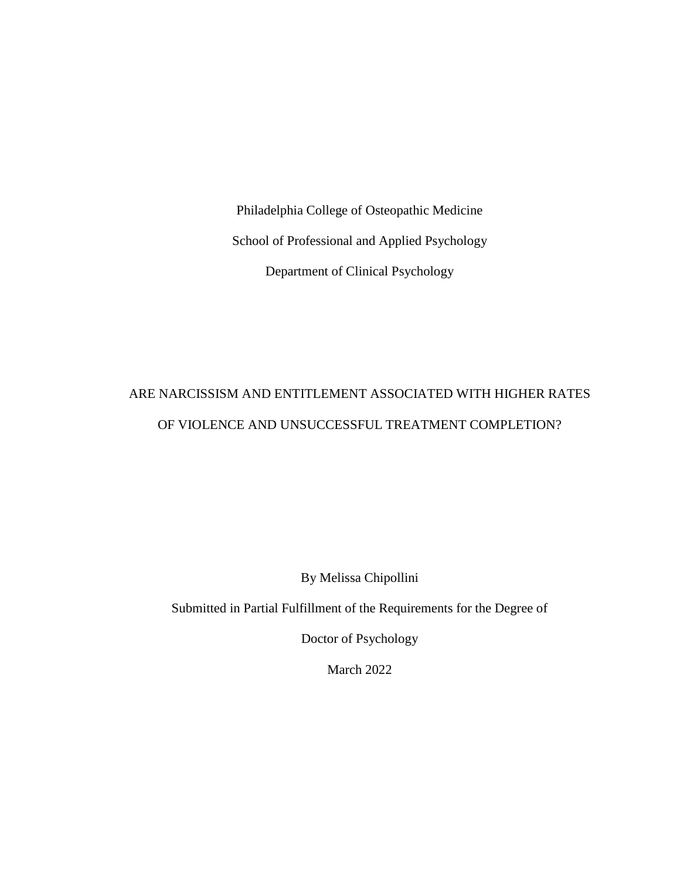Philadelphia College of Osteopathic Medicine School of Professional and Applied Psychology Department of Clinical Psychology

## ARE NARCISSISM AND ENTITLEMENT ASSOCIATED WITH HIGHER RATES OF VIOLENCE AND UNSUCCESSFUL TREATMENT COMPLETION?

By Melissa Chipollini

Submitted in Partial Fulfillment of the Requirements for the Degree of

Doctor of Psychology

March 2022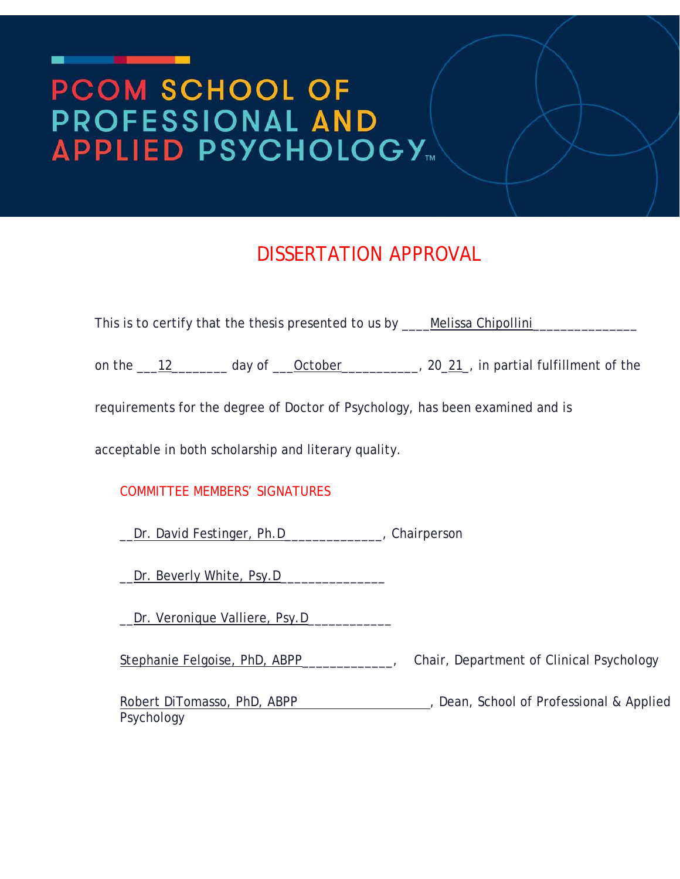# PCOM SCHOOL OF PROFESSIONAL AND

<u> De Bronse de Bronse de Bronse de Bronse de Bronse de Bronse de Bronse de Bronse de Bronse de Bronse de Bronse de Bronse de Bronse de Bronse de Bronse de Bronse de Bronse de Bronse de Bronse de Bronse de Bronse de Bronse </u>

# DISSERTATION APPROVAL

| This is to certify that the thesis presented to us by ____Melissa Chipollini________   |                                                                                    |
|----------------------------------------------------------------------------------------|------------------------------------------------------------------------------------|
| on the 12 _______ day of <u>Cotober</u> ________, 20_21, in partial fulfillment of the |                                                                                    |
| requirements for the degree of Doctor of Psychology, has been examined and is          |                                                                                    |
| acceptable in both scholarship and literary quality.                                   |                                                                                    |
| <b>COMMITTEE MEMBERS' SIGNATURES</b>                                                   |                                                                                    |
| Dr. David Festinger, Ph.D______________, Chairperson                                   |                                                                                    |
| Dr. Beverly White, Psy.D_________________                                              |                                                                                    |
|                                                                                        |                                                                                    |
| Stephanie Felgoise, PhD, ABPP_____________,                                            | Chair, Department of Clinical Psychology                                           |
| Psychology                                                                             | Robert DiTomasso, PhD, ABPP 2000 2000 2010, Dean, School of Professional & Applied |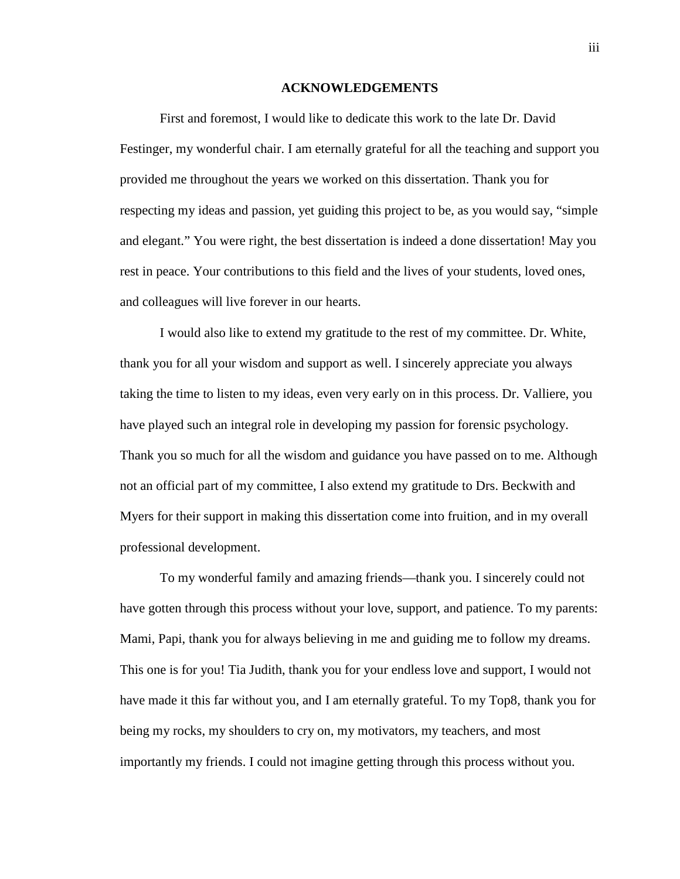#### **ACKNOWLEDGEMENTS**

<span id="page-3-0"></span>First and foremost, I would like to dedicate this work to the late Dr. David Festinger, my wonderful chair. I am eternally grateful for all the teaching and support you provided me throughout the years we worked on this dissertation. Thank you for respecting my ideas and passion, yet guiding this project to be, as you would say, "simple and elegant." You were right, the best dissertation is indeed a done dissertation! May you rest in peace. Your contributions to this field and the lives of your students, loved ones, and colleagues will live forever in our hearts.

I would also like to extend my gratitude to the rest of my committee. Dr. White, thank you for all your wisdom and support as well. I sincerely appreciate you always taking the time to listen to my ideas, even very early on in this process. Dr. Valliere, you have played such an integral role in developing my passion for forensic psychology. Thank you so much for all the wisdom and guidance you have passed on to me. Although not an official part of my committee, I also extend my gratitude to Drs. Beckwith and Myers for their support in making this dissertation come into fruition, and in my overall professional development.

To my wonderful family and amazing friends—thank you. I sincerely could not have gotten through this process without your love, support, and patience. To my parents: Mami, Papi, thank you for always believing in me and guiding me to follow my dreams. This one is for you! Tia Judith, thank you for your endless love and support, I would not have made it this far without you, and I am eternally grateful. To my Top8, thank you for being my rocks, my shoulders to cry on, my motivators, my teachers, and most importantly my friends. I could not imagine getting through this process without you.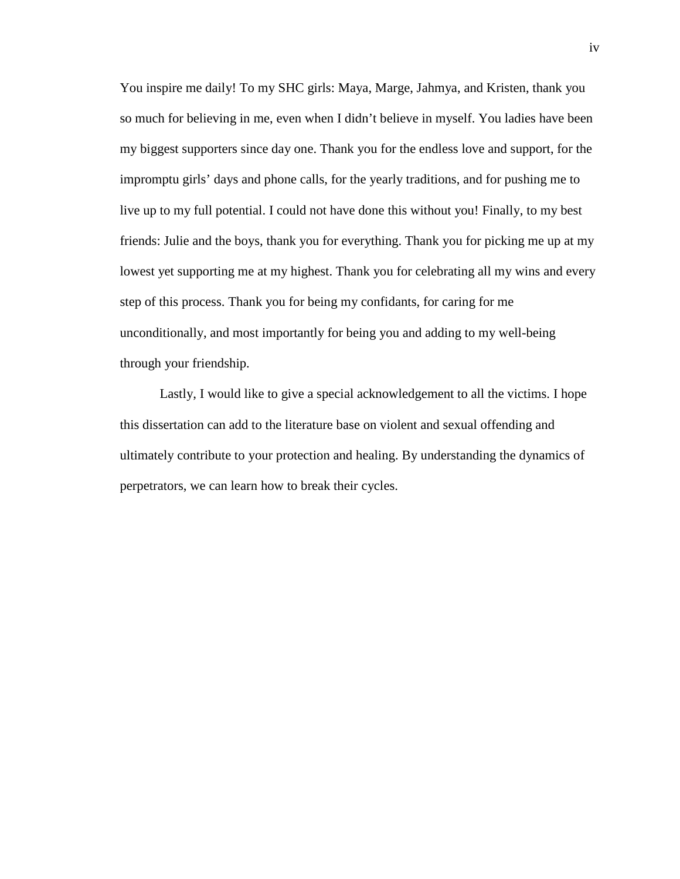You inspire me daily! To my SHC girls: Maya, Marge, Jahmya, and Kristen, thank you so much for believing in me, even when I didn't believe in myself. You ladies have been my biggest supporters since day one. Thank you for the endless love and support, for the impromptu girls' days and phone calls, for the yearly traditions, and for pushing me to live up to my full potential. I could not have done this without you! Finally, to my best friends: Julie and the boys, thank you for everything. Thank you for picking me up at my lowest yet supporting me at my highest. Thank you for celebrating all my wins and every step of this process. Thank you for being my confidants, for caring for me unconditionally, and most importantly for being you and adding to my well-being through your friendship.

Lastly, I would like to give a special acknowledgement to all the victims. I hope this dissertation can add to the literature base on violent and sexual offending and ultimately contribute to your protection and healing. By understanding the dynamics of perpetrators, we can learn how to break their cycles.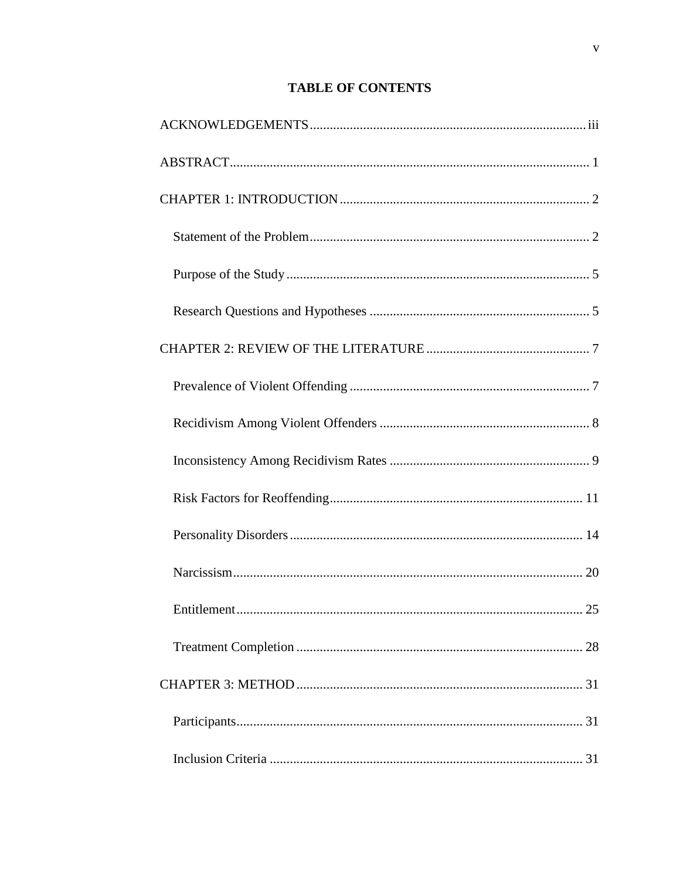### **TABLE OF CONTENTS**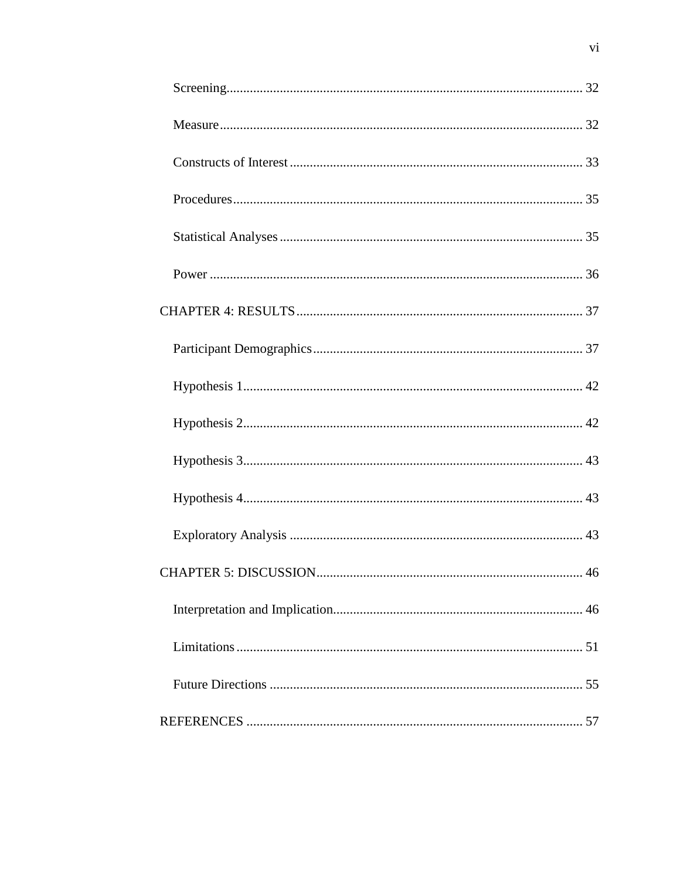| 46 |
|----|
|    |
|    |
|    |
|    |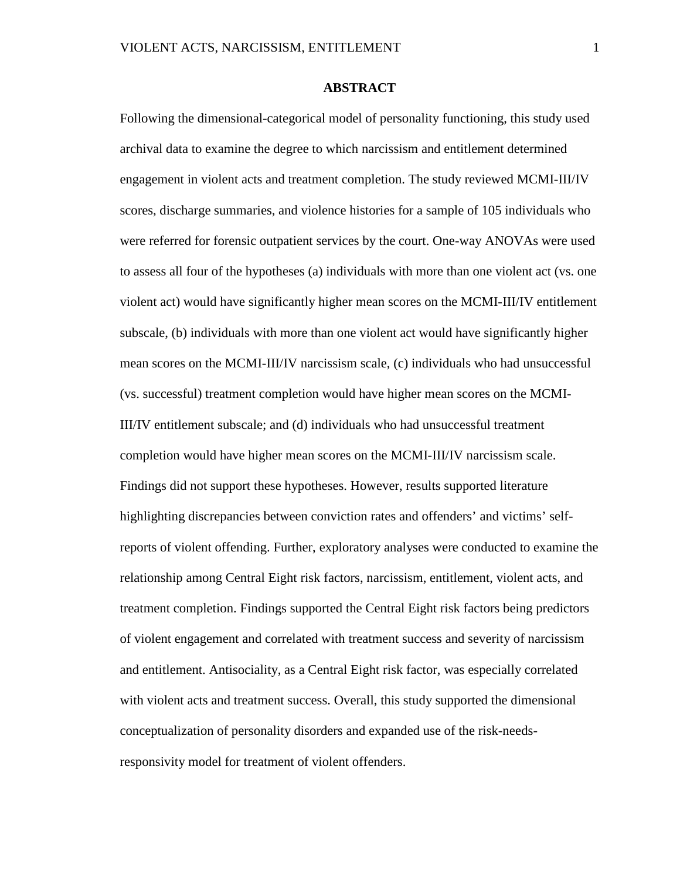#### **ABSTRACT**

<span id="page-7-0"></span>Following the dimensional-categorical model of personality functioning, this study used archival data to examine the degree to which narcissism and entitlement determined engagement in violent acts and treatment completion. The study reviewed MCMI-III/IV scores, discharge summaries, and violence histories for a sample of 105 individuals who were referred for forensic outpatient services by the court. One-way ANOVAs were used to assess all four of the hypotheses (a) individuals with more than one violent act (vs. one violent act) would have significantly higher mean scores on the MCMI-III/IV entitlement subscale, (b) individuals with more than one violent act would have significantly higher mean scores on the MCMI-III/IV narcissism scale, (c) individuals who had unsuccessful (vs. successful) treatment completion would have higher mean scores on the MCMI-III/IV entitlement subscale; and (d) individuals who had unsuccessful treatment completion would have higher mean scores on the MCMI-III/IV narcissism scale. Findings did not support these hypotheses. However, results supported literature highlighting discrepancies between conviction rates and offenders' and victims' selfreports of violent offending. Further, exploratory analyses were conducted to examine the relationship among Central Eight risk factors, narcissism, entitlement, violent acts, and treatment completion. Findings supported the Central Eight risk factors being predictors of violent engagement and correlated with treatment success and severity of narcissism and entitlement. Antisociality, as a Central Eight risk factor, was especially correlated with violent acts and treatment success. Overall, this study supported the dimensional conceptualization of personality disorders and expanded use of the risk-needsresponsivity model for treatment of violent offenders.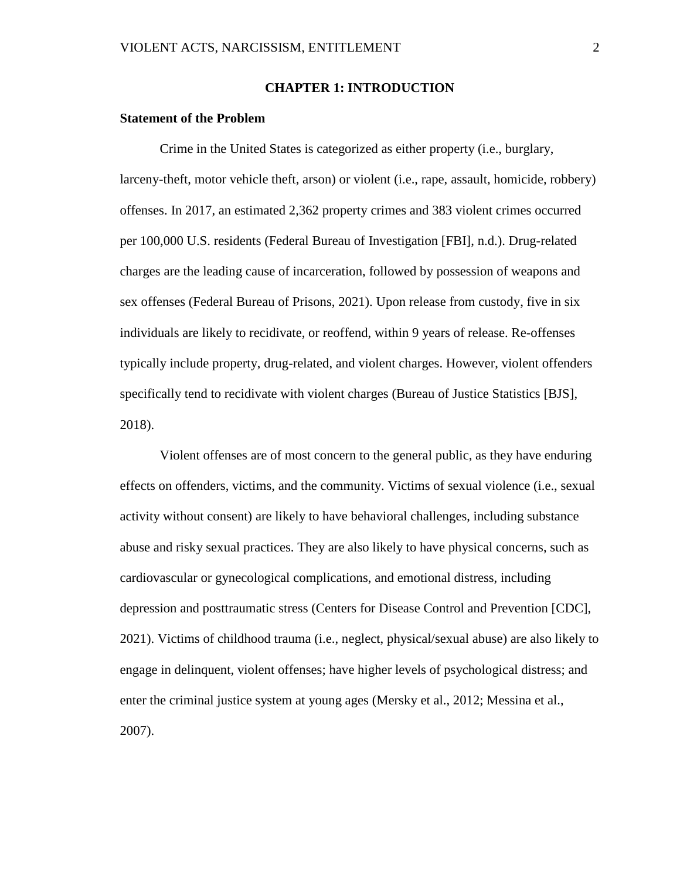#### **CHAPTER 1: INTRODUCTION**

#### <span id="page-8-1"></span><span id="page-8-0"></span>**Statement of the Problem**

Crime in the United States is categorized as either property (i.e., burglary, larceny-theft, motor vehicle theft, arson) or violent (i.e., rape, assault, homicide, robbery) offenses. In 2017, an estimated 2,362 property crimes and 383 violent crimes occurred per 100,000 U.S. residents (Federal Bureau of Investigation [FBI], n.d.). Drug-related charges are the leading cause of incarceration, followed by possession of weapons and sex offenses (Federal Bureau of Prisons, 2021). Upon release from custody, five in six individuals are likely to recidivate, or reoffend, within 9 years of release. Re-offenses typically include property, drug-related, and violent charges. However, violent offenders specifically tend to recidivate with violent charges (Bureau of Justice Statistics [BJS], 2018).

Violent offenses are of most concern to the general public, as they have enduring effects on offenders, victims, and the community. Victims of sexual violence (i.e., sexual activity without consent) are likely to have behavioral challenges, including substance abuse and risky sexual practices. They are also likely to have physical concerns, such as cardiovascular or gynecological complications, and emotional distress, including depression and posttraumatic stress (Centers for Disease Control and Prevention [CDC], 2021). Victims of childhood trauma (i.e., neglect, physical/sexual abuse) are also likely to engage in delinquent, violent offenses; have higher levels of psychological distress; and enter the criminal justice system at young ages (Mersky et al., 2012; Messina et al., 2007).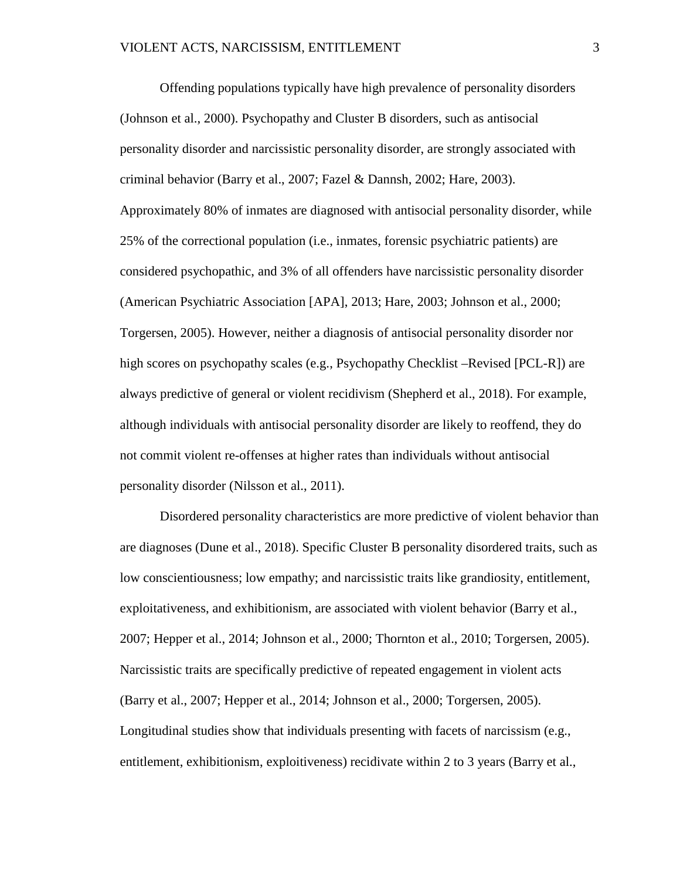Offending populations typically have high prevalence of personality disorders (Johnson et al., 2000). Psychopathy and Cluster B disorders, such as antisocial personality disorder and narcissistic personality disorder, are strongly associated with criminal behavior (Barry et al., 2007; Fazel & Dannsh, 2002; Hare, 2003). Approximately 80% of inmates are diagnosed with antisocial personality disorder, while 25% of the correctional population (i.e., inmates, forensic psychiatric patients) are considered psychopathic, and 3% of all offenders have narcissistic personality disorder (American Psychiatric Association [APA], 2013; Hare, 2003; Johnson et al., 2000; Torgersen, 2005). However, neither a diagnosis of antisocial personality disorder nor high scores on psychopathy scales (e.g., Psychopathy Checklist –Revised [PCL-R]) are always predictive of general or violent recidivism (Shepherd et al., 2018). For example, although individuals with antisocial personality disorder are likely to reoffend, they do not commit violent re-offenses at higher rates than individuals without antisocial personality disorder (Nilsson et al., 2011).

Disordered personality characteristics are more predictive of violent behavior than are diagnoses (Dune et al., 2018). Specific Cluster B personality disordered traits, such as low conscientiousness; low empathy; and narcissistic traits like grandiosity, entitlement, exploitativeness, and exhibitionism, are associated with violent behavior (Barry et al., 2007; Hepper et al., 2014; Johnson et al., 2000; Thornton et al., 2010; Torgersen, 2005). Narcissistic traits are specifically predictive of repeated engagement in violent acts (Barry et al., 2007; Hepper et al., 2014; Johnson et al., 2000; Torgersen, 2005). Longitudinal studies show that individuals presenting with facets of narcissism (e.g., entitlement, exhibitionism, exploitiveness) recidivate within 2 to 3 years (Barry et al.,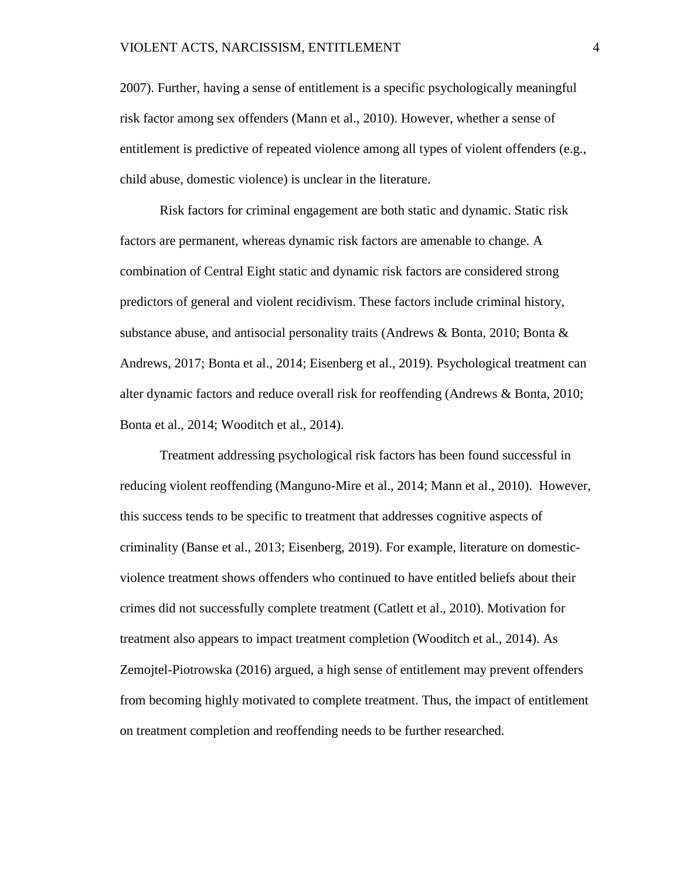2007). Further, having a sense of entitlement is a specific psychologically meaningful risk factor among sex offenders (Mann et al., 2010). However, whether a sense of entitlement is predictive of repeated violence among all types of violent offenders (e.g., child abuse, domestic violence) is unclear in the literature.

Risk factors for criminal engagement are both static and dynamic. Static risk factors are permanent, whereas dynamic risk factors are amenable to change. A combination of Central Eight static and dynamic risk factors are considered strong predictors of general and violent recidivism. These factors include criminal history, substance abuse, and antisocial personality traits (Andrews & Bonta, 2010; Bonta & Andrews, 2017; Bonta et al., 2014; Eisenberg et al., 2019). Psychological treatment can alter dynamic factors and reduce overall risk for reoffending (Andrews & Bonta, 2010; Bonta et al., 2014; Wooditch et al., 2014).

Treatment addressing psychological risk factors has been found successful in reducing violent reoffending (Manguno-Mire et al., 2014; Mann et al., 2010). However, this success tends to be specific to treatment that addresses cognitive aspects of criminality (Banse et al., 2013; Eisenberg, 2019). For example, literature on domesticviolence treatment shows offenders who continued to have entitled beliefs about their crimes did not successfully complete treatment (Catlett et al., 2010). Motivation for treatment also appears to impact treatment completion (Wooditch et al., 2014). As Zemojtel-Piotrowska (2016) argued, a high sense of entitlement may prevent offenders from becoming highly motivated to complete treatment. Thus, the impact of entitlement on treatment completion and reoffending needs to be further researched.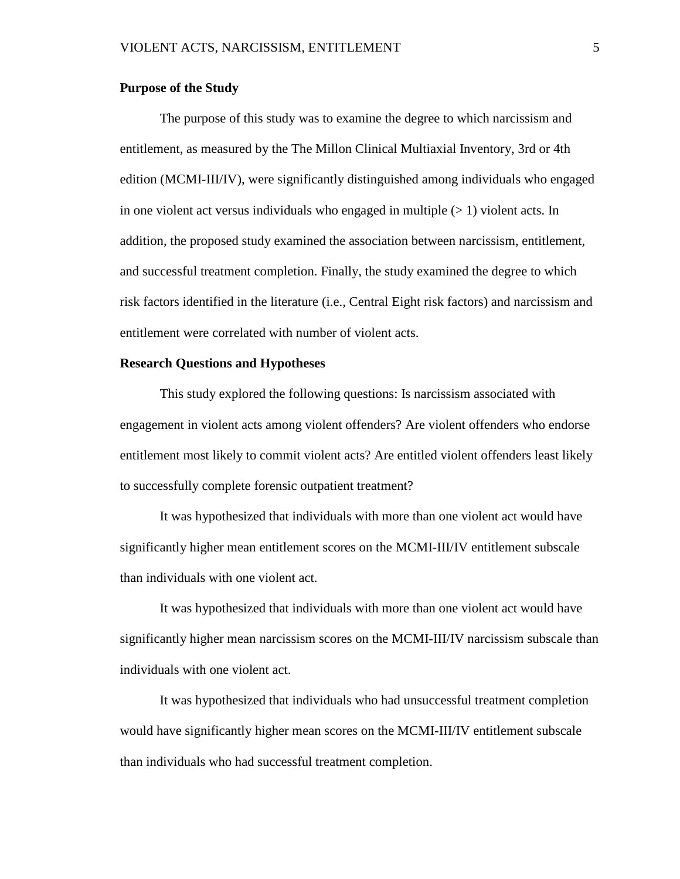#### <span id="page-11-0"></span>**Purpose of the Study**

The purpose of this study was to examine the degree to which narcissism and entitlement, as measured by the The Millon Clinical Multiaxial Inventory, 3rd or 4th edition (MCMI-III/IV), were significantly distinguished among individuals who engaged in one violent act versus individuals who engaged in multiple  $(> 1)$  violent acts. In addition, the proposed study examined the association between narcissism, entitlement, and successful treatment completion. Finally, the study examined the degree to which risk factors identified in the literature (i.e., Central Eight risk factors) and narcissism and entitlement were correlated with number of violent acts.

#### <span id="page-11-1"></span>**Research Questions and Hypotheses**

This study explored the following questions: Is narcissism associated with engagement in violent acts among violent offenders? Are violent offenders who endorse entitlement most likely to commit violent acts? Are entitled violent offenders least likely to successfully complete forensic outpatient treatment?

It was hypothesized that individuals with more than one violent act would have significantly higher mean entitlement scores on the MCMI-III/IV entitlement subscale than individuals with one violent act.

It was hypothesized that individuals with more than one violent act would have significantly higher mean narcissism scores on the MCMI-III/IV narcissism subscale than individuals with one violent act.

It was hypothesized that individuals who had unsuccessful treatment completion would have significantly higher mean scores on the MCMI-III/IV entitlement subscale than individuals who had successful treatment completion.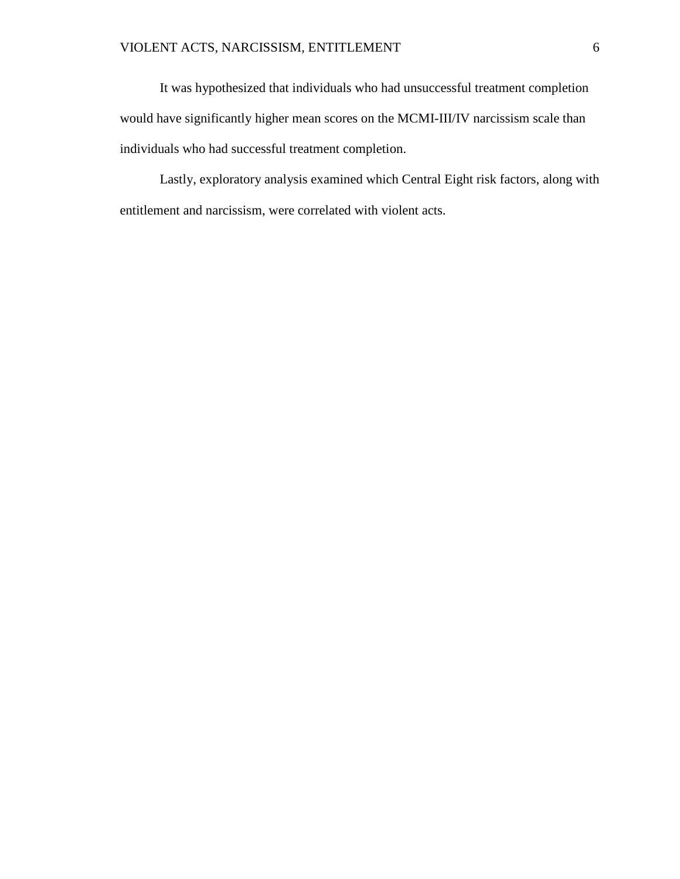It was hypothesized that individuals who had unsuccessful treatment completion would have significantly higher mean scores on the MCMI-III/IV narcissism scale than individuals who had successful treatment completion.

Lastly, exploratory analysis examined which Central Eight risk factors, along with entitlement and narcissism, were correlated with violent acts.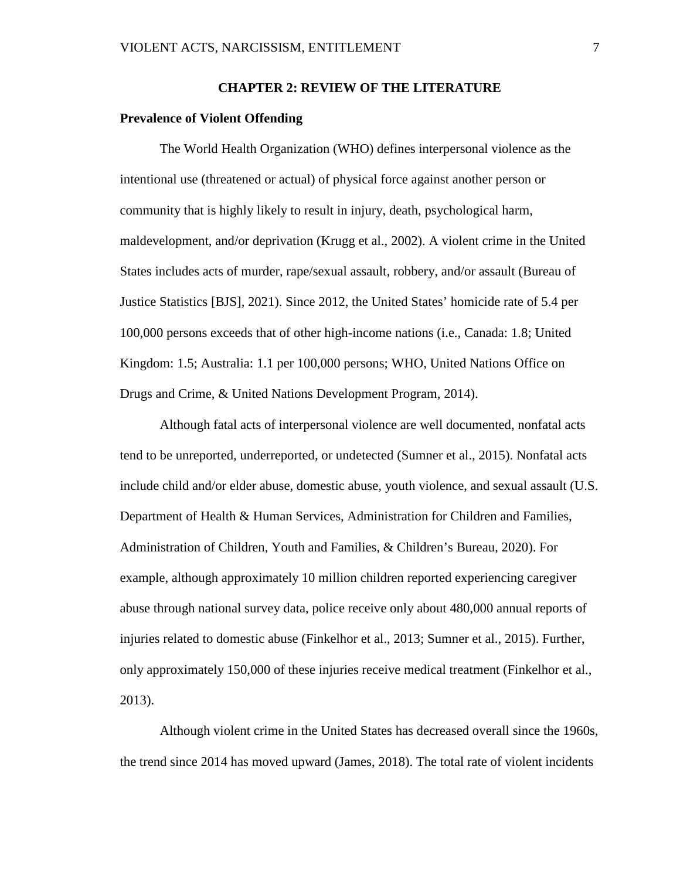#### **CHAPTER 2: REVIEW OF THE LITERATURE**

#### <span id="page-13-1"></span><span id="page-13-0"></span>**Prevalence of Violent Offending**

The World Health Organization (WHO) defines interpersonal violence as the intentional use (threatened or actual) of physical force against another person or community that is highly likely to result in injury, death, psychological harm, maldevelopment, and/or deprivation (Krugg et al., 2002). A violent crime in the United States includes acts of murder, rape/sexual assault, robbery, and/or assault (Bureau of Justice Statistics [BJS], 2021). Since 2012, the United States' homicide rate of 5.4 per 100,000 persons exceeds that of other high-income nations (i.e., Canada: 1.8; United Kingdom: 1.5; Australia: 1.1 per 100,000 persons; WHO, United Nations Office on Drugs and Crime, & United Nations Development Program, 2014).

Although fatal acts of interpersonal violence are well documented, nonfatal acts tend to be unreported, underreported, or undetected (Sumner et al., 2015). Nonfatal acts include child and/or elder abuse, domestic abuse, youth violence, and sexual assault (U.S. Department of Health & Human Services, Administration for Children and Families, Administration of Children, Youth and Families, & Children's Bureau, 2020). For example, although approximately 10 million children reported experiencing caregiver abuse through national survey data, police receive only about 480,000 annual reports of injuries related to domestic abuse (Finkelhor et al., 2013; Sumner et al., 2015). Further, only approximately 150,000 of these injuries receive medical treatment (Finkelhor et al., 2013).

Although violent crime in the United States has decreased overall since the 1960s, the trend since 2014 has moved upward (James, 2018). The total rate of violent incidents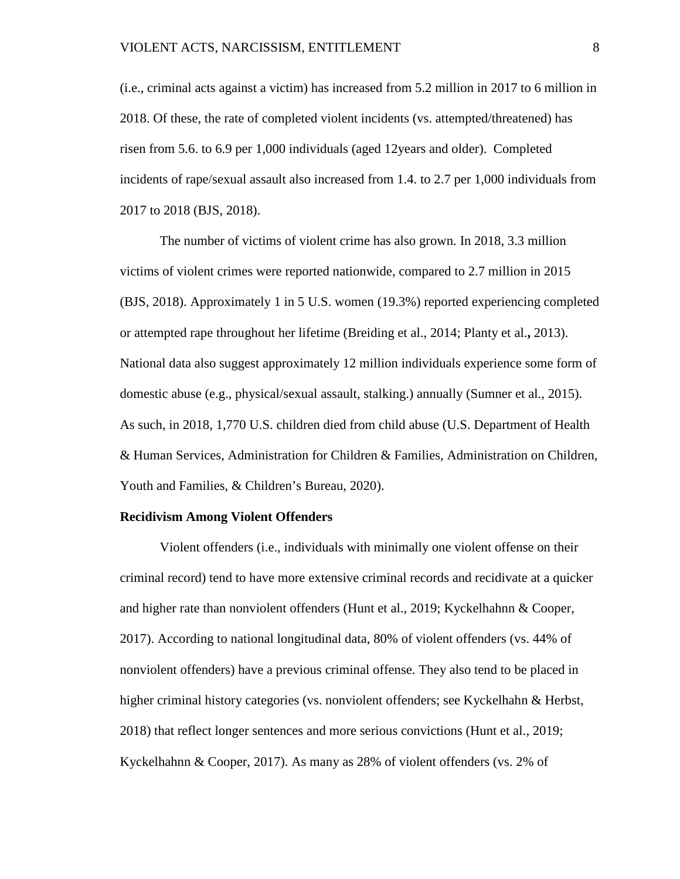(i.e., criminal acts against a victim) has increased from 5.2 million in 2017 to 6 million in 2018. Of these, the rate of completed violent incidents (vs. attempted/threatened) has risen from 5.6. to 6.9 per 1,000 individuals (aged 12years and older). Completed incidents of rape/sexual assault also increased from 1.4. to 2.7 per 1,000 individuals from 2017 to 2018 (BJS, 2018).

The number of victims of violent crime has also grown. In 2018, 3.3 million victims of violent crimes were reported nationwide, compared to 2.7 million in 2015 (BJS, 2018). Approximately 1 in 5 U.S. women (19.3%) reported experiencing completed or attempted rape throughout her lifetime (Breiding et al., 2014; Planty et al.**,** 2013). National data also suggest approximately 12 million individuals experience some form of domestic abuse (e.g., physical/sexual assault, stalking.) annually (Sumner et al., 2015). As such, in 2018, 1,770 U.S. children died from child abuse (U.S. Department of Health & Human Services, Administration for Children & Families, Administration on Children, Youth and Families, & Children's Bureau, 2020).

#### <span id="page-14-0"></span>**Recidivism Among Violent Offenders**

Violent offenders (i.e., individuals with minimally one violent offense on their criminal record) tend to have more extensive criminal records and recidivate at a quicker and higher rate than nonviolent offenders (Hunt et al., 2019; Kyckelhahnn & Cooper, 2017). According to national longitudinal data, 80% of violent offenders (vs. 44% of nonviolent offenders) have a previous criminal offense. They also tend to be placed in higher criminal history categories (vs. nonviolent offenders; see Kyckelhahn & Herbst, 2018) that reflect longer sentences and more serious convictions (Hunt et al., 2019; Kyckelhahnn & Cooper, 2017). As many as 28% of violent offenders (vs. 2% of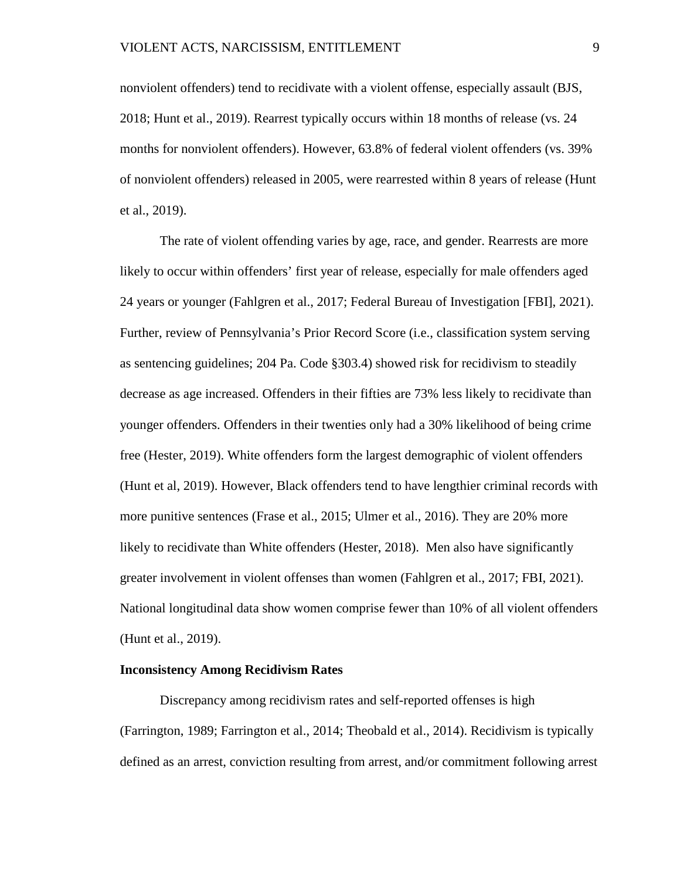nonviolent offenders) tend to recidivate with a violent offense, especially assault (BJS, 2018; Hunt et al., 2019). Rearrest typically occurs within 18 months of release (vs. 24 months for nonviolent offenders). However, 63.8% of federal violent offenders (vs. 39% of nonviolent offenders) released in 2005, were rearrested within 8 years of release (Hunt et al., 2019).

The rate of violent offending varies by age, race, and gender. Rearrests are more likely to occur within offenders' first year of release, especially for male offenders aged 24 years or younger (Fahlgren et al., 2017; Federal Bureau of Investigation [FBI], 2021). Further, review of Pennsylvania's Prior Record Score (i.e., classification system serving as sentencing guidelines; 204 Pa. Code §303.4) showed risk for recidivism to steadily decrease as age increased. Offenders in their fifties are 73% less likely to recidivate than younger offenders. Offenders in their twenties only had a 30% likelihood of being crime free (Hester, 2019). White offenders form the largest demographic of violent offenders (Hunt et al, 2019). However, Black offenders tend to have lengthier criminal records with more punitive sentences (Frase et al., 2015; Ulmer et al., 2016). They are 20% more likely to recidivate than White offenders (Hester, 2018). Men also have significantly greater involvement in violent offenses than women (Fahlgren et al., 2017; FBI, 2021). National longitudinal data show women comprise fewer than 10% of all violent offenders (Hunt et al., 2019).

#### <span id="page-15-0"></span>**Inconsistency Among Recidivism Rates**

Discrepancy among recidivism rates and self-reported offenses is high (Farrington, 1989; Farrington et al., 2014; Theobald et al., 2014). Recidivism is typically defined as an arrest, conviction resulting from arrest, and/or commitment following arrest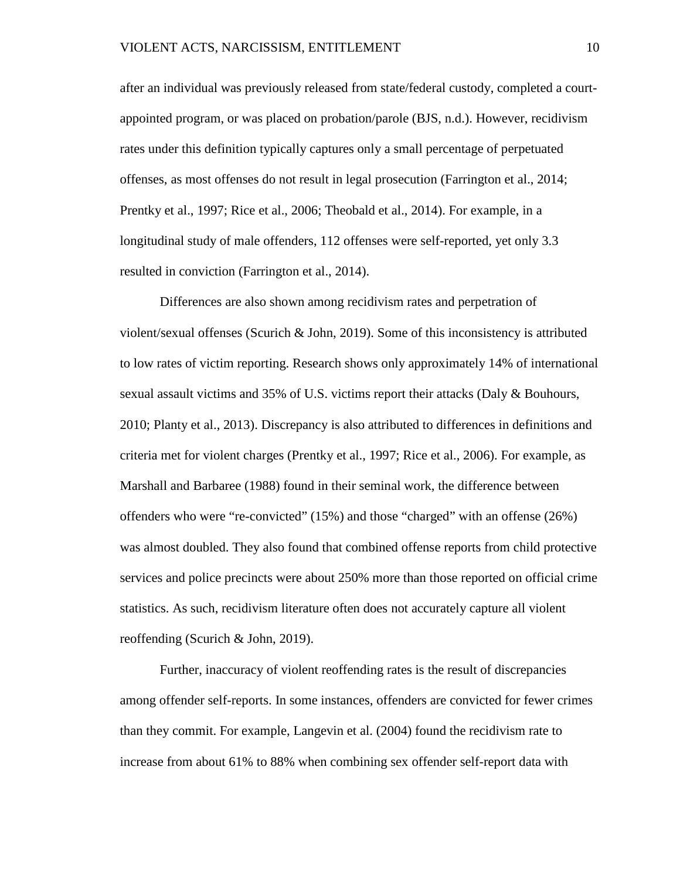after an individual was previously released from state/federal custody, completed a courtappointed program, or was placed on probation/parole (BJS, n.d.). However, recidivism rates under this definition typically captures only a small percentage of perpetuated offenses, as most offenses do not result in legal prosecution (Farrington et al., 2014; Prentky et al., 1997; Rice et al., 2006; Theobald et al., 2014). For example, in a longitudinal study of male offenders, 112 offenses were self-reported, yet only 3.3 resulted in conviction (Farrington et al., 2014).

Differences are also shown among recidivism rates and perpetration of violent/sexual offenses (Scurich & John, 2019). Some of this inconsistency is attributed to low rates of victim reporting. Research shows only approximately 14% of international sexual assault victims and 35% of U.S. victims report their attacks (Daly & Bouhours, 2010; Planty et al., 2013). Discrepancy is also attributed to differences in definitions and criteria met for violent charges (Prentky et al., 1997; Rice et al., 2006). For example, as Marshall and Barbaree (1988) found in their seminal work, the difference between offenders who were "re-convicted" (15%) and those "charged" with an offense (26%) was almost doubled. They also found that combined offense reports from child protective services and police precincts were about 250% more than those reported on official crime statistics. As such, recidivism literature often does not accurately capture all violent reoffending (Scurich & John, 2019).

Further, inaccuracy of violent reoffending rates is the result of discrepancies among offender self-reports. In some instances, offenders are convicted for fewer crimes than they commit. For example, Langevin et al. (2004) found the recidivism rate to increase from about 61% to 88% when combining sex offender self-report data with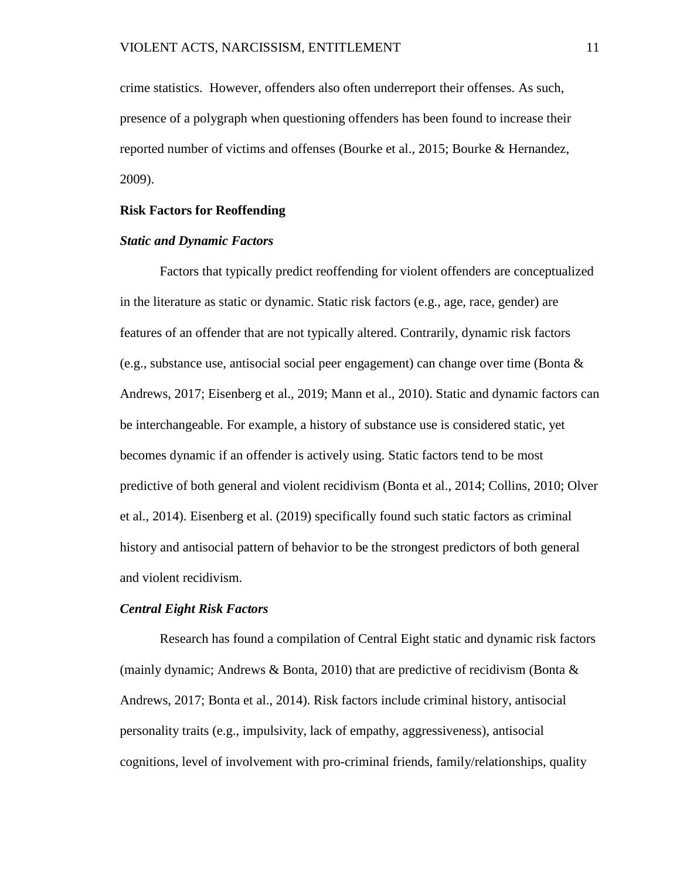crime statistics. However, offenders also often underreport their offenses. As such, presence of a polygraph when questioning offenders has been found to increase their reported number of victims and offenses (Bourke et al., 2015; Bourke & Hernandez, 2009).

#### <span id="page-17-0"></span>**Risk Factors for Reoffending**

#### *Static and Dynamic Factors*

Factors that typically predict reoffending for violent offenders are conceptualized in the literature as static or dynamic. Static risk factors (e.g., age, race, gender) are features of an offender that are not typically altered. Contrarily, dynamic risk factors (e.g., substance use, antisocial social peer engagement) can change over time (Bonta  $\&$ Andrews, 2017; Eisenberg et al., 2019; Mann et al., 2010). Static and dynamic factors can be interchangeable. For example, a history of substance use is considered static, yet becomes dynamic if an offender is actively using. Static factors tend to be most predictive of both general and violent recidivism (Bonta et al., 2014; Collins, 2010; Olver et al., 2014). Eisenberg et al. (2019) specifically found such static factors as criminal history and antisocial pattern of behavior to be the strongest predictors of both general and violent recidivism.

#### *Central Eight Risk Factors*

Research has found a compilation of Central Eight static and dynamic risk factors (mainly dynamic; Andrews & Bonta, 2010) that are predictive of recidivism (Bonta  $\&$ Andrews, 2017; Bonta et al., 2014). Risk factors include criminal history, antisocial personality traits (e.g., impulsivity, lack of empathy, aggressiveness), antisocial cognitions, level of involvement with pro-criminal friends, family/relationships, quality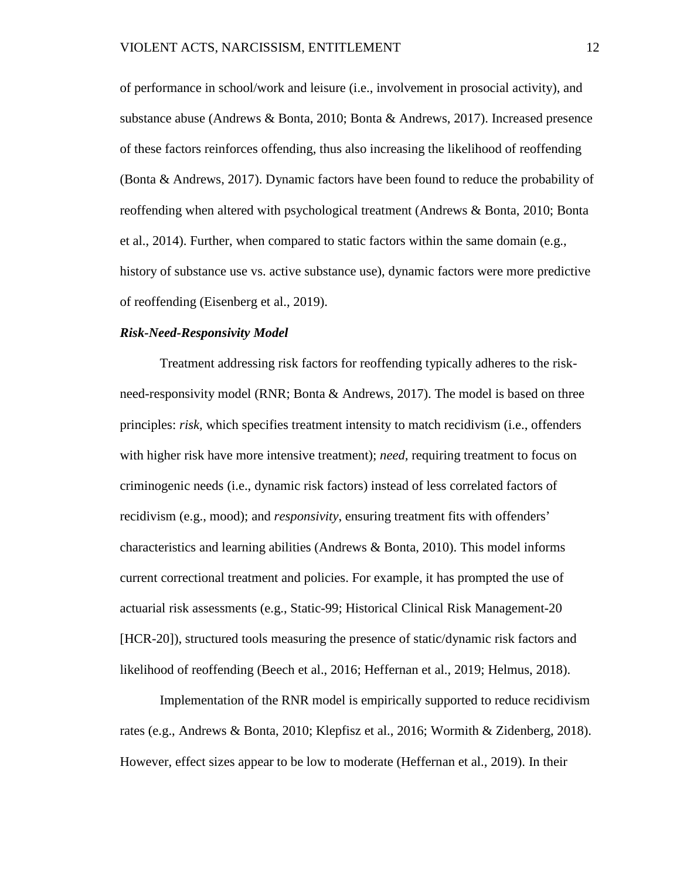of performance in school/work and leisure (i.e., involvement in prosocial activity), and substance abuse (Andrews & Bonta, 2010; Bonta & Andrews, 2017). Increased presence of these factors reinforces offending, thus also increasing the likelihood of reoffending (Bonta & Andrews, 2017). Dynamic factors have been found to reduce the probability of reoffending when altered with psychological treatment (Andrews & Bonta, 2010; Bonta et al., 2014). Further, when compared to static factors within the same domain (e.g., history of substance use vs. active substance use), dynamic factors were more predictive of reoffending (Eisenberg et al., 2019).

#### *Risk-Need-Responsivity Model*

Treatment addressing risk factors for reoffending typically adheres to the riskneed-responsivity model (RNR; Bonta & Andrews, 2017). The model is based on three principles: *risk,* which specifies treatment intensity to match recidivism (i.e., offenders with higher risk have more intensive treatment); *need,* requiring treatment to focus on criminogenic needs (i.e., dynamic risk factors) instead of less correlated factors of recidivism (e.g., mood); and *responsivity*, ensuring treatment fits with offenders' characteristics and learning abilities (Andrews  $\&$  Bonta, 2010). This model informs current correctional treatment and policies. For example, it has prompted the use of actuarial risk assessments (e.g., Static-99; Historical Clinical Risk Management-20 [HCR-20]), structured tools measuring the presence of static/dynamic risk factors and likelihood of reoffending (Beech et al., 2016; Heffernan et al., 2019; Helmus, 2018).

Implementation of the RNR model is empirically supported to reduce recidivism rates (e.g., Andrews & Bonta, 2010; Klepfisz et al., 2016; Wormith & Zidenberg, 2018). However, effect sizes appear to be low to moderate (Heffernan et al., 2019). In their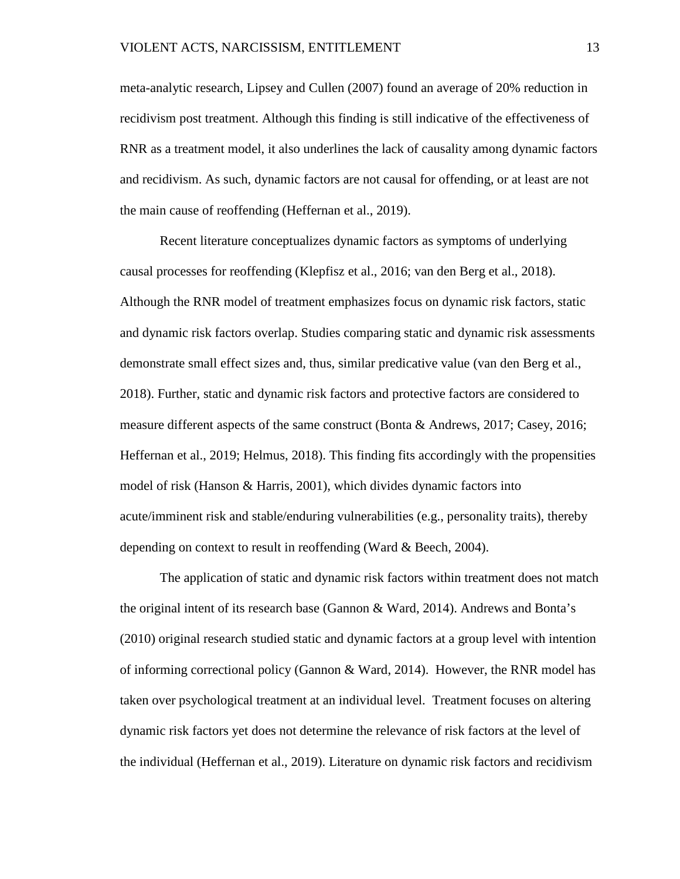meta-analytic research, Lipsey and Cullen (2007) found an average of 20% reduction in recidivism post treatment. Although this finding is still indicative of the effectiveness of RNR as a treatment model, it also underlines the lack of causality among dynamic factors and recidivism. As such, dynamic factors are not causal for offending, or at least are not the main cause of reoffending (Heffernan et al., 2019).

Recent literature conceptualizes dynamic factors as symptoms of underlying causal processes for reoffending (Klepfisz et al., 2016; van den Berg et al., 2018). Although the RNR model of treatment emphasizes focus on dynamic risk factors, static and dynamic risk factors overlap. Studies comparing static and dynamic risk assessments demonstrate small effect sizes and, thus, similar predicative value (van den Berg et al., 2018). Further, static and dynamic risk factors and protective factors are considered to measure different aspects of the same construct (Bonta & Andrews, 2017; Casey, 2016; Heffernan et al., 2019; Helmus, 2018). This finding fits accordingly with the propensities model of risk (Hanson & Harris, 2001), which divides dynamic factors into acute/imminent risk and stable/enduring vulnerabilities (e.g., personality traits), thereby depending on context to result in reoffending (Ward & Beech, 2004).

The application of static and dynamic risk factors within treatment does not match the original intent of its research base (Gannon & Ward, 2014). Andrews and Bonta's (2010) original research studied static and dynamic factors at a group level with intention of informing correctional policy (Gannon & Ward, 2014). However, the RNR model has taken over psychological treatment at an individual level. Treatment focuses on altering dynamic risk factors yet does not determine the relevance of risk factors at the level of the individual (Heffernan et al., 2019). Literature on dynamic risk factors and recidivism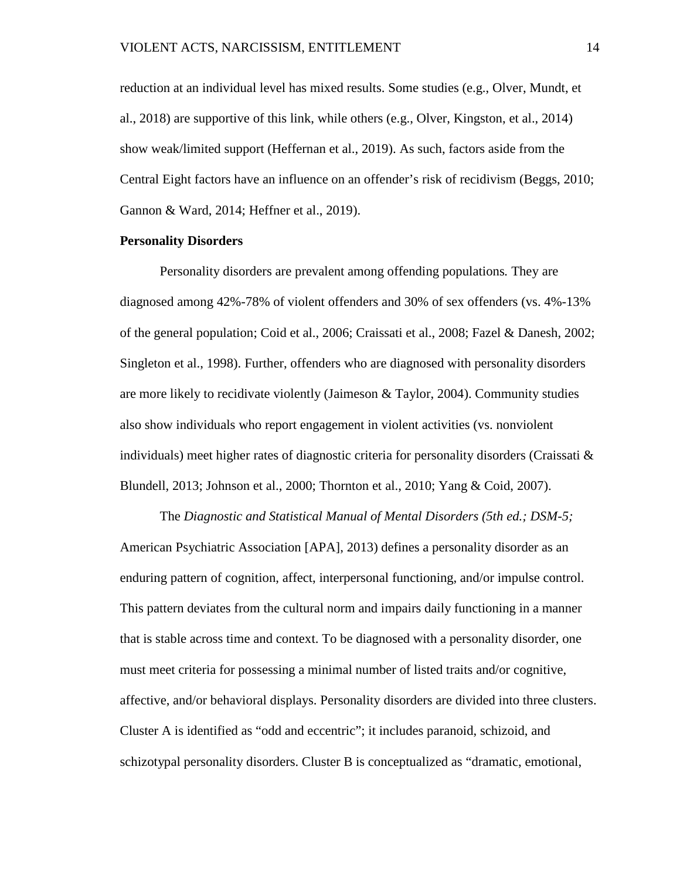reduction at an individual level has mixed results. Some studies (e.g., Olver, Mundt, et al., 2018) are supportive of this link, while others (e.g., Olver, Kingston, et al., 2014) show weak/limited support (Heffernan et al., 2019). As such, factors aside from the Central Eight factors have an influence on an offender's risk of recidivism (Beggs, 2010; Gannon & Ward, 2014; Heffner et al., 2019).

#### <span id="page-20-0"></span>**Personality Disorders**

Personality disorders are prevalent among offending populations*.* They are diagnosed among 42%-78% of violent offenders and 30% of sex offenders (vs. 4%-13% of the general population; Coid et al., 2006; Craissati et al., 2008; Fazel & Danesh, 2002; Singleton et al., 1998). Further, offenders who are diagnosed with personality disorders are more likely to recidivate violently (Jaimeson & Taylor, 2004). Community studies also show individuals who report engagement in violent activities (vs. nonviolent individuals) meet higher rates of diagnostic criteria for personality disorders (Craissati  $\&$ Blundell, 2013; Johnson et al., 2000; Thornton et al., 2010; Yang & Coid, 2007).

The *Diagnostic and Statistical Manual of Mental Disorders (5th ed.; DSM-5;* American Psychiatric Association [APA], 2013) defines a personality disorder as an enduring pattern of cognition, affect, interpersonal functioning, and/or impulse control. This pattern deviates from the cultural norm and impairs daily functioning in a manner that is stable across time and context. To be diagnosed with a personality disorder, one must meet criteria for possessing a minimal number of listed traits and/or cognitive, affective, and/or behavioral displays. Personality disorders are divided into three clusters. Cluster A is identified as "odd and eccentric"; it includes paranoid, schizoid, and schizotypal personality disorders. Cluster B is conceptualized as "dramatic, emotional,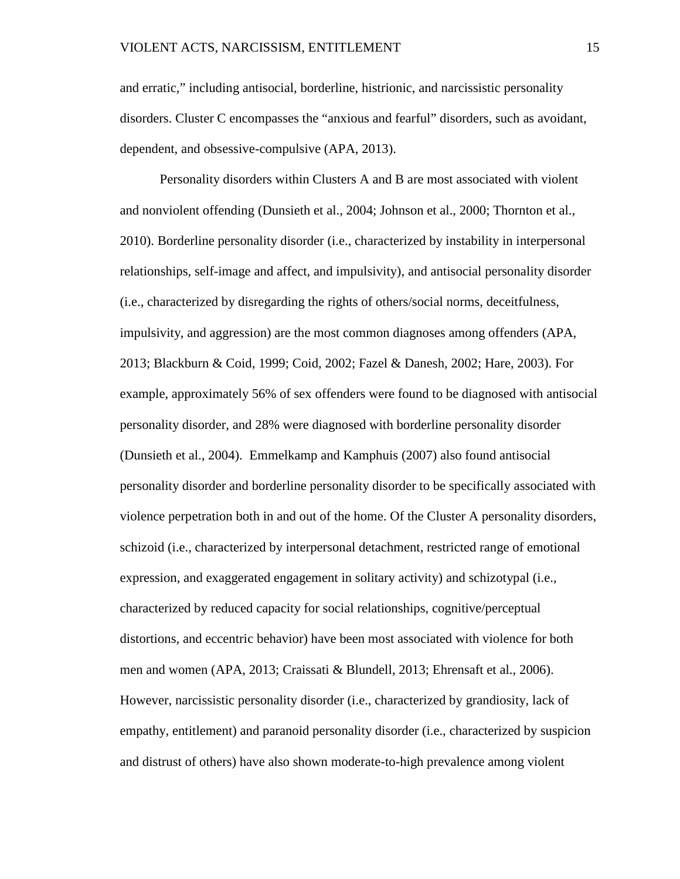and erratic," including antisocial, borderline, histrionic, and narcissistic personality disorders. Cluster C encompasses the "anxious and fearful" disorders, such as avoidant, dependent, and obsessive-compulsive (APA, 2013).

Personality disorders within Clusters A and B are most associated with violent and nonviolent offending (Dunsieth et al., 2004; Johnson et al., 2000; Thornton et al., 2010). Borderline personality disorder (i.e., characterized by instability in interpersonal relationships, self-image and affect, and impulsivity), and antisocial personality disorder (i.e., characterized by disregarding the rights of others/social norms, deceitfulness, impulsivity, and aggression) are the most common diagnoses among offenders (APA, 2013; Blackburn & Coid, 1999; Coid, 2002; Fazel & Danesh, 2002; Hare, 2003). For example, approximately 56% of sex offenders were found to be diagnosed with antisocial personality disorder, and 28% were diagnosed with borderline personality disorder (Dunsieth et al., 2004). Emmelkamp and Kamphuis (2007) also found antisocial personality disorder and borderline personality disorder to be specifically associated with violence perpetration both in and out of the home. Of the Cluster A personality disorders, schizoid (i.e., characterized by interpersonal detachment, restricted range of emotional expression, and exaggerated engagement in solitary activity) and schizotypal (i.e., characterized by reduced capacity for social relationships, cognitive/perceptual distortions, and eccentric behavior) have been most associated with violence for both men and women (APA, 2013; Craissati & Blundell, 2013; Ehrensaft et al., 2006). However, narcissistic personality disorder (i.e., characterized by grandiosity, lack of empathy, entitlement) and paranoid personality disorder (i.e., characterized by suspicion and distrust of others) have also shown moderate-to-high prevalence among violent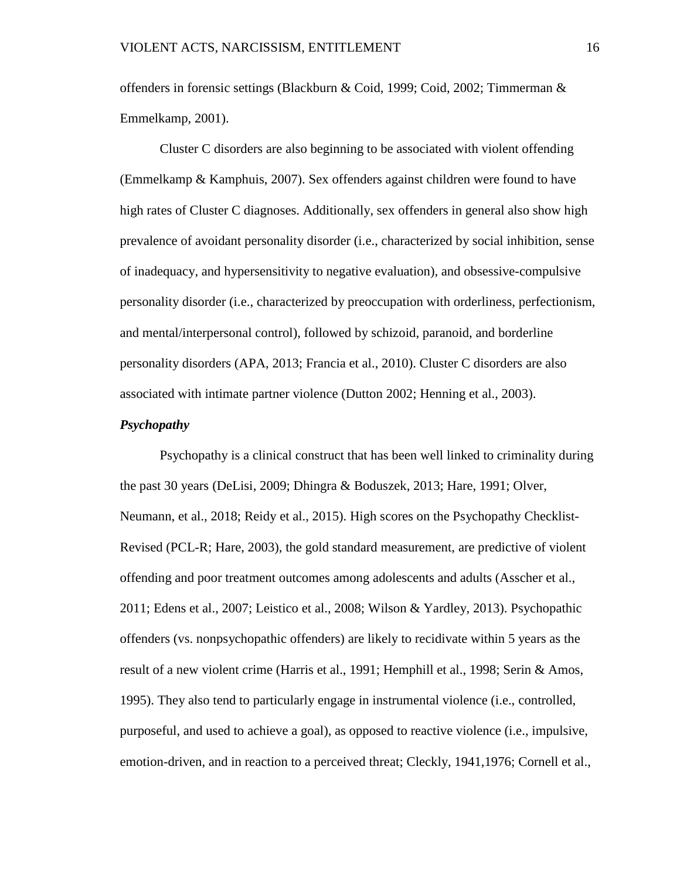offenders in forensic settings (Blackburn & Coid, 1999; Coid, 2002; Timmerman & Emmelkamp, 2001).

Cluster C disorders are also beginning to be associated with violent offending (Emmelkamp & Kamphuis, 2007). Sex offenders against children were found to have high rates of Cluster C diagnoses. Additionally, sex offenders in general also show high prevalence of avoidant personality disorder (i.e., characterized by social inhibition, sense of inadequacy, and hypersensitivity to negative evaluation), and obsessive-compulsive personality disorder (i.e., characterized by preoccupation with orderliness, perfectionism, and mental/interpersonal control), followed by schizoid, paranoid, and borderline personality disorders (APA, 2013; Francia et al., 2010). Cluster C disorders are also associated with intimate partner violence (Dutton 2002; Henning et al., 2003).

#### *Psychopathy*

Psychopathy is a clinical construct that has been well linked to criminality during the past 30 years (DeLisi, 2009; Dhingra & Boduszek, 2013; Hare, 1991; Olver, Neumann, et al., 2018; Reidy et al., 2015). High scores on the Psychopathy Checklist-Revised (PCL-R; Hare, 2003), the gold standard measurement, are predictive of violent offending and poor treatment outcomes among adolescents and adults (Asscher et al., 2011; Edens et al., 2007; Leistico et al., 2008; Wilson & Yardley, 2013). Psychopathic offenders (vs. nonpsychopathic offenders) are likely to recidivate within 5 years as the result of a new violent crime (Harris et al., 1991; Hemphill et al., 1998; Serin & Amos, 1995). They also tend to particularly engage in instrumental violence (i.e., controlled, purposeful, and used to achieve a goal), as opposed to reactive violence (i.e., impulsive, emotion-driven, and in reaction to a perceived threat; Cleckly, 1941,1976; Cornell et al.,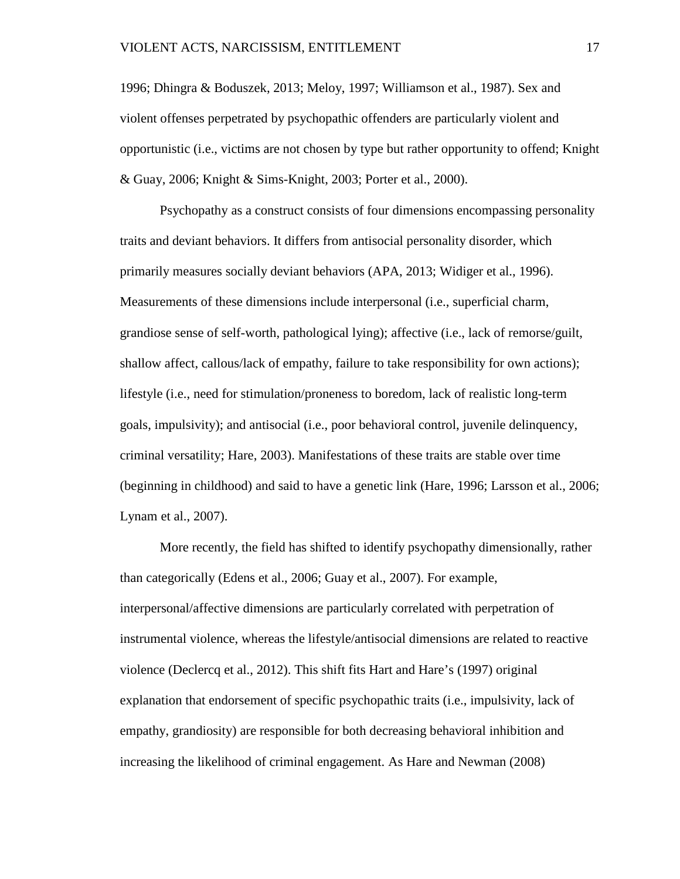1996; Dhingra & Boduszek, 2013; Meloy, 1997; Williamson et al., 1987). Sex and violent offenses perpetrated by psychopathic offenders are particularly violent and opportunistic (i.e., victims are not chosen by type but rather opportunity to offend; Knight & Guay, 2006; Knight & Sims-Knight, 2003; Porter et al., 2000).

Psychopathy as a construct consists of four dimensions encompassing personality traits and deviant behaviors. It differs from antisocial personality disorder, which primarily measures socially deviant behaviors (APA, 2013; Widiger et al., 1996). Measurements of these dimensions include interpersonal (i.e., superficial charm, grandiose sense of self-worth, pathological lying); affective (i.e., lack of remorse/guilt, shallow affect, callous/lack of empathy, failure to take responsibility for own actions); lifestyle (i.e., need for stimulation/proneness to boredom, lack of realistic long-term goals, impulsivity); and antisocial (i.e., poor behavioral control, juvenile delinquency, criminal versatility; Hare, 2003). Manifestations of these traits are stable over time (beginning in childhood) and said to have a genetic link (Hare, 1996; Larsson et al., 2006; Lynam et al., 2007).

More recently, the field has shifted to identify psychopathy dimensionally, rather than categorically (Edens et al., 2006; Guay et al., 2007). For example, interpersonal/affective dimensions are particularly correlated with perpetration of instrumental violence, whereas the lifestyle/antisocial dimensions are related to reactive violence (Declercq et al., 2012). This shift fits Hart and Hare's (1997) original explanation that endorsement of specific psychopathic traits (i.e., impulsivity, lack of empathy, grandiosity) are responsible for both decreasing behavioral inhibition and increasing the likelihood of criminal engagement. As Hare and Newman (2008)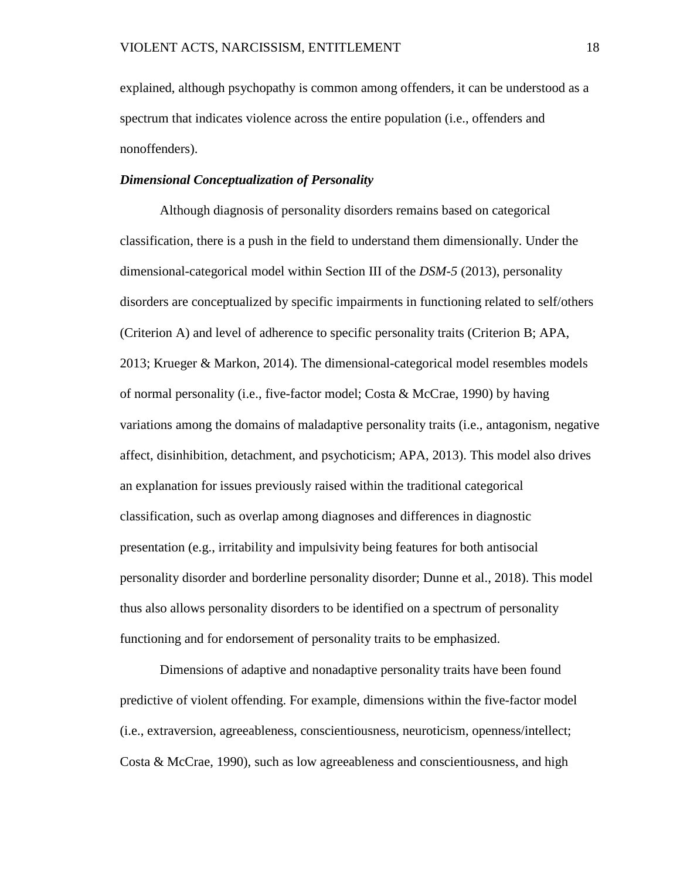explained, although psychopathy is common among offenders, it can be understood as a spectrum that indicates violence across the entire population (i.e., offenders and nonoffenders).

#### *Dimensional Conceptualization of Personality*

Although diagnosis of personality disorders remains based on categorical classification, there is a push in the field to understand them dimensionally. Under the dimensional-categorical model within Section III of the *DSM-5* (2013), personality disorders are conceptualized by specific impairments in functioning related to self/others (Criterion A) and level of adherence to specific personality traits (Criterion B; APA, 2013; Krueger & Markon, 2014). The dimensional-categorical model resembles models of normal personality (i.e., five-factor model; Costa & McCrae, 1990) by having variations among the domains of maladaptive personality traits (i.e., antagonism, negative affect, disinhibition, detachment, and psychoticism; APA, 2013). This model also drives an explanation for issues previously raised within the traditional categorical classification, such as overlap among diagnoses and differences in diagnostic presentation (e.g., irritability and impulsivity being features for both antisocial personality disorder and borderline personality disorder; Dunne et al., 2018). This model thus also allows personality disorders to be identified on a spectrum of personality functioning and for endorsement of personality traits to be emphasized.

Dimensions of adaptive and nonadaptive personality traits have been found predictive of violent offending. For example, dimensions within the five-factor model (i.e., extraversion, agreeableness, conscientiousness, neuroticism, openness/intellect; Costa & McCrae, 1990), such as low agreeableness and conscientiousness, and high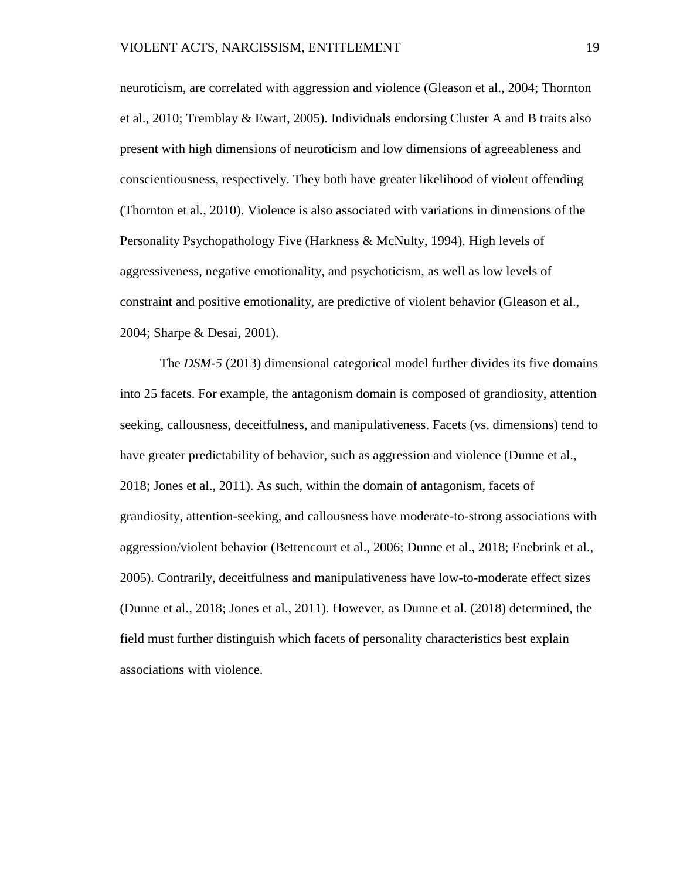neuroticism, are correlated with aggression and violence (Gleason et al., 2004; Thornton et al., 2010; Tremblay & Ewart, 2005). Individuals endorsing Cluster A and B traits also present with high dimensions of neuroticism and low dimensions of agreeableness and conscientiousness, respectively. They both have greater likelihood of violent offending (Thornton et al., 2010). Violence is also associated with variations in dimensions of the Personality Psychopathology Five (Harkness & McNulty, 1994). High levels of aggressiveness, negative emotionality, and psychoticism, as well as low levels of constraint and positive emotionality, are predictive of violent behavior (Gleason et al., 2004; Sharpe & Desai, 2001).

The *DSM-5* (2013) dimensional categorical model further divides its five domains into 25 facets. For example, the antagonism domain is composed of grandiosity, attention seeking, callousness, deceitfulness, and manipulativeness. Facets (vs. dimensions) tend to have greater predictability of behavior, such as aggression and violence (Dunne et al., 2018; Jones et al., 2011). As such, within the domain of antagonism, facets of grandiosity, attention-seeking, and callousness have moderate-to-strong associations with aggression/violent behavior (Bettencourt et al., 2006; Dunne et al., 2018; Enebrink et al., 2005). Contrarily, deceitfulness and manipulativeness have low-to-moderate effect sizes (Dunne et al., 2018; Jones et al., 2011). However, as Dunne et al. (2018) determined, the field must further distinguish which facets of personality characteristics best explain associations with violence.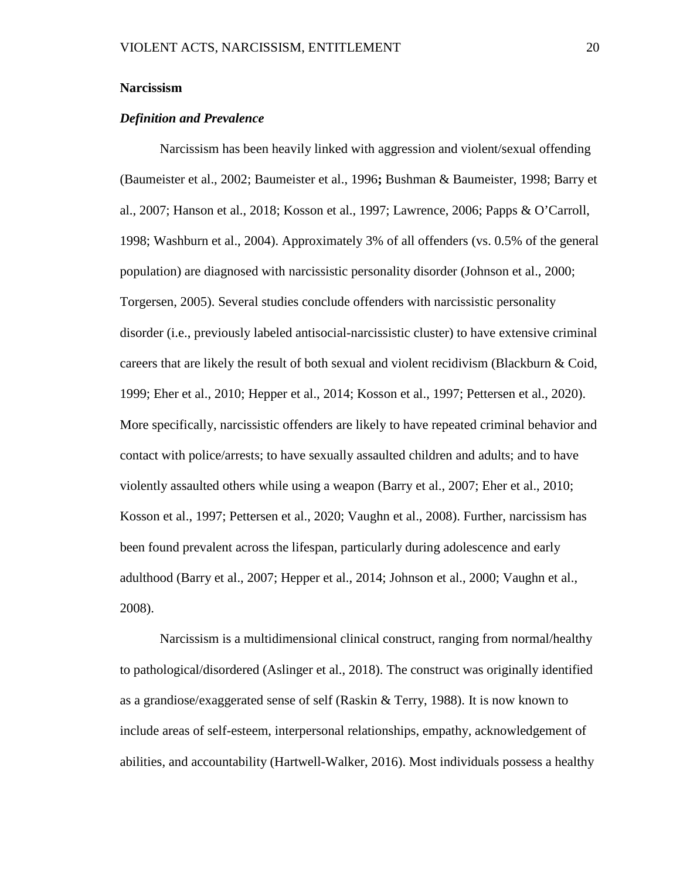#### <span id="page-26-0"></span>**Narcissism**

#### *Definition and Prevalence*

Narcissism has been heavily linked with aggression and violent/sexual offending (Baumeister et al., 2002; Baumeister et al., 1996**;** Bushman & Baumeister, 1998; Barry et al., 2007; Hanson et al., 2018; Kosson et al., 1997; Lawrence, 2006; Papps & O'Carroll, 1998; Washburn et al., 2004). Approximately 3% of all offenders (vs. 0.5% of the general population) are diagnosed with narcissistic personality disorder (Johnson et al., 2000; Torgersen, 2005). Several studies conclude offenders with narcissistic personality disorder (i.e., previously labeled antisocial-narcissistic cluster) to have extensive criminal careers that are likely the result of both sexual and violent recidivism (Blackburn & Coid, 1999; Eher et al., 2010; Hepper et al., 2014; Kosson et al., 1997; Pettersen et al., 2020). More specifically, narcissistic offenders are likely to have repeated criminal behavior and contact with police/arrests; to have sexually assaulted children and adults; and to have violently assaulted others while using a weapon (Barry et al., 2007; Eher et al., 2010; Kosson et al., 1997; Pettersen et al., 2020; Vaughn et al., 2008). Further, narcissism has been found prevalent across the lifespan, particularly during adolescence and early adulthood (Barry et al., 2007; Hepper et al., 2014; Johnson et al., 2000; Vaughn et al., 2008).

Narcissism is a multidimensional clinical construct, ranging from normal/healthy to pathological/disordered (Aslinger et al., 2018). The construct was originally identified as a grandiose/exaggerated sense of self (Raskin & Terry, 1988). It is now known to include areas of self-esteem, interpersonal relationships, empathy, acknowledgement of abilities, and accountability (Hartwell-Walker, 2016). Most individuals possess a healthy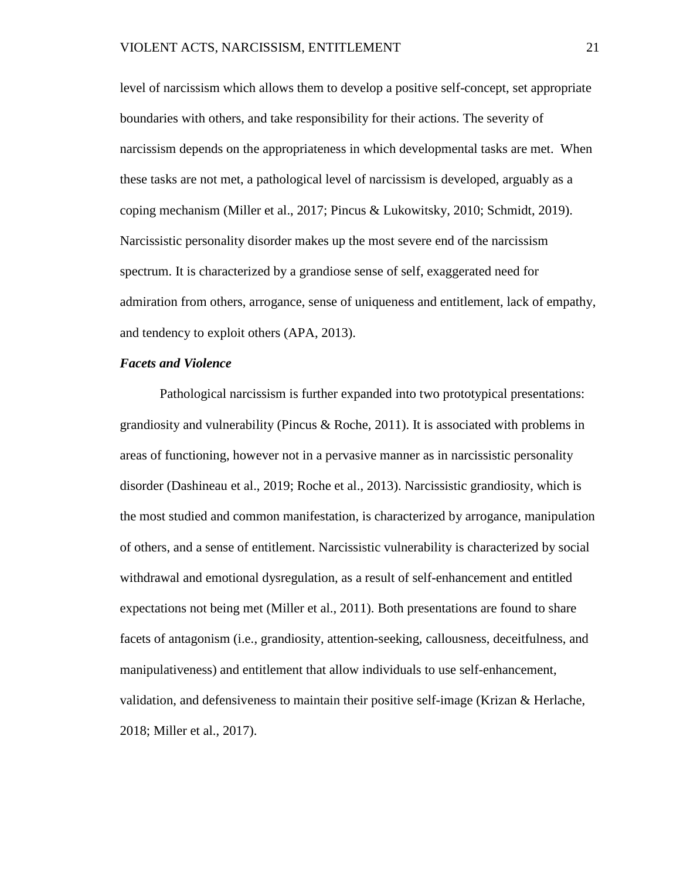level of narcissism which allows them to develop a positive self-concept, set appropriate boundaries with others, and take responsibility for their actions. The severity of narcissism depends on the appropriateness in which developmental tasks are met. When these tasks are not met, a pathological level of narcissism is developed, arguably as a coping mechanism (Miller et al., 2017; Pincus & Lukowitsky, 2010; Schmidt, 2019). Narcissistic personality disorder makes up the most severe end of the narcissism spectrum. It is characterized by a grandiose sense of self, exaggerated need for admiration from others, arrogance, sense of uniqueness and entitlement, lack of empathy, and tendency to exploit others (APA, 2013).

#### *Facets and Violence*

Pathological narcissism is further expanded into two prototypical presentations: grandiosity and vulnerability (Pincus & Roche, 2011). It is associated with problems in areas of functioning, however not in a pervasive manner as in narcissistic personality disorder (Dashineau et al., 2019; Roche et al., 2013). Narcissistic grandiosity, which is the most studied and common manifestation, is characterized by arrogance, manipulation of others, and a sense of entitlement. Narcissistic vulnerability is characterized by social withdrawal and emotional dysregulation, as a result of self-enhancement and entitled expectations not being met (Miller et al., 2011). Both presentations are found to share facets of antagonism (i.e., grandiosity, attention-seeking, callousness, deceitfulness, and manipulativeness) and entitlement that allow individuals to use self-enhancement, validation, and defensiveness to maintain their positive self-image (Krizan & Herlache, 2018; Miller et al., 2017).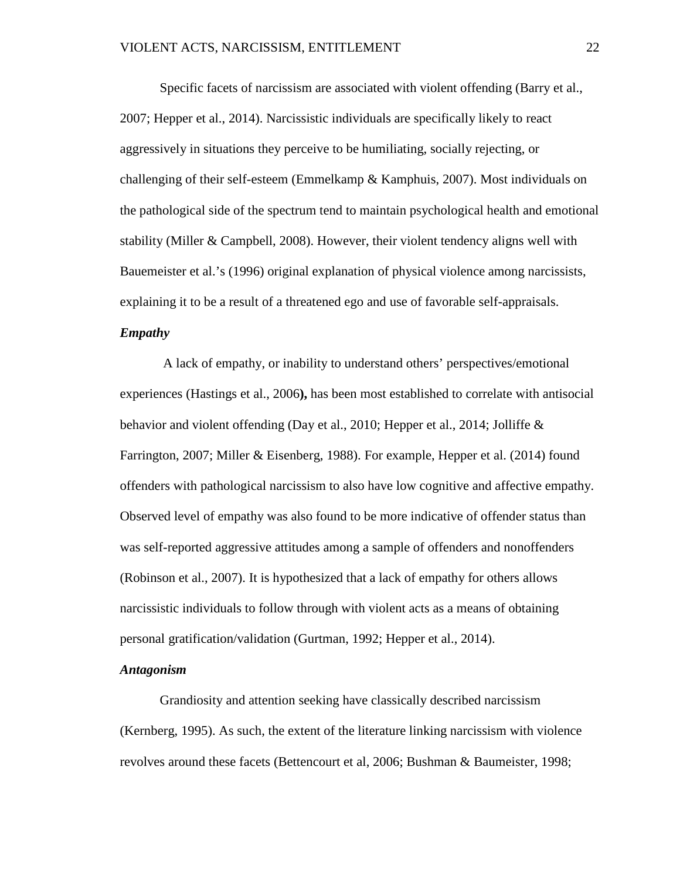Specific facets of narcissism are associated with violent offending (Barry et al., 2007; Hepper et al., 2014). Narcissistic individuals are specifically likely to react aggressively in situations they perceive to be humiliating, socially rejecting, or challenging of their self-esteem (Emmelkamp & Kamphuis, 2007). Most individuals on the pathological side of the spectrum tend to maintain psychological health and emotional stability (Miller & Campbell, 2008). However, their violent tendency aligns well with Bauemeister et al.'s (1996) original explanation of physical violence among narcissists, explaining it to be a result of a threatened ego and use of favorable self-appraisals.

#### *Empathy*

A lack of empathy, or inability to understand others' perspectives/emotional experiences (Hastings et al., 2006**),** has been most established to correlate with antisocial behavior and violent offending (Day et al., 2010; Hepper et al., 2014; Jolliffe & Farrington, 2007; Miller & Eisenberg, 1988). For example, Hepper et al. (2014) found offenders with pathological narcissism to also have low cognitive and affective empathy. Observed level of empathy was also found to be more indicative of offender status than was self-reported aggressive attitudes among a sample of offenders and nonoffenders (Robinson et al., 2007). It is hypothesized that a lack of empathy for others allows narcissistic individuals to follow through with violent acts as a means of obtaining personal gratification/validation (Gurtman, 1992; Hepper et al., 2014).

#### *Antagonism*

Grandiosity and attention seeking have classically described narcissism (Kernberg, 1995). As such, the extent of the literature linking narcissism with violence revolves around these facets (Bettencourt et al, 2006; Bushman & Baumeister, 1998;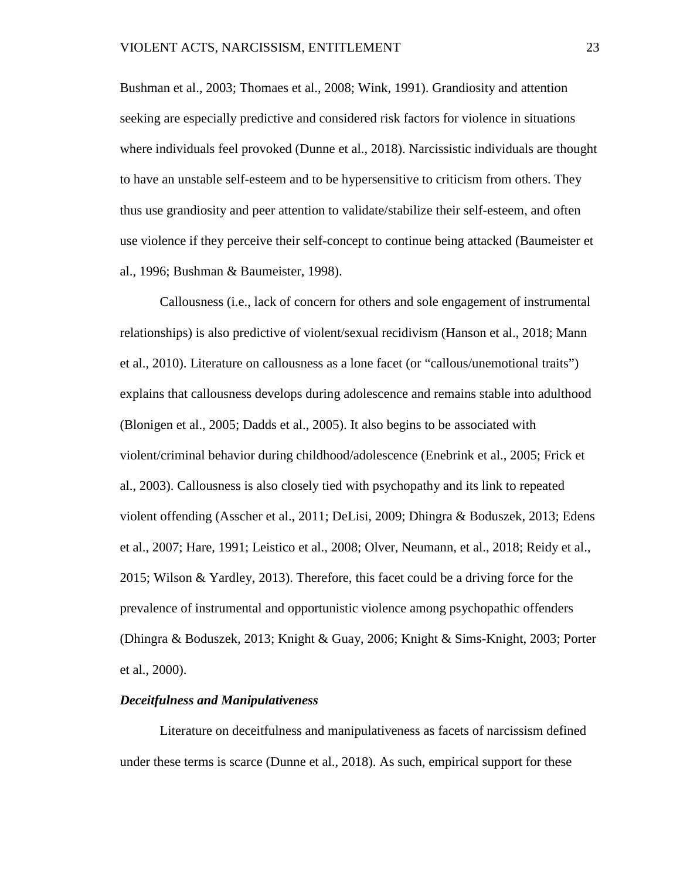Bushman et al., 2003; Thomaes et al., 2008; Wink, 1991). Grandiosity and attention seeking are especially predictive and considered risk factors for violence in situations where individuals feel provoked (Dunne et al., 2018). Narcissistic individuals are thought to have an unstable self-esteem and to be hypersensitive to criticism from others. They thus use grandiosity and peer attention to validate/stabilize their self-esteem, and often use violence if they perceive their self-concept to continue being attacked (Baumeister et al., 1996; Bushman & Baumeister, 1998).

Callousness (i.e., lack of concern for others and sole engagement of instrumental relationships) is also predictive of violent/sexual recidivism (Hanson et al., 2018; Mann et al., 2010). Literature on callousness as a lone facet (or "callous/unemotional traits") explains that callousness develops during adolescence and remains stable into adulthood (Blonigen et al., 2005; Dadds et al., 2005). It also begins to be associated with violent/criminal behavior during childhood/adolescence (Enebrink et al., 2005; Frick et al., 2003). Callousness is also closely tied with psychopathy and its link to repeated violent offending (Asscher et al., 2011; DeLisi, 2009; Dhingra & Boduszek, 2013; Edens et al., 2007; Hare, 1991; Leistico et al., 2008; Olver, Neumann, et al., 2018; Reidy et al., 2015; Wilson & Yardley, 2013). Therefore, this facet could be a driving force for the prevalence of instrumental and opportunistic violence among psychopathic offenders (Dhingra & Boduszek, 2013; Knight & Guay, 2006; Knight & Sims-Knight, 2003; Porter et al., 2000).

#### *Deceitfulness and Manipulativeness*

Literature on deceitfulness and manipulativeness as facets of narcissism defined under these terms is scarce (Dunne et al., 2018). As such, empirical support for these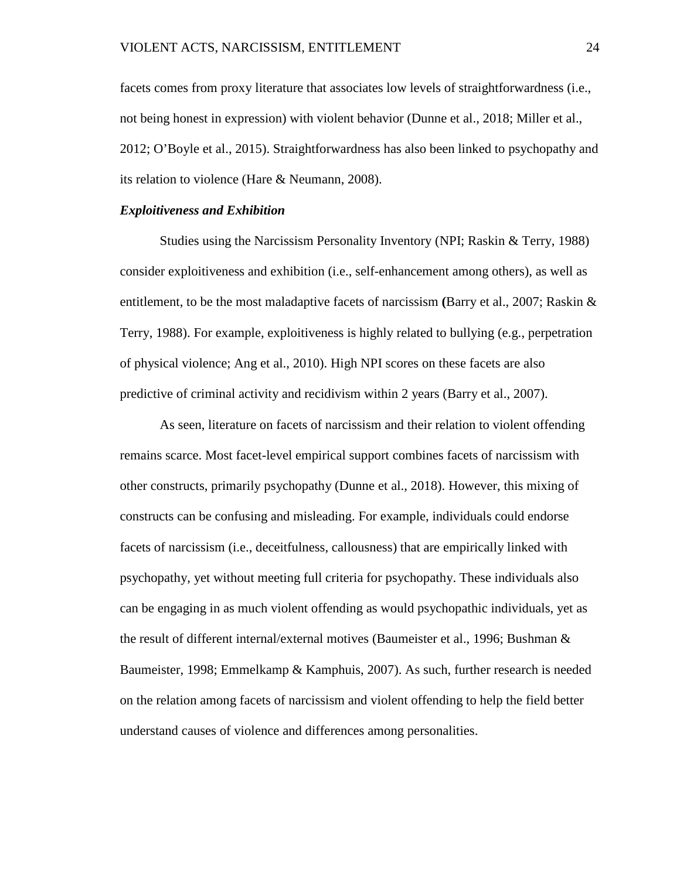facets comes from proxy literature that associates low levels of straightforwardness (i.e., not being honest in expression) with violent behavior (Dunne et al., 2018; Miller et al., 2012; O'Boyle et al., 2015). Straightforwardness has also been linked to psychopathy and its relation to violence (Hare & Neumann, 2008).

#### *Exploitiveness and Exhibition*

Studies using the Narcissism Personality Inventory (NPI; Raskin & Terry, 1988) consider exploitiveness and exhibition (i.e., self-enhancement among others), as well as entitlement, to be the most maladaptive facets of narcissism **(**Barry et al., 2007; Raskin & Terry, 1988). For example, exploitiveness is highly related to bullying (e.g., perpetration of physical violence; Ang et al., 2010). High NPI scores on these facets are also predictive of criminal activity and recidivism within 2 years (Barry et al., 2007).

As seen, literature on facets of narcissism and their relation to violent offending remains scarce. Most facet-level empirical support combines facets of narcissism with other constructs, primarily psychopathy (Dunne et al., 2018). However, this mixing of constructs can be confusing and misleading. For example, individuals could endorse facets of narcissism (i.e., deceitfulness, callousness) that are empirically linked with psychopathy, yet without meeting full criteria for psychopathy. These individuals also can be engaging in as much violent offending as would psychopathic individuals, yet as the result of different internal/external motives (Baumeister et al., 1996; Bushman & Baumeister, 1998; Emmelkamp & Kamphuis, 2007). As such, further research is needed on the relation among facets of narcissism and violent offending to help the field better understand causes of violence and differences among personalities.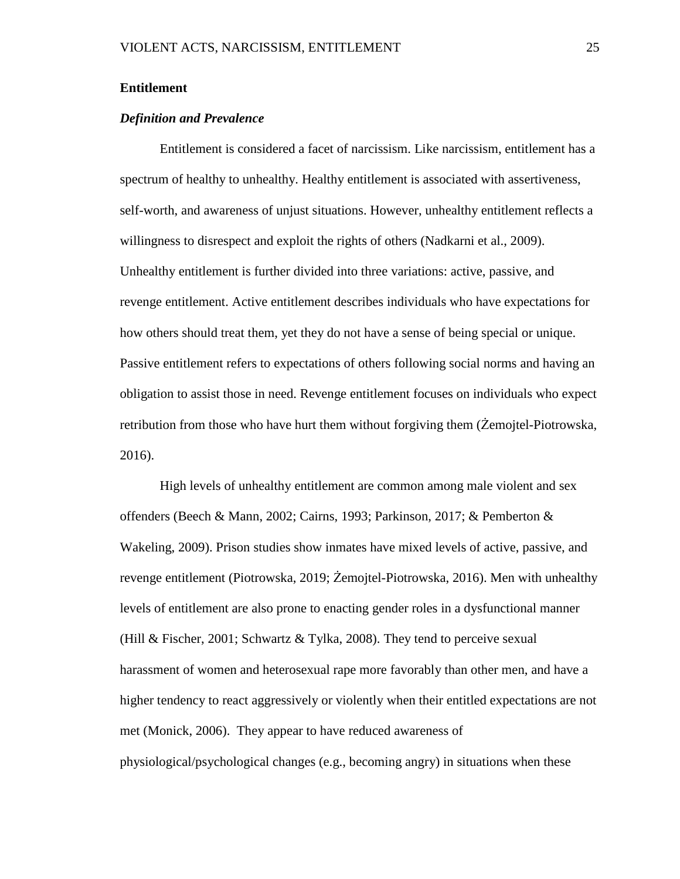#### <span id="page-31-0"></span>**Entitlement**

#### *Definition and Prevalence*

Entitlement is considered a facet of narcissism. Like narcissism, entitlement has a spectrum of healthy to unhealthy. Healthy entitlement is associated with assertiveness, self-worth, and awareness of unjust situations. However, unhealthy entitlement reflects a willingness to disrespect and exploit the rights of others (Nadkarni et al., 2009). Unhealthy entitlement is further divided into three variations: active, passive, and revenge entitlement. Active entitlement describes individuals who have expectations for how others should treat them, yet they do not have a sense of being special or unique. Passive entitlement refers to expectations of others following social norms and having an obligation to assist those in need. Revenge entitlement focuses on individuals who expect retribution from those who have hurt them without forgiving them (Żemojtel-Piotrowska, 2016).

High levels of unhealthy entitlement are common among male violent and sex offenders (Beech & Mann, 2002; Cairns, 1993; Parkinson, 2017; & Pemberton & Wakeling, 2009). Prison studies show inmates have mixed levels of active, passive, and revenge entitlement (Piotrowska, 2019; Żemojtel-Piotrowska, 2016). Men with unhealthy levels of entitlement are also prone to enacting gender roles in a dysfunctional manner (Hill & Fischer, 2001; Schwartz & Tylka, 2008). They tend to perceive sexual harassment of women and heterosexual rape more favorably than other men, and have a higher tendency to react aggressively or violently when their entitled expectations are not met (Monick, 2006). They appear to have reduced awareness of physiological/psychological changes (e.g., becoming angry) in situations when these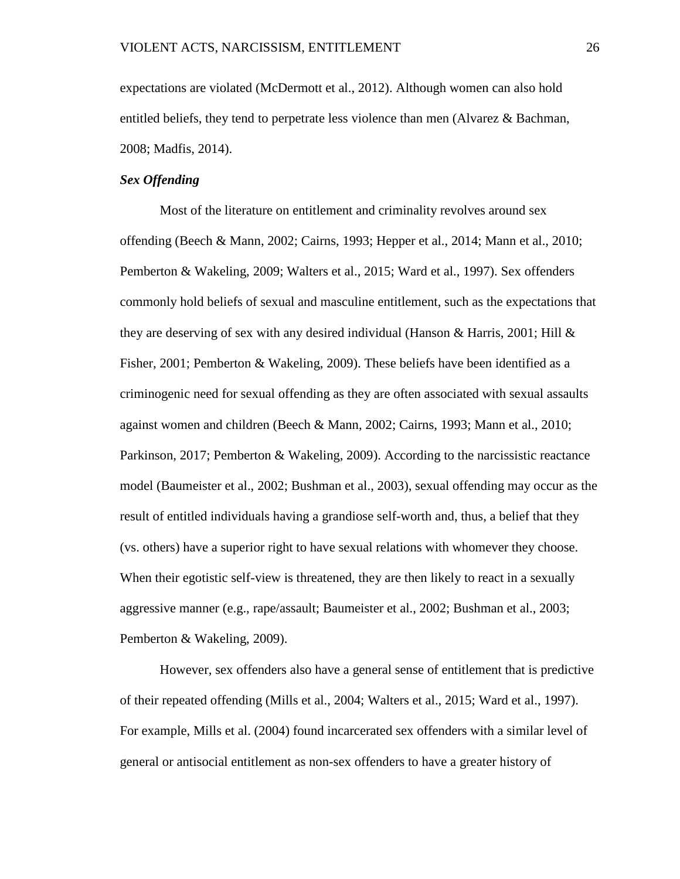expectations are violated (McDermott et al., 2012). Although women can also hold entitled beliefs, they tend to perpetrate less violence than men (Alvarez & Bachman, 2008; Madfis, 2014).

#### *Sex Offending*

Most of the literature on entitlement and criminality revolves around sex offending (Beech & Mann, 2002; Cairns, 1993; Hepper et al., 2014; Mann et al., 2010; Pemberton & Wakeling, 2009; Walters et al., 2015; Ward et al., 1997). Sex offenders commonly hold beliefs of sexual and masculine entitlement, such as the expectations that they are deserving of sex with any desired individual (Hanson & Harris, 2001; Hill & Fisher, 2001; Pemberton & Wakeling, 2009). These beliefs have been identified as a criminogenic need for sexual offending as they are often associated with sexual assaults against women and children (Beech & Mann, 2002; Cairns, 1993; Mann et al., 2010; Parkinson, 2017; Pemberton & Wakeling, 2009). According to the narcissistic reactance model (Baumeister et al., 2002; Bushman et al., 2003), sexual offending may occur as the result of entitled individuals having a grandiose self-worth and, thus, a belief that they (vs. others) have a superior right to have sexual relations with whomever they choose. When their egotistic self-view is threatened, they are then likely to react in a sexually aggressive manner (e.g., rape/assault; Baumeister et al., 2002; Bushman et al., 2003; Pemberton & Wakeling, 2009).

However, sex offenders also have a general sense of entitlement that is predictive of their repeated offending (Mills et al., 2004; Walters et al., 2015; Ward et al., 1997). For example, Mills et al. (2004) found incarcerated sex offenders with a similar level of general or antisocial entitlement as non-sex offenders to have a greater history of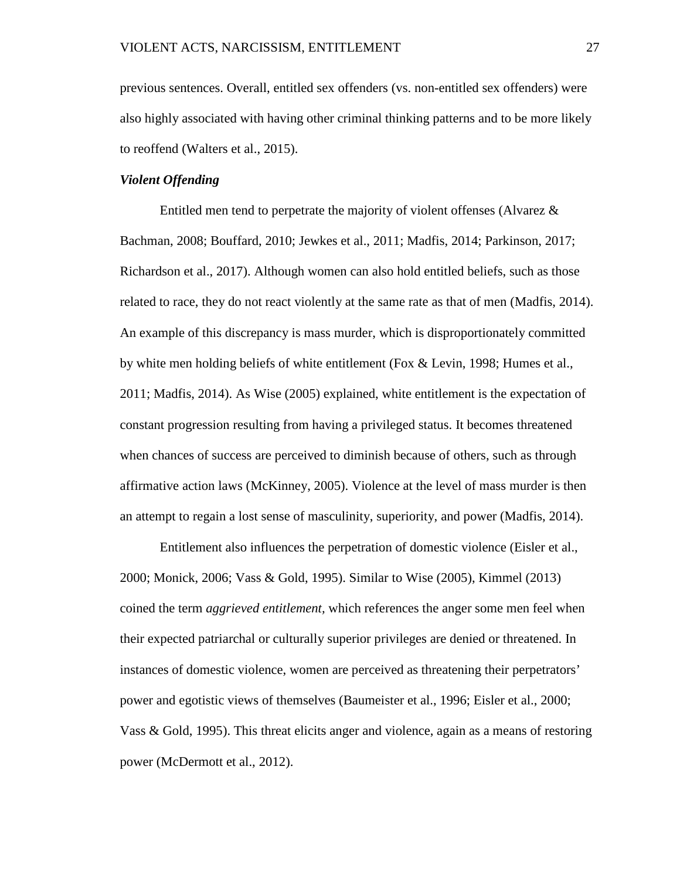previous sentences. Overall, entitled sex offenders (vs. non-entitled sex offenders) were also highly associated with having other criminal thinking patterns and to be more likely to reoffend (Walters et al., 2015).

#### *Violent Offending*

Entitled men tend to perpetrate the majority of violent offenses (Alvarez & Bachman, 2008; Bouffard, 2010; Jewkes et al., 2011; Madfis, 2014; Parkinson, 2017; Richardson et al., 2017). Although women can also hold entitled beliefs, such as those related to race, they do not react violently at the same rate as that of men (Madfis, 2014). An example of this discrepancy is mass murder, which is disproportionately committed by white men holding beliefs of white entitlement (Fox & Levin, 1998; Humes et al., 2011; Madfis, 2014). As Wise (2005) explained, white entitlement is the expectation of constant progression resulting from having a privileged status. It becomes threatened when chances of success are perceived to diminish because of others, such as through affirmative action laws (McKinney, 2005). Violence at the level of mass murder is then an attempt to regain a lost sense of masculinity, superiority, and power (Madfis, 2014).

Entitlement also influences the perpetration of domestic violence (Eisler et al., 2000; Monick, 2006; Vass & Gold, 1995). Similar to Wise (2005), Kimmel (2013) coined the term *aggrieved entitlement,* which references the anger some men feel when their expected patriarchal or culturally superior privileges are denied or threatened. In instances of domestic violence, women are perceived as threatening their perpetrators' power and egotistic views of themselves (Baumeister et al., 1996; Eisler et al., 2000; Vass & Gold, 1995). This threat elicits anger and violence, again as a means of restoring power (McDermott et al., 2012).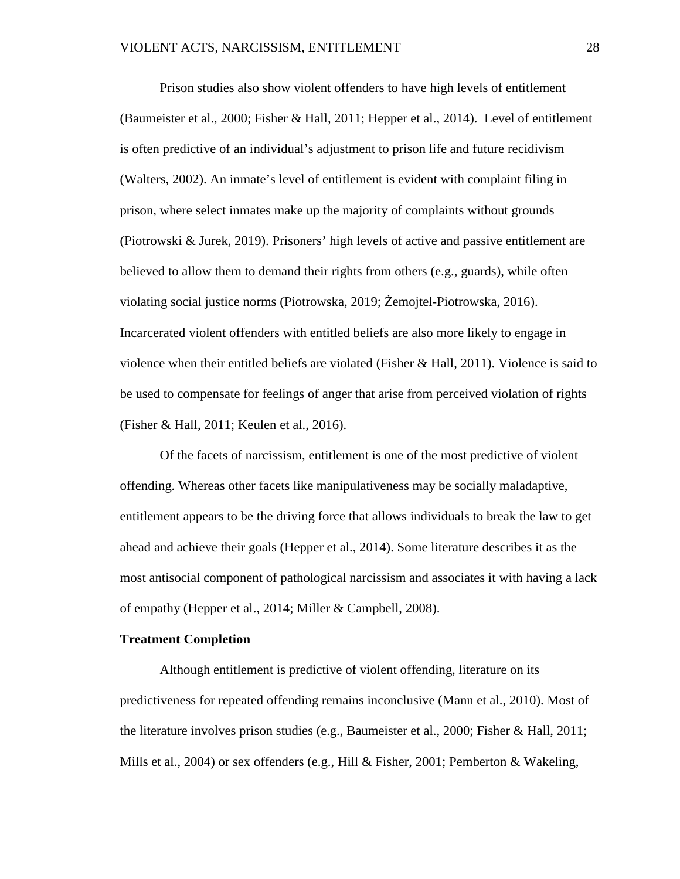Prison studies also show violent offenders to have high levels of entitlement (Baumeister et al., 2000; Fisher & Hall, 2011; Hepper et al., 2014). Level of entitlement is often predictive of an individual's adjustment to prison life and future recidivism (Walters, 2002). An inmate's level of entitlement is evident with complaint filing in prison, where select inmates make up the majority of complaints without grounds (Piotrowski & Jurek, 2019). Prisoners' high levels of active and passive entitlement are believed to allow them to demand their rights from others (e.g., guards), while often violating social justice norms (Piotrowska, 2019; Żemojtel-Piotrowska, 2016). Incarcerated violent offenders with entitled beliefs are also more likely to engage in violence when their entitled beliefs are violated (Fisher & Hall, 2011). Violence is said to be used to compensate for feelings of anger that arise from perceived violation of rights (Fisher & Hall, 2011; Keulen et al., 2016).

Of the facets of narcissism, entitlement is one of the most predictive of violent offending. Whereas other facets like manipulativeness may be socially maladaptive, entitlement appears to be the driving force that allows individuals to break the law to get ahead and achieve their goals (Hepper et al., 2014). Some literature describes it as the most antisocial component of pathological narcissism and associates it with having a lack of empathy (Hepper et al., 2014; Miller & Campbell, 2008).

#### <span id="page-34-0"></span>**Treatment Completion**

Although entitlement is predictive of violent offending, literature on its predictiveness for repeated offending remains inconclusive (Mann et al., 2010). Most of the literature involves prison studies (e.g., Baumeister et al., 2000; Fisher & Hall, 2011; Mills et al., 2004) or sex offenders (e.g., Hill & Fisher, 2001; Pemberton & Wakeling,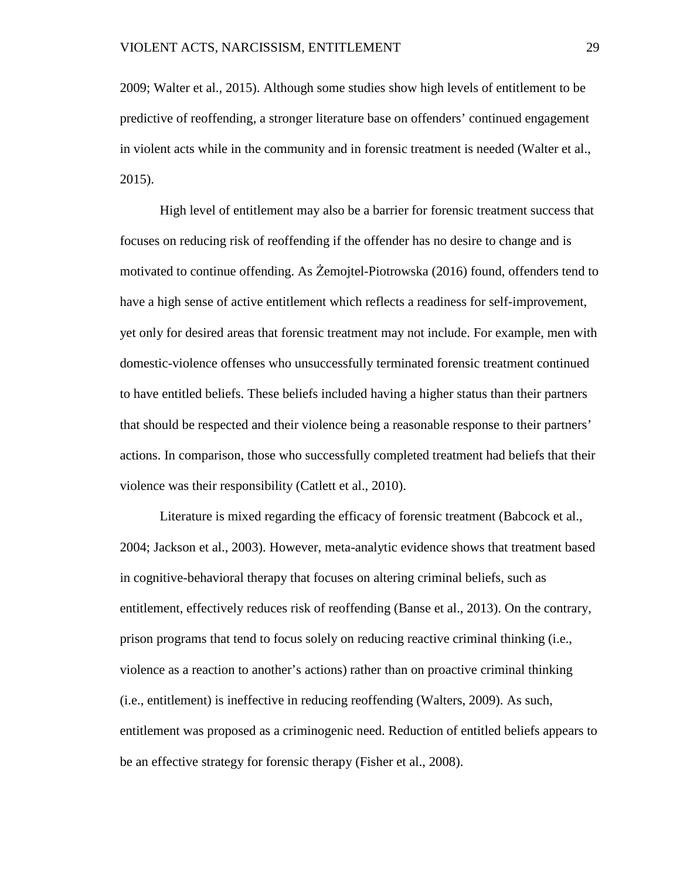2009; Walter et al., 2015). Although some studies show high levels of entitlement to be predictive of reoffending, a stronger literature base on offenders' continued engagement in violent acts while in the community and in forensic treatment is needed (Walter et al., 2015).

High level of entitlement may also be a barrier for forensic treatment success that focuses on reducing risk of reoffending if the offender has no desire to change and is motivated to continue offending. As Żemojtel-Piotrowska (2016) found, offenders tend to have a high sense of active entitlement which reflects a readiness for self-improvement, yet only for desired areas that forensic treatment may not include. For example, men with domestic-violence offenses who unsuccessfully terminated forensic treatment continued to have entitled beliefs. These beliefs included having a higher status than their partners that should be respected and their violence being a reasonable response to their partners' actions. In comparison, those who successfully completed treatment had beliefs that their violence was their responsibility (Catlett et al., 2010).

Literature is mixed regarding the efficacy of forensic treatment (Babcock et al., 2004; Jackson et al., 2003). However, meta-analytic evidence shows that treatment based in cognitive-behavioral therapy that focuses on altering criminal beliefs, such as entitlement, effectively reduces risk of reoffending (Banse et al., 2013). On the contrary, prison programs that tend to focus solely on reducing reactive criminal thinking (i.e., violence as a reaction to another's actions) rather than on proactive criminal thinking (i.e., entitlement) is ineffective in reducing reoffending (Walters, 2009). As such, entitlement was proposed as a criminogenic need. Reduction of entitled beliefs appears to be an effective strategy for forensic therapy (Fisher et al., 2008).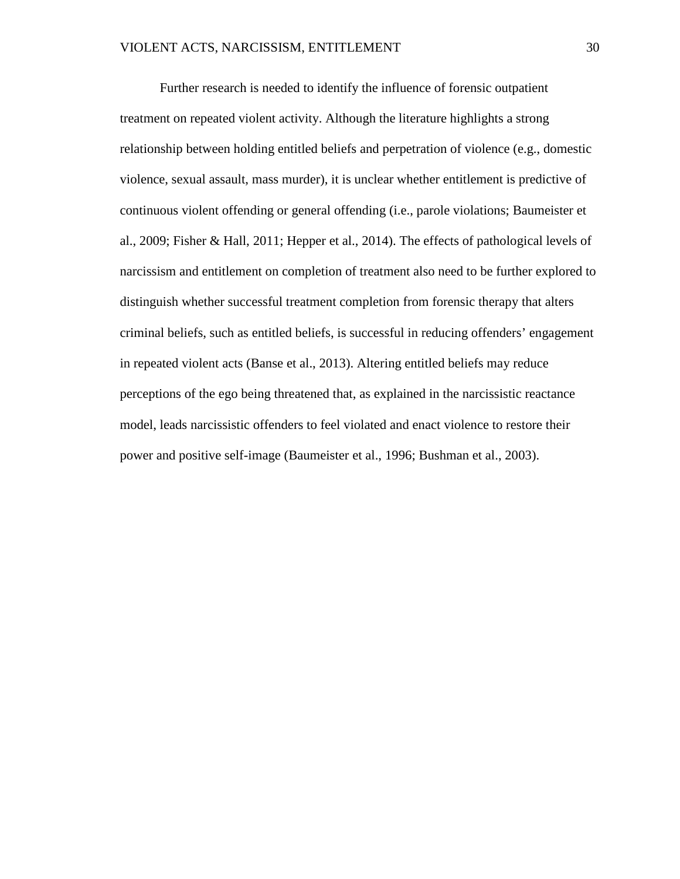Further research is needed to identify the influence of forensic outpatient treatment on repeated violent activity. Although the literature highlights a strong relationship between holding entitled beliefs and perpetration of violence (e.g., domestic violence, sexual assault, mass murder), it is unclear whether entitlement is predictive of continuous violent offending or general offending (i.e., parole violations; Baumeister et al., 2009; Fisher & Hall, 2011; Hepper et al., 2014). The effects of pathological levels of narcissism and entitlement on completion of treatment also need to be further explored to distinguish whether successful treatment completion from forensic therapy that alters criminal beliefs, such as entitled beliefs, is successful in reducing offenders' engagement in repeated violent acts (Banse et al., 2013). Altering entitled beliefs may reduce perceptions of the ego being threatened that, as explained in the narcissistic reactance model, leads narcissistic offenders to feel violated and enact violence to restore their power and positive self-image (Baumeister et al., 1996; Bushman et al., 2003).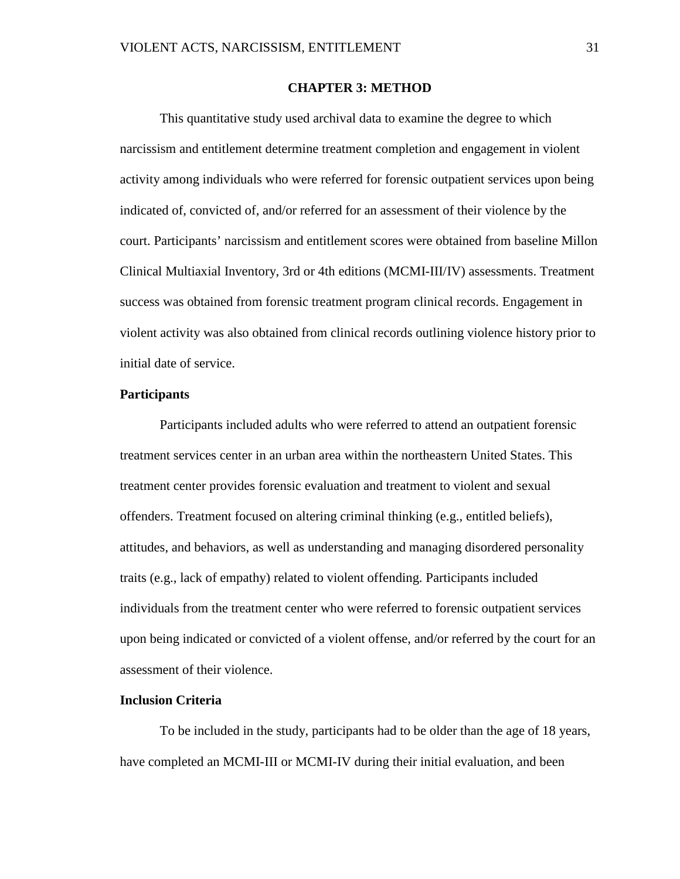### **CHAPTER 3: METHOD**

This quantitative study used archival data to examine the degree to which narcissism and entitlement determine treatment completion and engagement in violent activity among individuals who were referred for forensic outpatient services upon being indicated of, convicted of, and/or referred for an assessment of their violence by the court. Participants' narcissism and entitlement scores were obtained from baseline Millon Clinical Multiaxial Inventory, 3rd or 4th editions (MCMI-III/IV) assessments. Treatment success was obtained from forensic treatment program clinical records. Engagement in violent activity was also obtained from clinical records outlining violence history prior to initial date of service.

### **Participants**

Participants included adults who were referred to attend an outpatient forensic treatment services center in an urban area within the northeastern United States. This treatment center provides forensic evaluation and treatment to violent and sexual offenders. Treatment focused on altering criminal thinking (e.g., entitled beliefs), attitudes, and behaviors, as well as understanding and managing disordered personality traits (e.g., lack of empathy) related to violent offending. Participants included individuals from the treatment center who were referred to forensic outpatient services upon being indicated or convicted of a violent offense, and/or referred by the court for an assessment of their violence.

## **Inclusion Criteria**

To be included in the study, participants had to be older than the age of 18 years, have completed an MCMI-III or MCMI-IV during their initial evaluation, and been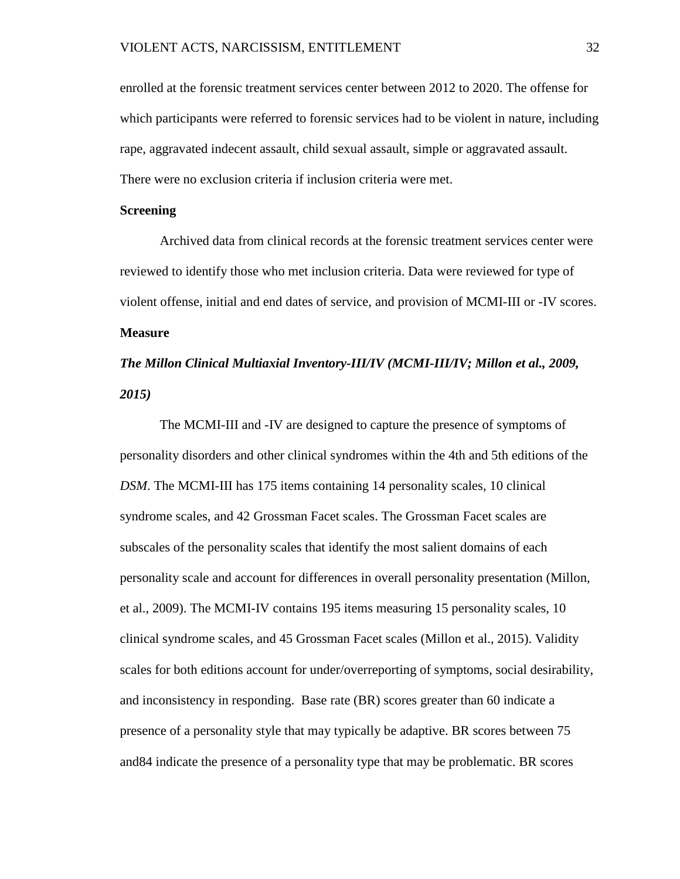enrolled at the forensic treatment services center between 2012 to 2020. The offense for which participants were referred to forensic services had to be violent in nature, including rape, aggravated indecent assault, child sexual assault, simple or aggravated assault. There were no exclusion criteria if inclusion criteria were met.

### **Screening**

Archived data from clinical records at the forensic treatment services center were reviewed to identify those who met inclusion criteria. Data were reviewed for type of violent offense, initial and end dates of service, and provision of MCMI-III or -IV scores. **Measure**

# *The Millon Clinical Multiaxial Inventory-III/IV (MCMI-III/IV; Millon et al., 2009, 2015)*

The MCMI-III and -IV are designed to capture the presence of symptoms of personality disorders and other clinical syndromes within the 4th and 5th editions of the *DSM*. The MCMI-III has 175 items containing 14 personality scales, 10 clinical syndrome scales, and 42 Grossman Facet scales. The Grossman Facet scales are subscales of the personality scales that identify the most salient domains of each personality scale and account for differences in overall personality presentation (Millon, et al., 2009). The MCMI-IV contains 195 items measuring 15 personality scales, 10 clinical syndrome scales, and 45 Grossman Facet scales (Millon et al., 2015). Validity scales for both editions account for under/overreporting of symptoms, social desirability, and inconsistency in responding. Base rate (BR) scores greater than 60 indicate a presence of a personality style that may typically be adaptive. BR scores between 75 and84 indicate the presence of a personality type that may be problematic. BR scores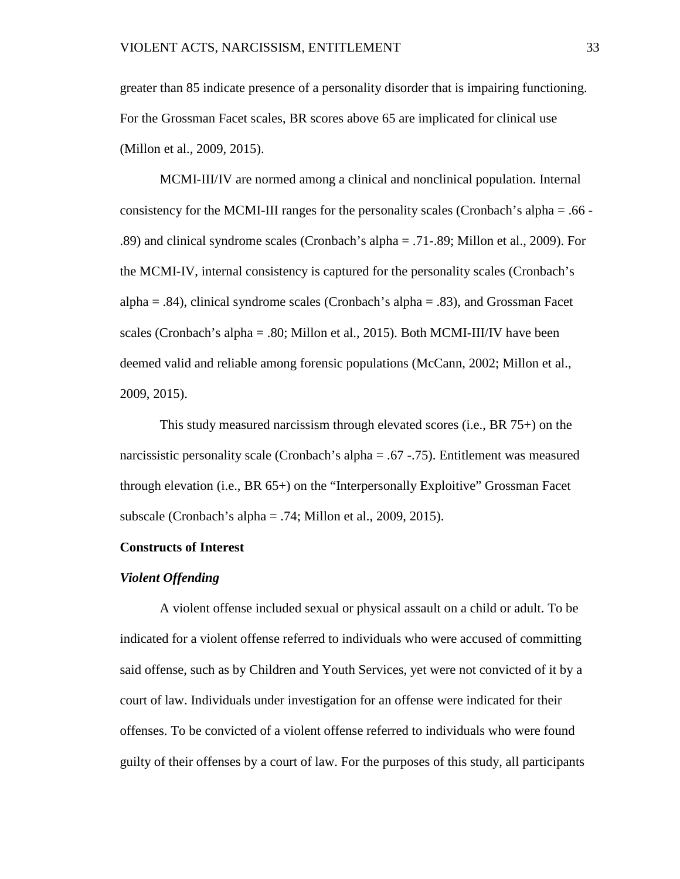greater than 85 indicate presence of a personality disorder that is impairing functioning. For the Grossman Facet scales, BR scores above 65 are implicated for clinical use (Millon et al., 2009, 2015).

MCMI-III/IV are normed among a clinical and nonclinical population. Internal consistency for the MCMI-III ranges for the personality scales (Cronbach's alpha = .66 - .89) and clinical syndrome scales (Cronbach's alpha = .71-.89; Millon et al., 2009). For the MCMI-IV, internal consistency is captured for the personality scales (Cronbach's alpha  $=$  .84), clinical syndrome scales (Cronbach's alpha  $=$  .83), and Grossman Facet scales (Cronbach's alpha = .80; Millon et al., 2015). Both MCMI-III/IV have been deemed valid and reliable among forensic populations (McCann, 2002; Millon et al., 2009, 2015).

This study measured narcissism through elevated scores (i.e., BR 75+) on the narcissistic personality scale (Cronbach's alpha = .67 -.75). Entitlement was measured through elevation (i.e., BR 65+) on the "Interpersonally Exploitive" Grossman Facet subscale (Cronbach's alpha = .74; Millon et al., 2009, 2015).

### **Constructs of Interest**

### *Violent Offending*

A violent offense included sexual or physical assault on a child or adult. To be indicated for a violent offense referred to individuals who were accused of committing said offense, such as by Children and Youth Services, yet were not convicted of it by a court of law. Individuals under investigation for an offense were indicated for their offenses. To be convicted of a violent offense referred to individuals who were found guilty of their offenses by a court of law. For the purposes of this study, all participants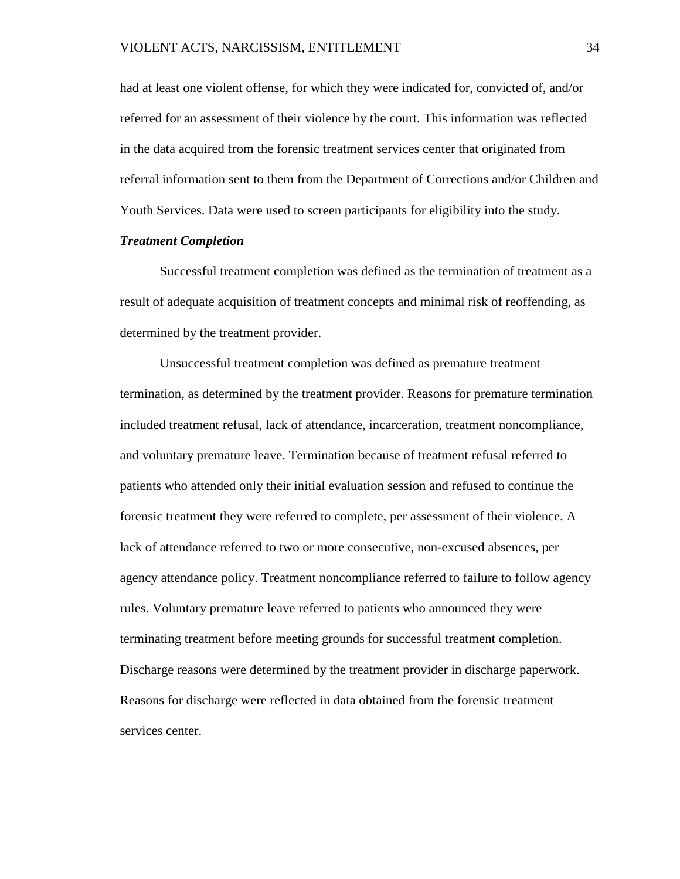had at least one violent offense, for which they were indicated for, convicted of, and/or referred for an assessment of their violence by the court. This information was reflected in the data acquired from the forensic treatment services center that originated from referral information sent to them from the Department of Corrections and/or Children and Youth Services. Data were used to screen participants for eligibility into the study.

### *Treatment Completion*

Successful treatment completion was defined as the termination of treatment as a result of adequate acquisition of treatment concepts and minimal risk of reoffending, as determined by the treatment provider.

Unsuccessful treatment completion was defined as premature treatment termination, as determined by the treatment provider. Reasons for premature termination included treatment refusal, lack of attendance, incarceration, treatment noncompliance, and voluntary premature leave. Termination because of treatment refusal referred to patients who attended only their initial evaluation session and refused to continue the forensic treatment they were referred to complete, per assessment of their violence. A lack of attendance referred to two or more consecutive, non-excused absences, per agency attendance policy. Treatment noncompliance referred to failure to follow agency rules. Voluntary premature leave referred to patients who announced they were terminating treatment before meeting grounds for successful treatment completion. Discharge reasons were determined by the treatment provider in discharge paperwork. Reasons for discharge were reflected in data obtained from the forensic treatment services center.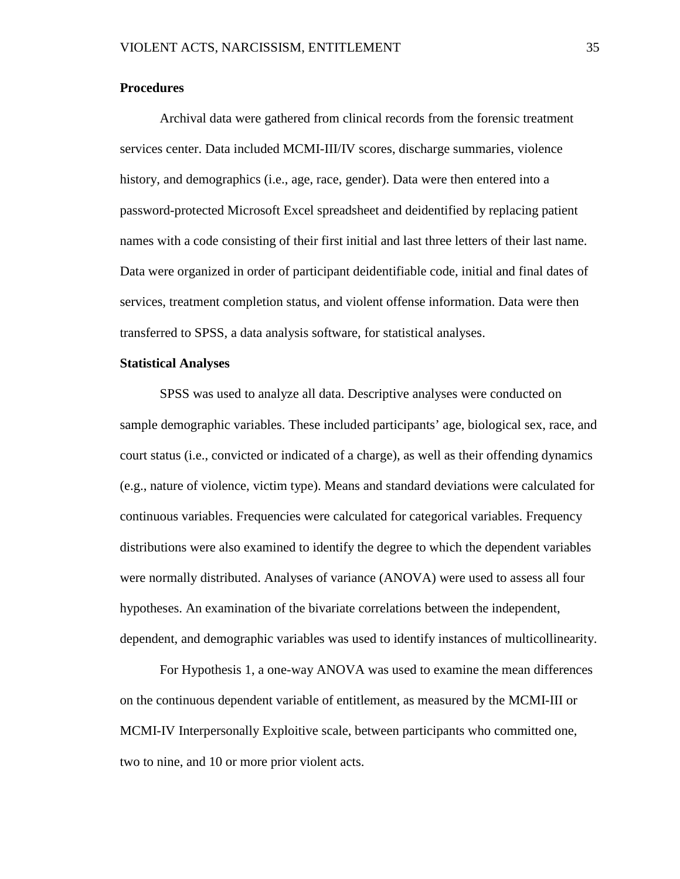### **Procedures**

Archival data were gathered from clinical records from the forensic treatment services center. Data included MCMI-III/IV scores, discharge summaries, violence history, and demographics (i.e., age, race, gender). Data were then entered into a password-protected Microsoft Excel spreadsheet and deidentified by replacing patient names with a code consisting of their first initial and last three letters of their last name. Data were organized in order of participant deidentifiable code, initial and final dates of services, treatment completion status, and violent offense information. Data were then transferred to SPSS, a data analysis software, for statistical analyses.

### **Statistical Analyses**

SPSS was used to analyze all data. Descriptive analyses were conducted on sample demographic variables. These included participants' age, biological sex, race, and court status (i.e., convicted or indicated of a charge), as well as their offending dynamics (e.g., nature of violence, victim type). Means and standard deviations were calculated for continuous variables. Frequencies were calculated for categorical variables. Frequency distributions were also examined to identify the degree to which the dependent variables were normally distributed. Analyses of variance (ANOVA) were used to assess all four hypotheses. An examination of the bivariate correlations between the independent, dependent, and demographic variables was used to identify instances of multicollinearity.

For Hypothesis 1, a one-way ANOVA was used to examine the mean differences on the continuous dependent variable of entitlement, as measured by the MCMI-III or MCMI-IV Interpersonally Exploitive scale, between participants who committed one, two to nine, and 10 or more prior violent acts.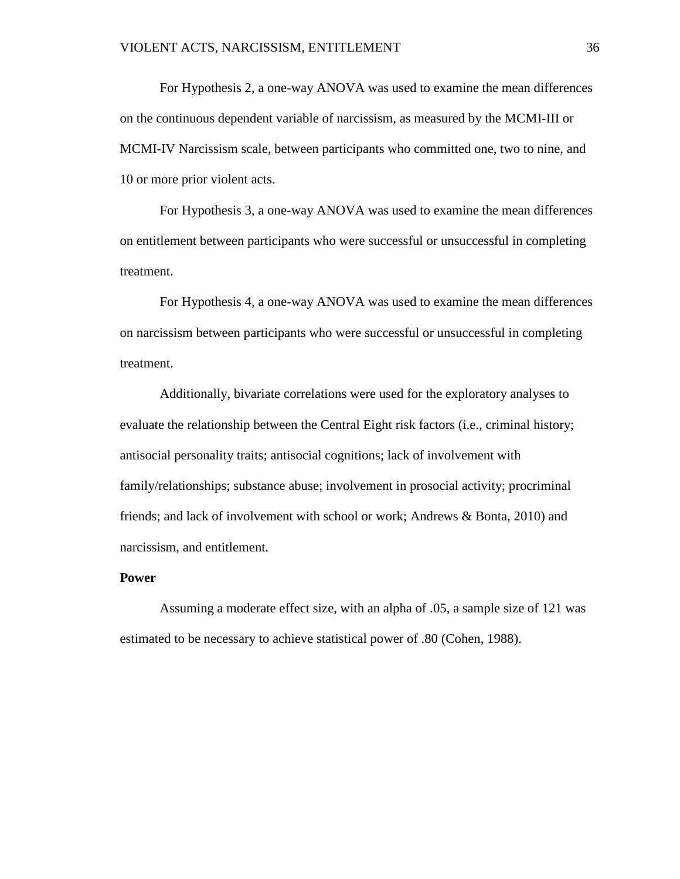For Hypothesis 2, a one-way ANOVA was used to examine the mean differences on the continuous dependent variable of narcissism, as measured by the MCMI-III or MCMI-IV Narcissism scale, between participants who committed one, two to nine, and 10 or more prior violent acts.

For Hypothesis 3, a one-way ANOVA was used to examine the mean differences on entitlement between participants who were successful or unsuccessful in completing treatment.

For Hypothesis 4, a one-way ANOVA was used to examine the mean differences on narcissism between participants who were successful or unsuccessful in completing treatment.

Additionally, bivariate correlations were used for the exploratory analyses to evaluate the relationship between the Central Eight risk factors (i.e., criminal history; antisocial personality traits; antisocial cognitions; lack of involvement with family/relationships; substance abuse; involvement in prosocial activity; procriminal friends; and lack of involvement with school or work; Andrews & Bonta, 2010) and narcissism, and entitlement.

### **Power**

Assuming a moderate effect size, with an alpha of .05, a sample size of 121 was estimated to be necessary to achieve statistical power of .80 (Cohen, 1988).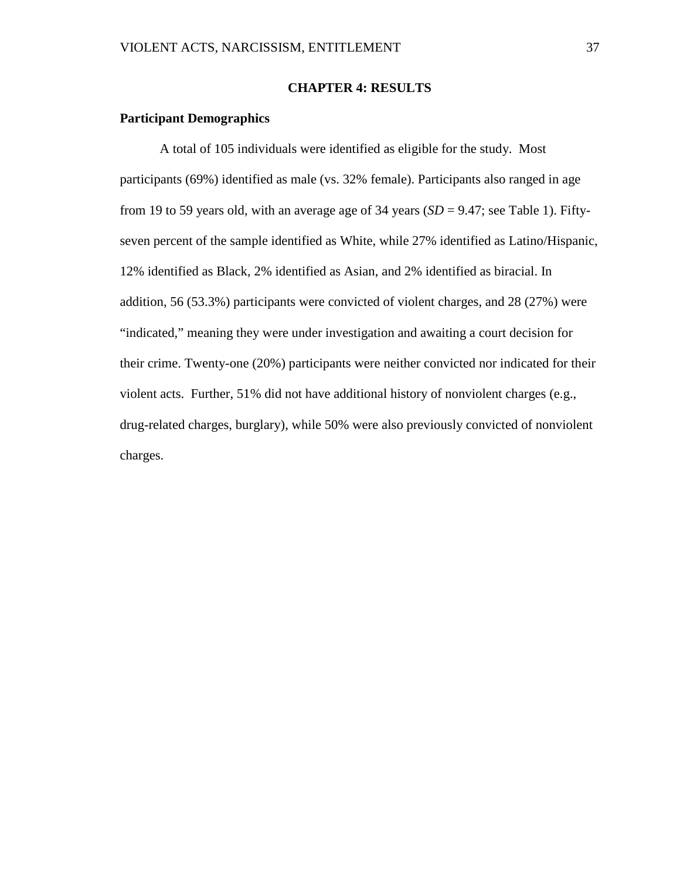### **CHAPTER 4: RESULTS**

# **Participant Demographics**

A total of 105 individuals were identified as eligible for the study. Most participants (69%) identified as male (vs. 32% female). Participants also ranged in age from 19 to 59 years old, with an average age of 34 years  $(SD = 9.47)$ ; see Table 1). Fiftyseven percent of the sample identified as White, while 27% identified as Latino/Hispanic, 12% identified as Black, 2% identified as Asian, and 2% identified as biracial. In addition, 56 (53.3%) participants were convicted of violent charges, and 28 (27%) were "indicated," meaning they were under investigation and awaiting a court decision for their crime. Twenty-one (20%) participants were neither convicted nor indicated for their violent acts. Further, 51% did not have additional history of nonviolent charges (e.g., drug-related charges, burglary), while 50% were also previously convicted of nonviolent charges.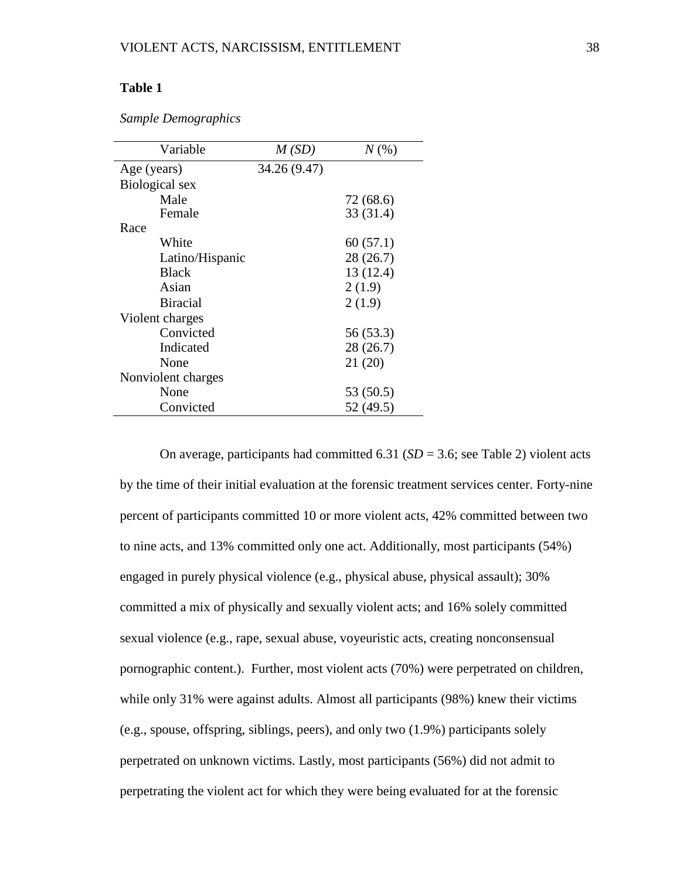# **Table 1**

| Variable           | M(SD)        | $N(\%)$   |
|--------------------|--------------|-----------|
| Age (years)        | 34.26 (9.47) |           |
| Biological sex     |              |           |
| Male               |              | 72 (68.6) |
| Female             |              | 33 (31.4) |
| Race               |              |           |
| White              |              | 60(57.1)  |
| Latino/Hispanic    |              | 28 (26.7) |
| <b>Black</b>       |              | 13 (12.4) |
| Asian              |              | 2(1.9)    |
| <b>Biracial</b>    |              | 2(1.9)    |
| Violent charges    |              |           |
| Convicted          |              | 56 (53.3) |
| Indicated          |              | 28 (26.7) |
| None               |              | 21(20)    |
| Nonviolent charges |              |           |
| None               |              | 53 (50.5) |
| Convicted          |              | 52 (49.5) |

*Sample Demographics*

On average, participants had committed 6.31 (*SD* = 3.6; see Table 2) violent acts by the time of their initial evaluation at the forensic treatment services center. Forty-nine percent of participants committed 10 or more violent acts, 42% committed between two to nine acts, and 13% committed only one act. Additionally, most participants (54%) engaged in purely physical violence (e.g., physical abuse, physical assault); 30% committed a mix of physically and sexually violent acts; and 16% solely committed sexual violence (e.g., rape, sexual abuse, voyeuristic acts, creating nonconsensual pornographic content.). Further, most violent acts (70%) were perpetrated on children, while only 31% were against adults. Almost all participants (98%) knew their victims (e.g., spouse, offspring, siblings, peers), and only two (1.9%) participants solely perpetrated on unknown victims. Lastly, most participants (56%) did not admit to perpetrating the violent act for which they were being evaluated for at the forensic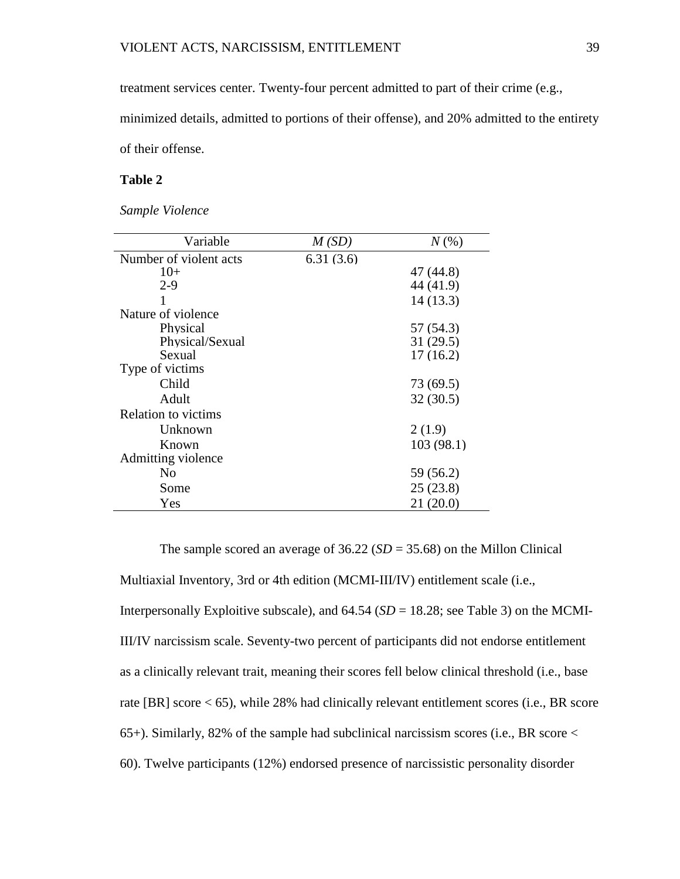treatment services center. Twenty-four percent admitted to part of their crime (e.g.,

minimized details, admitted to portions of their offense), and 20% admitted to the entirety

of their offense.

# **Table 2**

*Sample Violence* 

| Variable                   | M(SD)     | $N(\%)$   |
|----------------------------|-----------|-----------|
| Number of violent acts     | 6.31(3.6) |           |
| $10+$                      |           | 47 (44.8) |
| $2 - 9$                    |           | 44 (41.9) |
|                            |           | 14(13.3)  |
| Nature of violence         |           |           |
| Physical                   |           | 57 (54.3) |
| Physical/Sexual            |           | 31(29.5)  |
| Sexual                     |           | 17(16.2)  |
| Type of victims            |           |           |
| Child                      |           | 73 (69.5) |
| Adult                      |           | 32(30.5)  |
| <b>Relation to victims</b> |           |           |
| Unknown                    |           | 2(1.9)    |
| Known                      |           | 103(98.1) |
| Admitting violence         |           |           |
| N <sub>0</sub>             |           | 59 (56.2) |
| Some                       |           | 25(23.8)  |
| Yes                        |           | 21 (20.0) |

The sample scored an average of  $36.22$  ( $SD = 35.68$ ) on the Millon Clinical Multiaxial Inventory, 3rd or 4th edition (MCMI-III/IV) entitlement scale (i.e., Interpersonally Exploitive subscale), and  $64.54$  ( $SD = 18.28$ ; see Table 3) on the MCMI-III/IV narcissism scale. Seventy-two percent of participants did not endorse entitlement as a clinically relevant trait, meaning their scores fell below clinical threshold (i.e., base rate [BR] score < 65), while 28% had clinically relevant entitlement scores (i.e., BR score 65+). Similarly, 82% of the sample had subclinical narcissism scores (i.e., BR score < 60). Twelve participants (12%) endorsed presence of narcissistic personality disorder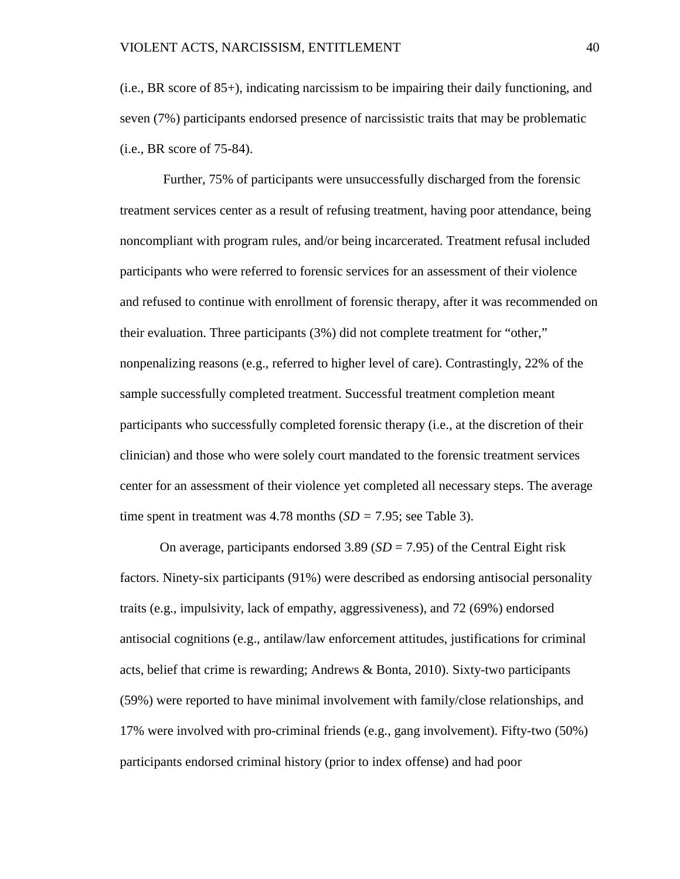(i.e., BR score of 85+), indicating narcissism to be impairing their daily functioning, and seven (7%) participants endorsed presence of narcissistic traits that may be problematic (i.e., BR score of 75-84).

Further, 75% of participants were unsuccessfully discharged from the forensic treatment services center as a result of refusing treatment, having poor attendance, being noncompliant with program rules, and/or being incarcerated. Treatment refusal included participants who were referred to forensic services for an assessment of their violence and refused to continue with enrollment of forensic therapy, after it was recommended on their evaluation. Three participants (3%) did not complete treatment for "other," nonpenalizing reasons (e.g., referred to higher level of care). Contrastingly, 22% of the sample successfully completed treatment. Successful treatment completion meant participants who successfully completed forensic therapy (i.e., at the discretion of their clinician) and those who were solely court mandated to the forensic treatment services center for an assessment of their violence yet completed all necessary steps. The average time spent in treatment was 4.78 months (*SD =* 7.95; see Table 3).

On average, participants endorsed 3.89 (*SD* = 7.95) of the Central Eight risk factors. Ninety-six participants (91%) were described as endorsing antisocial personality traits (e.g., impulsivity, lack of empathy, aggressiveness), and 72 (69%) endorsed antisocial cognitions (e.g., antilaw/law enforcement attitudes, justifications for criminal acts, belief that crime is rewarding; Andrews & Bonta, 2010). Sixty-two participants (59%) were reported to have minimal involvement with family/close relationships, and 17% were involved with pro-criminal friends (e.g., gang involvement). Fifty-two (50%) participants endorsed criminal history (prior to index offense) and had poor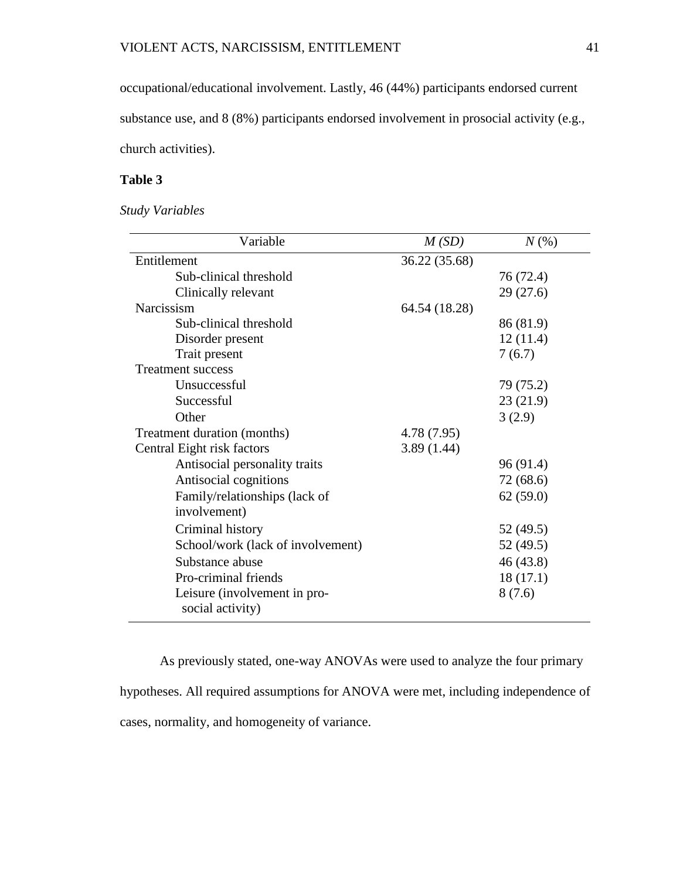occupational/educational involvement. Lastly, 46 (44%) participants endorsed current substance use, and 8 (8%) participants endorsed involvement in prosocial activity (e.g., church activities).

# **Table 3**

*Study Variables*

| Variable                          | M(SD)         | $N(\%)$   |
|-----------------------------------|---------------|-----------|
| Entitlement                       | 36.22 (35.68) |           |
| Sub-clinical threshold            |               | 76 (72.4) |
| Clinically relevant               |               | 29(27.6)  |
| Narcissism                        | 64.54 (18.28) |           |
| Sub-clinical threshold            |               | 86 (81.9) |
| Disorder present                  |               | 12(11.4)  |
| Trait present                     |               | 7(6.7)    |
| <b>Treatment success</b>          |               |           |
| Unsuccessful                      |               | 79 (75.2) |
| Successful                        |               | 23(21.9)  |
| Other                             |               | 3(2.9)    |
| Treatment duration (months)       | 4.78 (7.95)   |           |
| Central Eight risk factors        | 3.89(1.44)    |           |
| Antisocial personality traits     |               | 96(91.4)  |
| Antisocial cognitions             |               | 72 (68.6) |
| Family/relationships (lack of     |               | 62(59.0)  |
| involvement)                      |               |           |
| Criminal history                  |               | 52 (49.5) |
| School/work (lack of involvement) |               | 52 (49.5) |
| Substance abuse                   |               | 46(43.8)  |
| Pro-criminal friends              |               | 18(17.1)  |
| Leisure (involvement in pro-      |               | 8(7.6)    |
| social activity)                  |               |           |

As previously stated, one-way ANOVAs were used to analyze the four primary hypotheses. All required assumptions for ANOVA were met, including independence of cases, normality, and homogeneity of variance.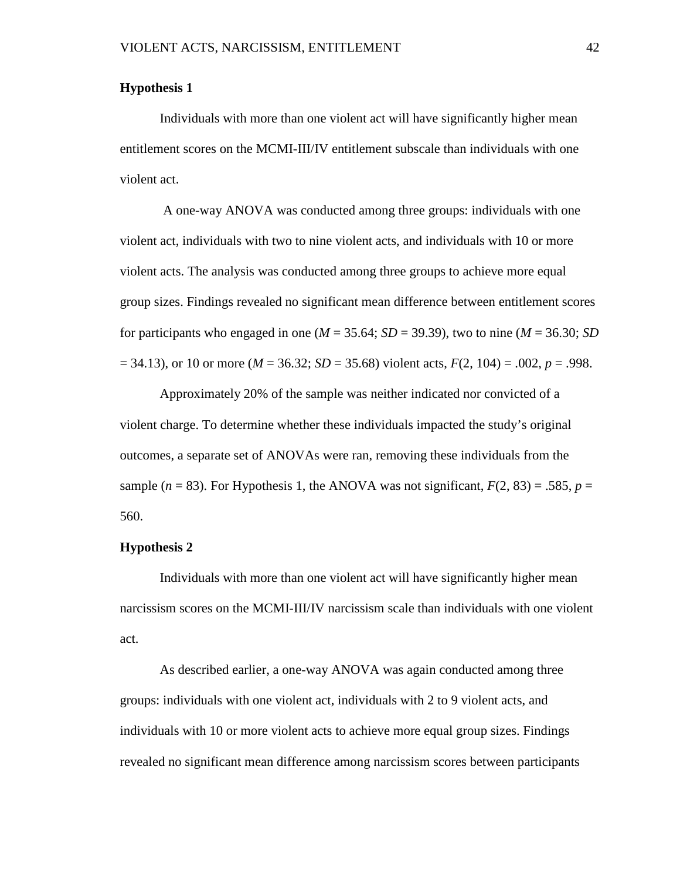## **Hypothesis 1**

Individuals with more than one violent act will have significantly higher mean entitlement scores on the MCMI-III/IV entitlement subscale than individuals with one violent act.

A one-way ANOVA was conducted among three groups: individuals with one violent act, individuals with two to nine violent acts, and individuals with 10 or more violent acts. The analysis was conducted among three groups to achieve more equal group sizes. Findings revealed no significant mean difference between entitlement scores for participants who engaged in one ( $M = 35.64$ ;  $SD = 39.39$ ), two to nine ( $M = 36.30$ ; *SD* = 34.13), or 10 or more (*M* = 36.32; *SD* = 35.68) violent acts, *F*(2, 104) = .002, *p* = .998.

Approximately 20% of the sample was neither indicated nor convicted of a violent charge. To determine whether these individuals impacted the study's original outcomes, a separate set of ANOVAs were ran, removing these individuals from the sample  $(n = 83)$ . For Hypothesis 1, the ANOVA was not significant,  $F(2, 83) = .585$ ,  $p =$ 560.

#### **Hypothesis 2**

Individuals with more than one violent act will have significantly higher mean narcissism scores on the MCMI-III/IV narcissism scale than individuals with one violent act.

As described earlier, a one-way ANOVA was again conducted among three groups: individuals with one violent act, individuals with 2 to 9 violent acts, and individuals with 10 or more violent acts to achieve more equal group sizes. Findings revealed no significant mean difference among narcissism scores between participants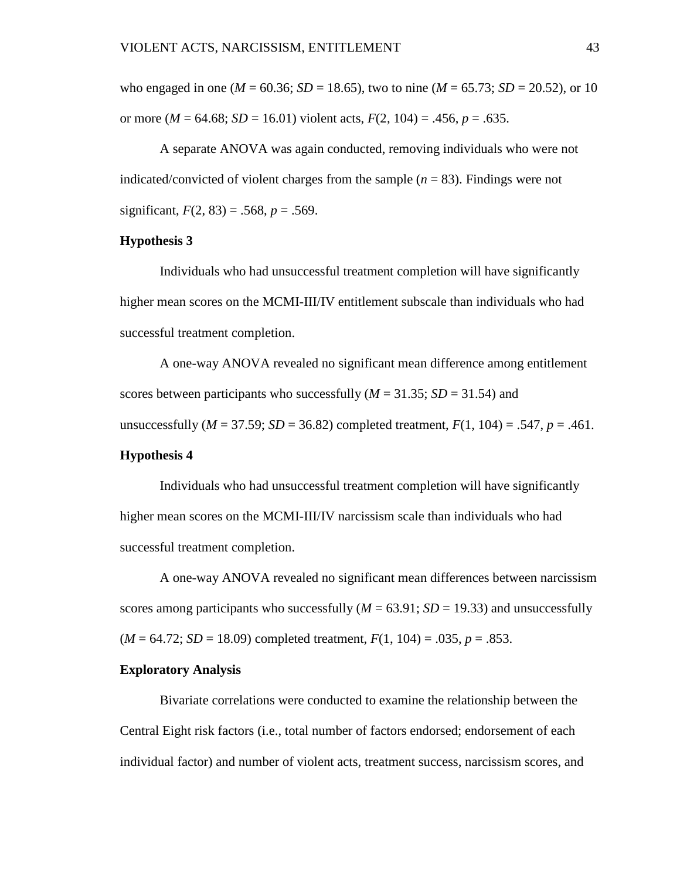who engaged in one ( $M = 60.36$ ;  $SD = 18.65$ ), two to nine ( $M = 65.73$ ;  $SD = 20.52$ ), or 10 or more ( $M = 64.68$ ;  $SD = 16.01$ ) violent acts,  $F(2, 104) = .456$ ,  $p = .635$ .

A separate ANOVA was again conducted, removing individuals who were not indicated/convicted of violent charges from the sample (*n* = 83). Findings were not significant,  $F(2, 83) = .568$ ,  $p = .569$ .

## **Hypothesis 3**

Individuals who had unsuccessful treatment completion will have significantly higher mean scores on the MCMI-III/IV entitlement subscale than individuals who had successful treatment completion.

A one-way ANOVA revealed no significant mean difference among entitlement scores between participants who successfully  $(M = 31.35; SD = 31.54)$  and unsuccessfully ( $M = 37.59$ ;  $SD = 36.82$ ) completed treatment,  $F(1, 104) = .547$ ,  $p = .461$ . **Hypothesis 4**

Individuals who had unsuccessful treatment completion will have significantly higher mean scores on the MCMI-III/IV narcissism scale than individuals who had successful treatment completion.

A one-way ANOVA revealed no significant mean differences between narcissism scores among participants who successfully  $(M = 63.91; SD = 19.33)$  and unsuccessfully  $(M = 64.72; SD = 18.09)$  completed treatment,  $F(1, 104) = .035, p = .853$ .

### **Exploratory Analysis**

Bivariate correlations were conducted to examine the relationship between the Central Eight risk factors (i.e., total number of factors endorsed; endorsement of each individual factor) and number of violent acts, treatment success, narcissism scores, and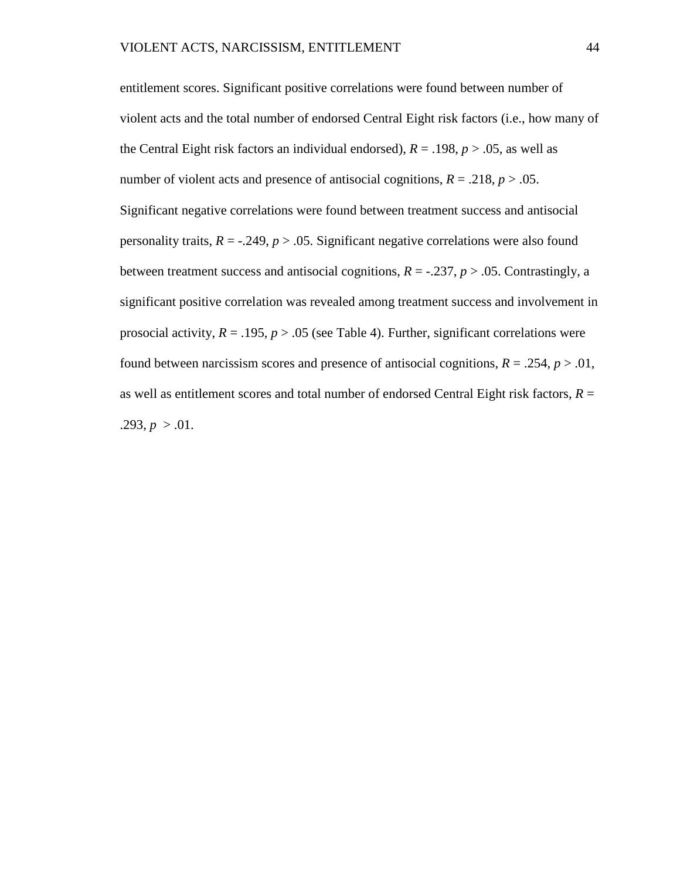entitlement scores. Significant positive correlations were found between number of violent acts and the total number of endorsed Central Eight risk factors (i.e., how many of the Central Eight risk factors an individual endorsed),  $R = .198$ ,  $p > .05$ , as well as number of violent acts and presence of antisocial cognitions,  $R = .218$ ,  $p > .05$ . Significant negative correlations were found between treatment success and antisocial personality traits,  $R = -0.249$ ,  $p > 0.05$ . Significant negative correlations were also found between treatment success and antisocial cognitions,  $R = -0.237$ ,  $p > 0.05$ . Contrastingly, a significant positive correlation was revealed among treatment success and involvement in prosocial activity,  $R = .195$ ,  $p > .05$  (see Table 4). Further, significant correlations were found between narcissism scores and presence of antisocial cognitions,  $R = .254$ ,  $p > .01$ , as well as entitlement scores and total number of endorsed Central Eight risk factors,  $R =$ .293,  $p > 0.01$ .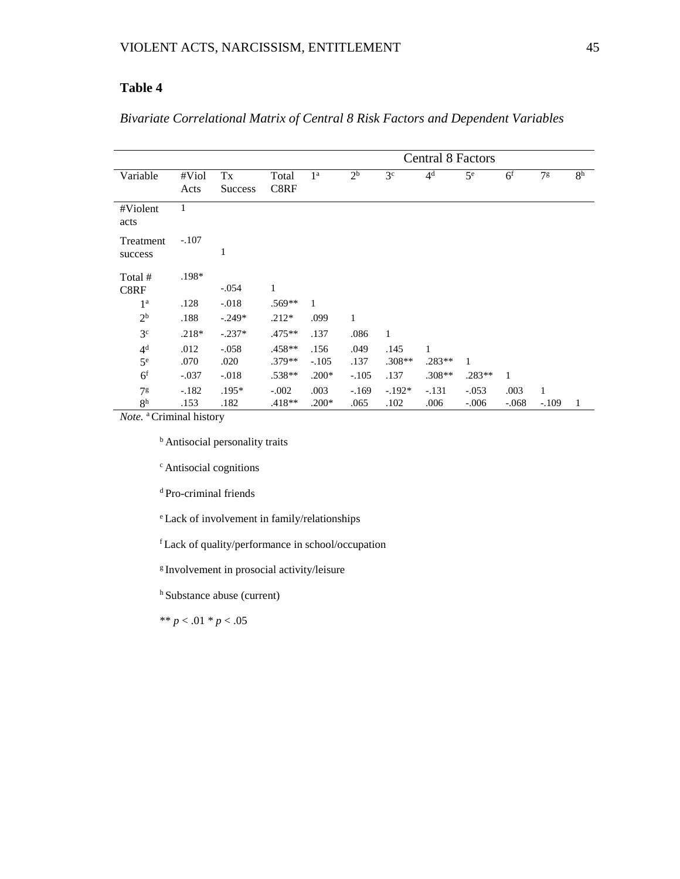# **Table 4**

# *Bivariate Correlational Matrix of Central 8 Risk Factors and Dependent Variables*

|                      | <b>Central 8 Factors</b> |                      |               |                |                |                |                |                |                |                |                |
|----------------------|--------------------------|----------------------|---------------|----------------|----------------|----------------|----------------|----------------|----------------|----------------|----------------|
| Variable             | $#$ Viol<br>Acts         | Tx<br><b>Success</b> | Total<br>C8RF | 1 <sup>a</sup> | 2 <sup>b</sup> | 3 <sup>c</sup> | 4 <sup>d</sup> | $5^{\text{e}}$ | 6 <sup>f</sup> | 7 <sup>g</sup> | 8 <sup>h</sup> |
| #Violent<br>acts     | $\mathbf{1}$             |                      |               |                |                |                |                |                |                |                |                |
| Treatment<br>success | $-.107$                  | 1                    |               |                |                |                |                |                |                |                |                |
| Total #<br>C8RF      | .198*                    | $-.054$              | $\mathbf{1}$  |                |                |                |                |                |                |                |                |
| 1 <sup>a</sup>       | .128                     | $-.018$              | $.569**$      | 1              |                |                |                |                |                |                |                |
| 2 <sup>b</sup>       | .188                     | $-.249*$             | $.212*$       | .099           | 1              |                |                |                |                |                |                |
| 3 <sup>c</sup>       | $.218*$                  | $-.237*$             | $.475**$      | .137           | .086           | $\mathbf{1}$   |                |                |                |                |                |
| 4 <sup>d</sup>       | .012                     | $-.058$              | .458**        | .156           | .049           | .145           | 1              |                |                |                |                |
| $5^{\text{e}}$       | .070                     | .020                 | $.379**$      | $-.105$        | .137           | $.308**$       | $.283**$       | 1              |                |                |                |
| 6 <sup>f</sup>       | $-.037$                  | $-.018$              | .538**        | $.200*$        | $-.105$        | .137           | $.308**$       | $.283**$       | $\mathbf{1}$   |                |                |
| 7 <sup>g</sup>       | $-.182$                  | $.195*$              | $-.002$       | .003           | $-.169$        | $-.192*$       | $-.131$        | $-.053$        | .003           | 1              |                |
| 8 <sup>h</sup>       | .153                     | .182                 | $.418**$      | $.200*$        | .065           | .102           | .006           | $-.006$        | $-.068$        | $-.109$        | 1              |

*Note.* a Criminal history

**b** Antisocial personality traits

c Antisocial cognitions

d Pro-criminal friends

e Lack of involvement in family/relationships

f Lack of quality/performance in school/occupation

g Involvement in prosocial activity/leisure

h Substance abuse (current)

\*\* *p* < .01 \* *p* < .05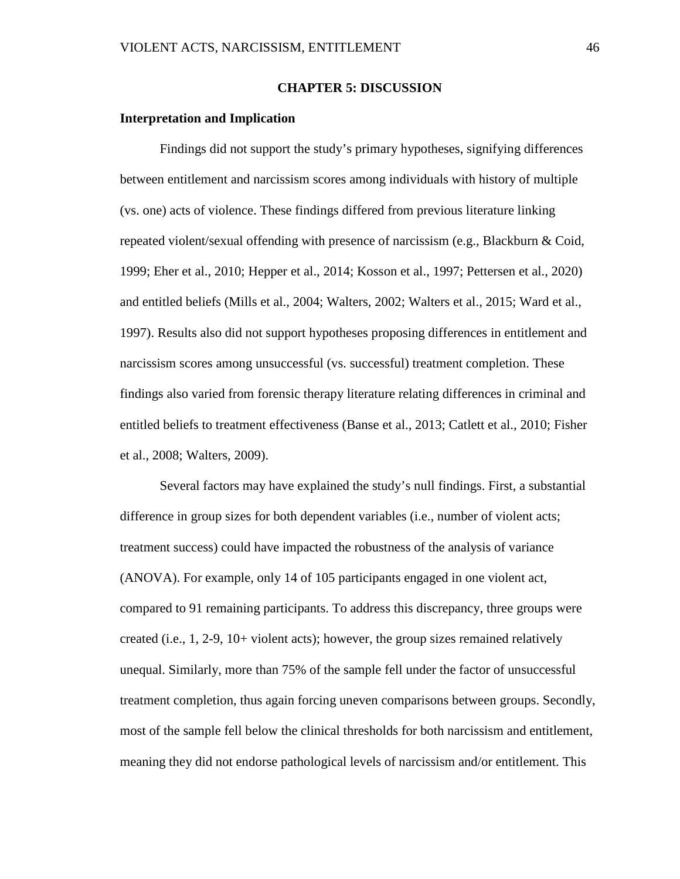### **CHAPTER 5: DISCUSSION**

### **Interpretation and Implication**

Findings did not support the study's primary hypotheses, signifying differences between entitlement and narcissism scores among individuals with history of multiple (vs. one) acts of violence. These findings differed from previous literature linking repeated violent/sexual offending with presence of narcissism (e.g., Blackburn & Coid, 1999; Eher et al., 2010; Hepper et al., 2014; Kosson et al., 1997; Pettersen et al., 2020) and entitled beliefs (Mills et al., 2004; Walters, 2002; Walters et al., 2015; Ward et al., 1997). Results also did not support hypotheses proposing differences in entitlement and narcissism scores among unsuccessful (vs. successful) treatment completion. These findings also varied from forensic therapy literature relating differences in criminal and entitled beliefs to treatment effectiveness (Banse et al., 2013; Catlett et al., 2010; Fisher et al., 2008; Walters, 2009).

Several factors may have explained the study's null findings. First, a substantial difference in group sizes for both dependent variables (i.e., number of violent acts; treatment success) could have impacted the robustness of the analysis of variance (ANOVA). For example, only 14 of 105 participants engaged in one violent act, compared to 91 remaining participants. To address this discrepancy, three groups were created (i.e., 1, 2-9, 10+ violent acts); however, the group sizes remained relatively unequal. Similarly, more than 75% of the sample fell under the factor of unsuccessful treatment completion, thus again forcing uneven comparisons between groups. Secondly, most of the sample fell below the clinical thresholds for both narcissism and entitlement, meaning they did not endorse pathological levels of narcissism and/or entitlement. This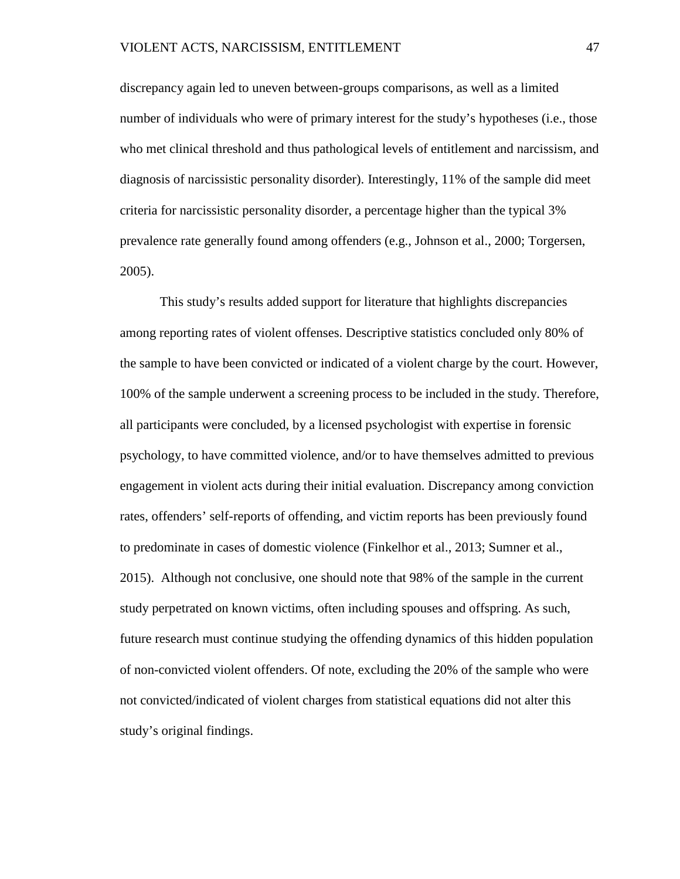discrepancy again led to uneven between-groups comparisons, as well as a limited number of individuals who were of primary interest for the study's hypotheses (i.e., those who met clinical threshold and thus pathological levels of entitlement and narcissism, and diagnosis of narcissistic personality disorder). Interestingly, 11% of the sample did meet criteria for narcissistic personality disorder, a percentage higher than the typical 3% prevalence rate generally found among offenders (e.g., Johnson et al., 2000; Torgersen, 2005).

This study's results added support for literature that highlights discrepancies among reporting rates of violent offenses. Descriptive statistics concluded only 80% of the sample to have been convicted or indicated of a violent charge by the court. However, 100% of the sample underwent a screening process to be included in the study. Therefore, all participants were concluded, by a licensed psychologist with expertise in forensic psychology, to have committed violence, and/or to have themselves admitted to previous engagement in violent acts during their initial evaluation. Discrepancy among conviction rates, offenders' self-reports of offending, and victim reports has been previously found to predominate in cases of domestic violence (Finkelhor et al., 2013; Sumner et al., 2015). Although not conclusive, one should note that 98% of the sample in the current study perpetrated on known victims, often including spouses and offspring. As such, future research must continue studying the offending dynamics of this hidden population of non-convicted violent offenders. Of note, excluding the 20% of the sample who were not convicted/indicated of violent charges from statistical equations did not alter this study's original findings.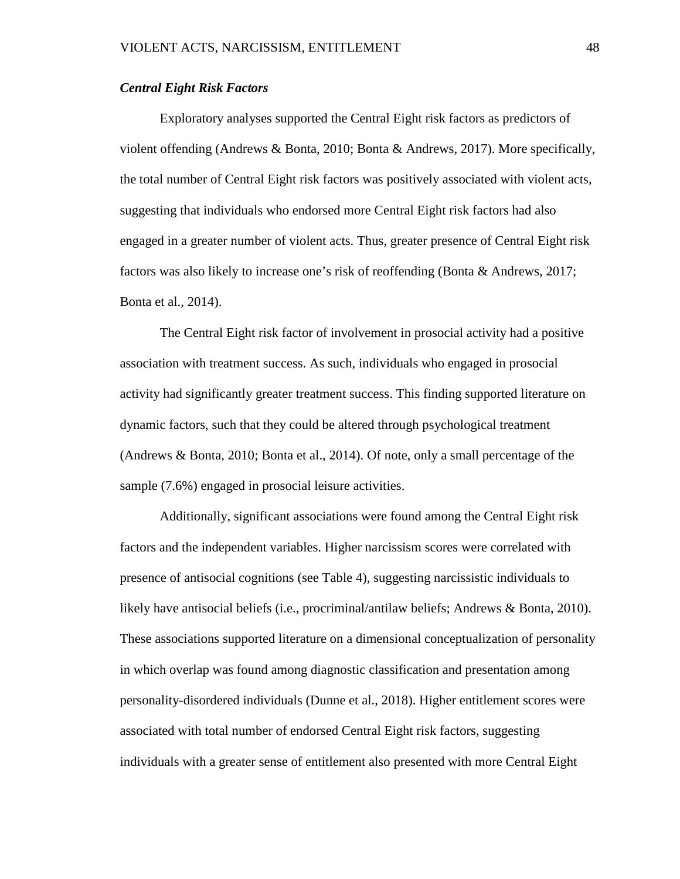### *Central Eight Risk Factors*

Exploratory analyses supported the Central Eight risk factors as predictors of violent offending (Andrews & Bonta, 2010; Bonta & Andrews, 2017). More specifically, the total number of Central Eight risk factors was positively associated with violent acts, suggesting that individuals who endorsed more Central Eight risk factors had also engaged in a greater number of violent acts. Thus, greater presence of Central Eight risk factors was also likely to increase one's risk of reoffending (Bonta & Andrews, 2017; Bonta et al., 2014).

The Central Eight risk factor of involvement in prosocial activity had a positive association with treatment success. As such, individuals who engaged in prosocial activity had significantly greater treatment success. This finding supported literature on dynamic factors, such that they could be altered through psychological treatment (Andrews & Bonta, 2010; Bonta et al., 2014). Of note, only a small percentage of the sample (7.6%) engaged in prosocial leisure activities.

Additionally, significant associations were found among the Central Eight risk factors and the independent variables. Higher narcissism scores were correlated with presence of antisocial cognitions (see Table 4), suggesting narcissistic individuals to likely have antisocial beliefs (i.e., procriminal/antilaw beliefs; Andrews & Bonta, 2010). These associations supported literature on a dimensional conceptualization of personality in which overlap was found among diagnostic classification and presentation among personality-disordered individuals (Dunne et al., 2018). Higher entitlement scores were associated with total number of endorsed Central Eight risk factors, suggesting individuals with a greater sense of entitlement also presented with more Central Eight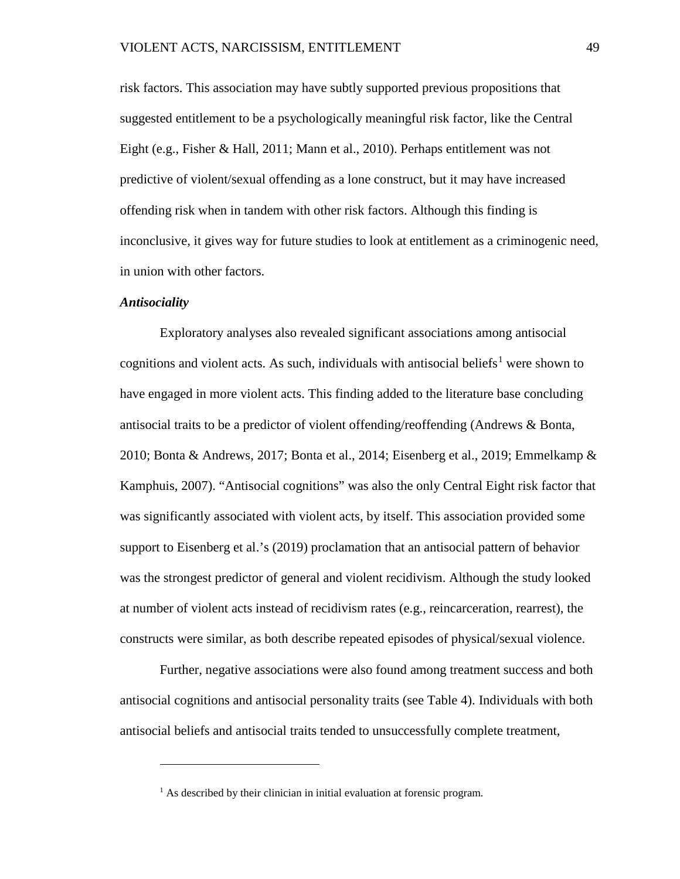risk factors. This association may have subtly supported previous propositions that suggested entitlement to be a psychologically meaningful risk factor, like the Central Eight (e.g., Fisher & Hall, 2011; Mann et al., 2010). Perhaps entitlement was not predictive of violent/sexual offending as a lone construct, but it may have increased offending risk when in tandem with other risk factors. Although this finding is inconclusive, it gives way for future studies to look at entitlement as a criminogenic need, in union with other factors.

#### *Antisociality*

 $\overline{a}$ 

Exploratory analyses also revealed significant associations among antisocial cognitions and violent acts. As such, individuals with antisocial beliefs<sup>[1](#page-55-0)</sup> were shown to have engaged in more violent acts. This finding added to the literature base concluding antisocial traits to be a predictor of violent offending/reoffending (Andrews & Bonta, 2010; Bonta & Andrews, 2017; Bonta et al., 2014; Eisenberg et al., 2019; Emmelkamp & Kamphuis, 2007). "Antisocial cognitions" was also the only Central Eight risk factor that was significantly associated with violent acts, by itself. This association provided some support to Eisenberg et al.'s (2019) proclamation that an antisocial pattern of behavior was the strongest predictor of general and violent recidivism. Although the study looked at number of violent acts instead of recidivism rates (e.g., reincarceration, rearrest), the constructs were similar, as both describe repeated episodes of physical/sexual violence.

Further, negative associations were also found among treatment success and both antisocial cognitions and antisocial personality traits (see Table 4). Individuals with both antisocial beliefs and antisocial traits tended to unsuccessfully complete treatment,

<span id="page-55-0"></span> $<sup>1</sup>$  As described by their clinician in initial evaluation at forensic program.</sup>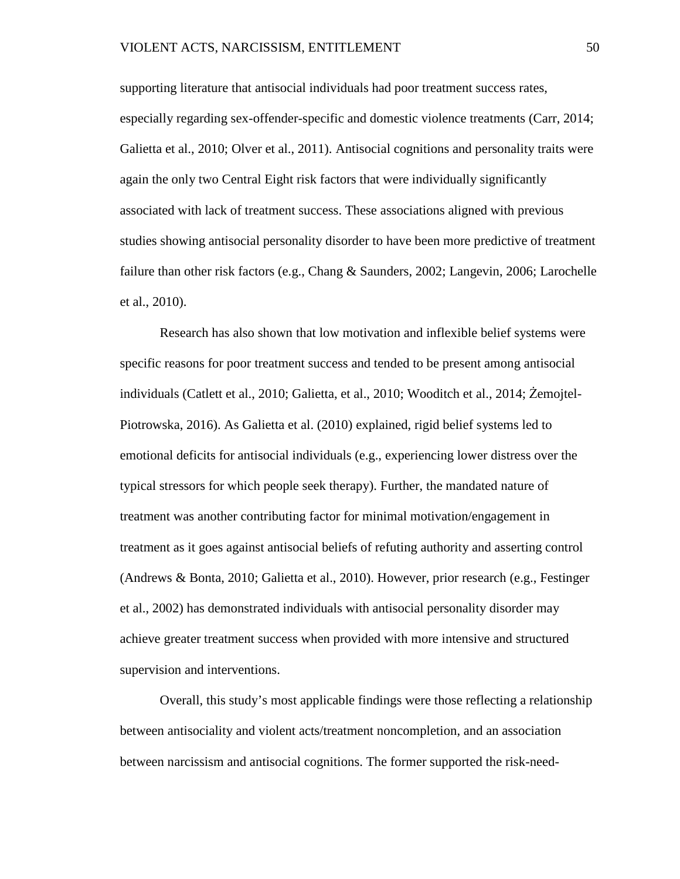supporting literature that antisocial individuals had poor treatment success rates, especially regarding sex-offender-specific and domestic violence treatments (Carr, 2014; Galietta et al., 2010; Olver et al., 2011). Antisocial cognitions and personality traits were again the only two Central Eight risk factors that were individually significantly associated with lack of treatment success. These associations aligned with previous studies showing antisocial personality disorder to have been more predictive of treatment failure than other risk factors (e.g., Chang & Saunders, 2002; Langevin, 2006; Larochelle et al., 2010).

Research has also shown that low motivation and inflexible belief systems were specific reasons for poor treatment success and tended to be present among antisocial individuals (Catlett et al., 2010; Galietta, et al., 2010; Wooditch et al., 2014; Żemojtel-Piotrowska, 2016). As Galietta et al. (2010) explained, rigid belief systems led to emotional deficits for antisocial individuals (e.g., experiencing lower distress over the typical stressors for which people seek therapy). Further, the mandated nature of treatment was another contributing factor for minimal motivation/engagement in treatment as it goes against antisocial beliefs of refuting authority and asserting control (Andrews & Bonta, 2010; Galietta et al., 2010). However, prior research (e.g., Festinger et al., 2002) has demonstrated individuals with antisocial personality disorder may achieve greater treatment success when provided with more intensive and structured supervision and interventions.

Overall, this study's most applicable findings were those reflecting a relationship between antisociality and violent acts/treatment noncompletion, and an association between narcissism and antisocial cognitions. The former supported the risk-need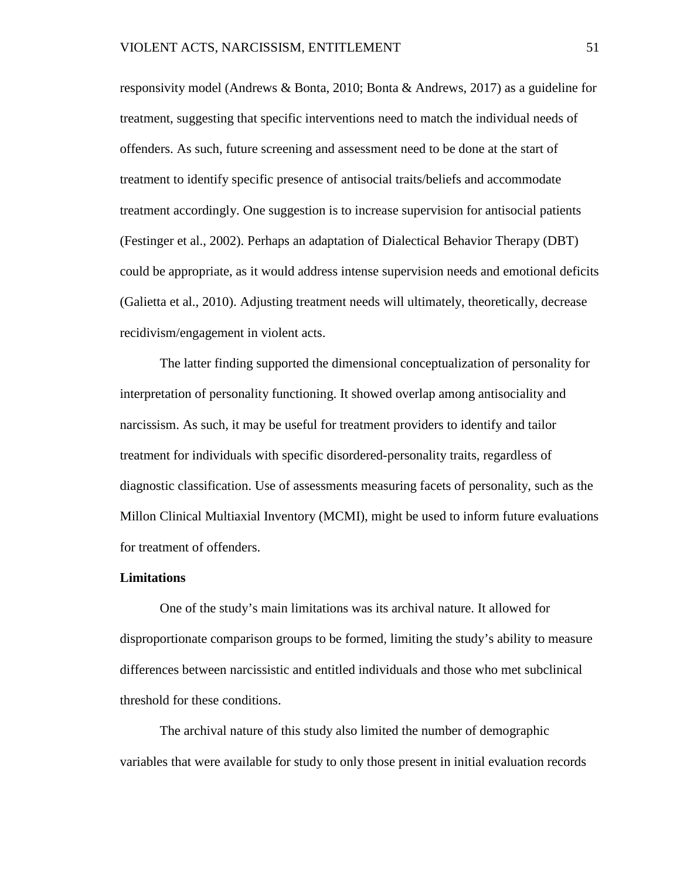responsivity model (Andrews & Bonta, 2010; Bonta & Andrews, 2017) as a guideline for treatment, suggesting that specific interventions need to match the individual needs of offenders. As such, future screening and assessment need to be done at the start of treatment to identify specific presence of antisocial traits/beliefs and accommodate treatment accordingly. One suggestion is to increase supervision for antisocial patients (Festinger et al., 2002). Perhaps an adaptation of Dialectical Behavior Therapy (DBT) could be appropriate, as it would address intense supervision needs and emotional deficits (Galietta et al., 2010). Adjusting treatment needs will ultimately, theoretically, decrease recidivism/engagement in violent acts.

The latter finding supported the dimensional conceptualization of personality for interpretation of personality functioning. It showed overlap among antisociality and narcissism. As such, it may be useful for treatment providers to identify and tailor treatment for individuals with specific disordered-personality traits, regardless of diagnostic classification. Use of assessments measuring facets of personality, such as the Millon Clinical Multiaxial Inventory (MCMI), might be used to inform future evaluations for treatment of offenders.

### **Limitations**

One of the study's main limitations was its archival nature. It allowed for disproportionate comparison groups to be formed, limiting the study's ability to measure differences between narcissistic and entitled individuals and those who met subclinical threshold for these conditions.

The archival nature of this study also limited the number of demographic variables that were available for study to only those present in initial evaluation records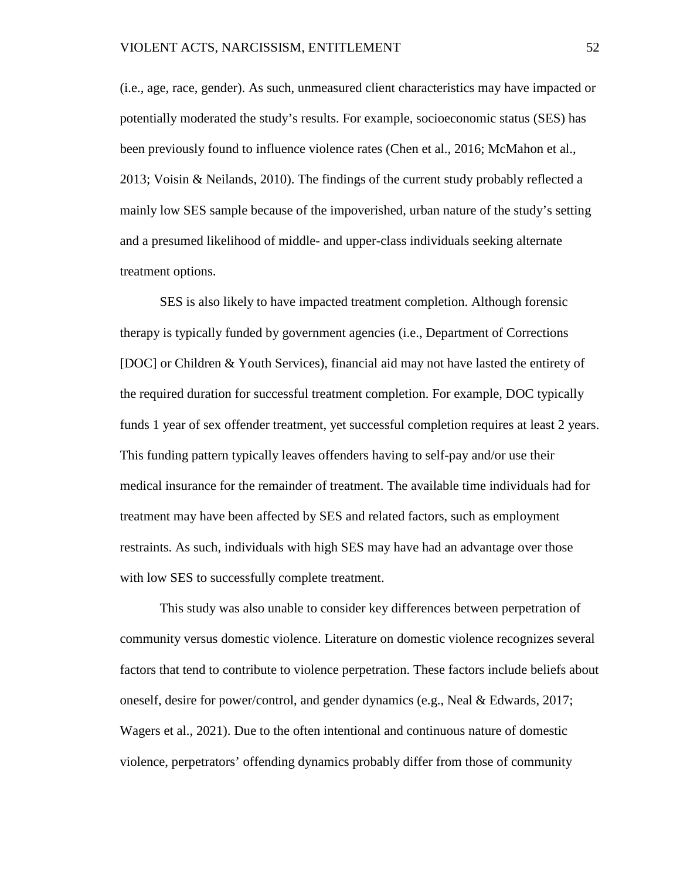(i.e., age, race, gender). As such, unmeasured client characteristics may have impacted or potentially moderated the study's results. For example, socioeconomic status (SES) has been previously found to influence violence rates (Chen et al., 2016; McMahon et al., 2013; Voisin & Neilands, 2010). The findings of the current study probably reflected a mainly low SES sample because of the impoverished, urban nature of the study's setting and a presumed likelihood of middle- and upper-class individuals seeking alternate treatment options.

SES is also likely to have impacted treatment completion. Although forensic therapy is typically funded by government agencies (i.e., Department of Corrections [DOC] or Children & Youth Services), financial aid may not have lasted the entirety of the required duration for successful treatment completion. For example, DOC typically funds 1 year of sex offender treatment, yet successful completion requires at least 2 years. This funding pattern typically leaves offenders having to self-pay and/or use their medical insurance for the remainder of treatment. The available time individuals had for treatment may have been affected by SES and related factors, such as employment restraints. As such, individuals with high SES may have had an advantage over those with low SES to successfully complete treatment.

This study was also unable to consider key differences between perpetration of community versus domestic violence. Literature on domestic violence recognizes several factors that tend to contribute to violence perpetration. These factors include beliefs about oneself, desire for power/control, and gender dynamics (e.g., Neal & Edwards, 2017; Wagers et al., 2021). Due to the often intentional and continuous nature of domestic violence, perpetrators' offending dynamics probably differ from those of community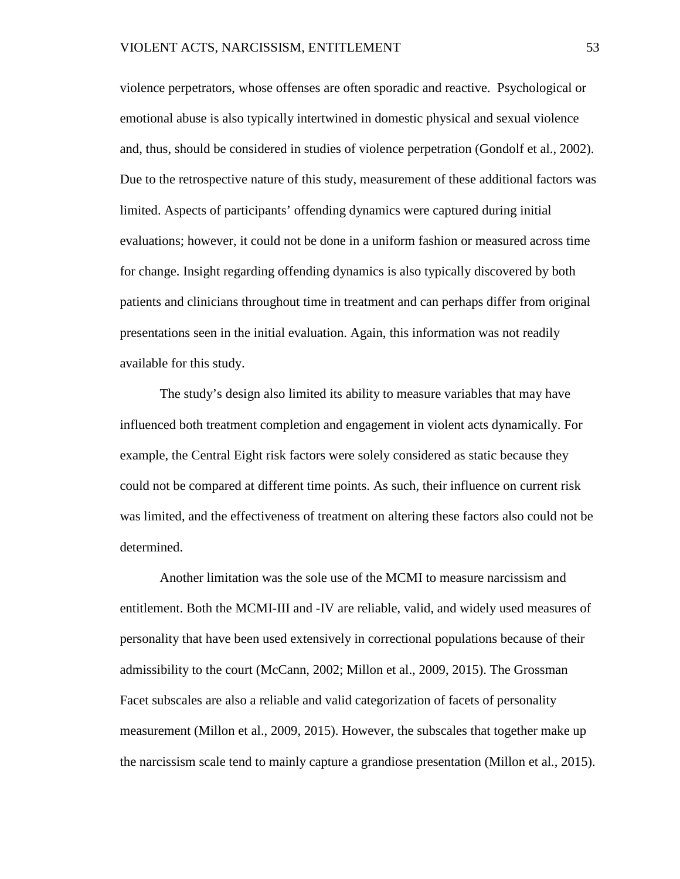violence perpetrators, whose offenses are often sporadic and reactive. Psychological or emotional abuse is also typically intertwined in domestic physical and sexual violence and, thus, should be considered in studies of violence perpetration (Gondolf et al., 2002). Due to the retrospective nature of this study, measurement of these additional factors was limited. Aspects of participants' offending dynamics were captured during initial evaluations; however, it could not be done in a uniform fashion or measured across time for change. Insight regarding offending dynamics is also typically discovered by both patients and clinicians throughout time in treatment and can perhaps differ from original presentations seen in the initial evaluation. Again, this information was not readily available for this study.

The study's design also limited its ability to measure variables that may have influenced both treatment completion and engagement in violent acts dynamically. For example, the Central Eight risk factors were solely considered as static because they could not be compared at different time points. As such, their influence on current risk was limited, and the effectiveness of treatment on altering these factors also could not be determined.

Another limitation was the sole use of the MCMI to measure narcissism and entitlement. Both the MCMI-III and -IV are reliable, valid, and widely used measures of personality that have been used extensively in correctional populations because of their admissibility to the court (McCann, 2002; Millon et al., 2009, 2015). The Grossman Facet subscales are also a reliable and valid categorization of facets of personality measurement (Millon et al., 2009, 2015). However, the subscales that together make up the narcissism scale tend to mainly capture a grandiose presentation (Millon et al., 2015).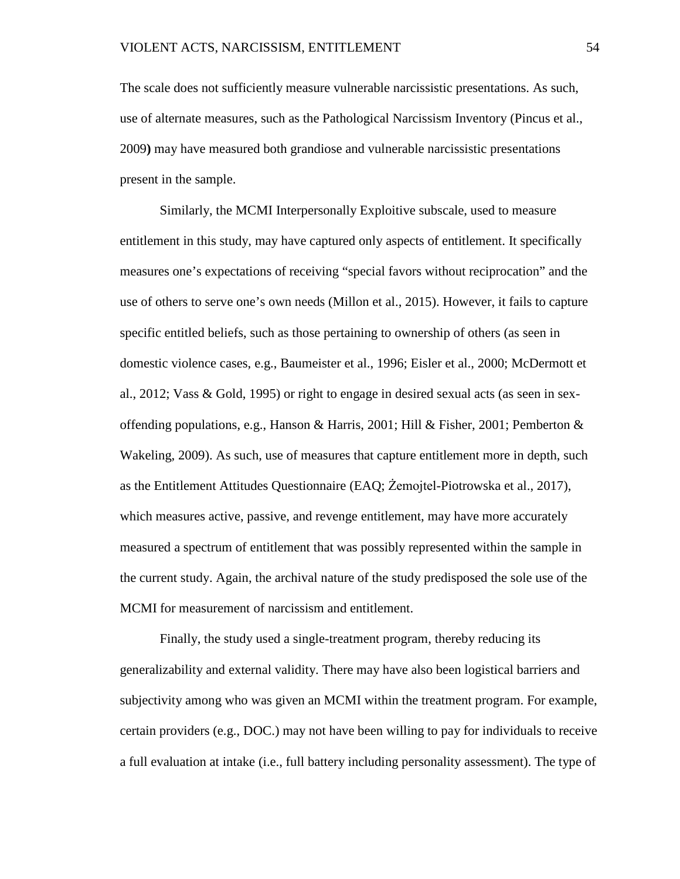The scale does not sufficiently measure vulnerable narcissistic presentations. As such, use of alternate measures, such as the Pathological Narcissism Inventory (Pincus et al., 2009**)** may have measured both grandiose and vulnerable narcissistic presentations present in the sample.

Similarly, the MCMI Interpersonally Exploitive subscale, used to measure entitlement in this study, may have captured only aspects of entitlement. It specifically measures one's expectations of receiving "special favors without reciprocation" and the use of others to serve one's own needs (Millon et al., 2015). However, it fails to capture specific entitled beliefs, such as those pertaining to ownership of others (as seen in domestic violence cases, e.g., Baumeister et al., 1996; Eisler et al., 2000; McDermott et al., 2012; Vass & Gold, 1995) or right to engage in desired sexual acts (as seen in sexoffending populations, e.g., Hanson & Harris, 2001; Hill & Fisher, 2001; Pemberton & Wakeling, 2009). As such, use of measures that capture entitlement more in depth, such as the Entitlement Attitudes Questionnaire (EAQ; Żemojtel-Piotrowska et al., 2017), which measures active, passive, and revenge entitlement, may have more accurately measured a spectrum of entitlement that was possibly represented within the sample in the current study. Again, the archival nature of the study predisposed the sole use of the MCMI for measurement of narcissism and entitlement.

Finally, the study used a single-treatment program, thereby reducing its generalizability and external validity. There may have also been logistical barriers and subjectivity among who was given an MCMI within the treatment program. For example, certain providers (e.g., DOC.) may not have been willing to pay for individuals to receive a full evaluation at intake (i.e., full battery including personality assessment). The type of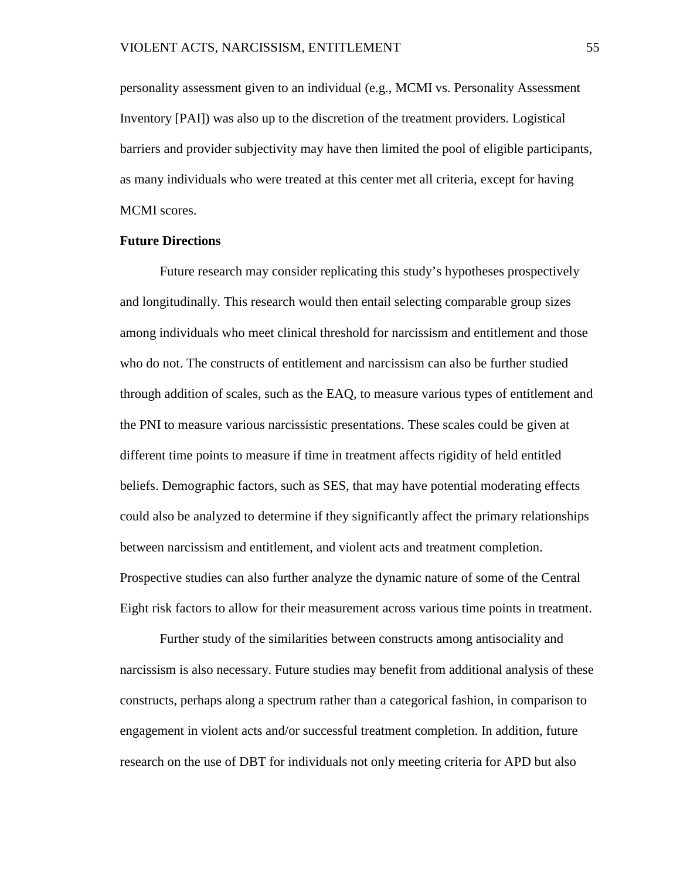personality assessment given to an individual (e.g., MCMI vs. Personality Assessment Inventory [PAI]) was also up to the discretion of the treatment providers. Logistical barriers and provider subjectivity may have then limited the pool of eligible participants, as many individuals who were treated at this center met all criteria, except for having MCMI scores.

### **Future Directions**

Future research may consider replicating this study's hypotheses prospectively and longitudinally. This research would then entail selecting comparable group sizes among individuals who meet clinical threshold for narcissism and entitlement and those who do not. The constructs of entitlement and narcissism can also be further studied through addition of scales, such as the EAQ, to measure various types of entitlement and the PNI to measure various narcissistic presentations. These scales could be given at different time points to measure if time in treatment affects rigidity of held entitled beliefs. Demographic factors, such as SES, that may have potential moderating effects could also be analyzed to determine if they significantly affect the primary relationships between narcissism and entitlement, and violent acts and treatment completion. Prospective studies can also further analyze the dynamic nature of some of the Central Eight risk factors to allow for their measurement across various time points in treatment.

Further study of the similarities between constructs among antisociality and narcissism is also necessary. Future studies may benefit from additional analysis of these constructs, perhaps along a spectrum rather than a categorical fashion, in comparison to engagement in violent acts and/or successful treatment completion. In addition, future research on the use of DBT for individuals not only meeting criteria for APD but also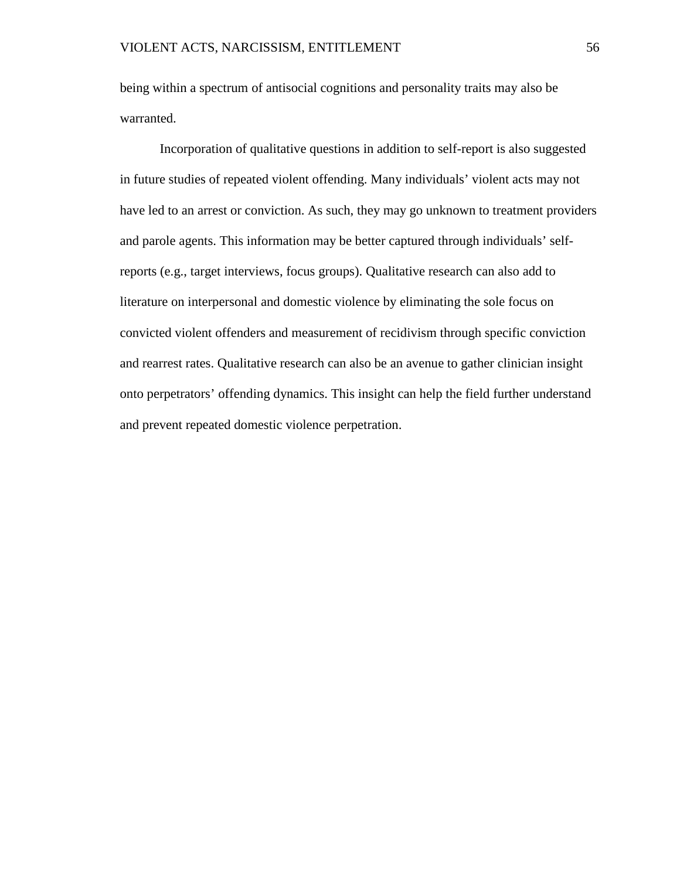being within a spectrum of antisocial cognitions and personality traits may also be warranted.

Incorporation of qualitative questions in addition to self-report is also suggested in future studies of repeated violent offending. Many individuals' violent acts may not have led to an arrest or conviction. As such, they may go unknown to treatment providers and parole agents. This information may be better captured through individuals' selfreports (e.g., target interviews, focus groups). Qualitative research can also add to literature on interpersonal and domestic violence by eliminating the sole focus on convicted violent offenders and measurement of recidivism through specific conviction and rearrest rates. Qualitative research can also be an avenue to gather clinician insight onto perpetrators' offending dynamics. This insight can help the field further understand and prevent repeated domestic violence perpetration.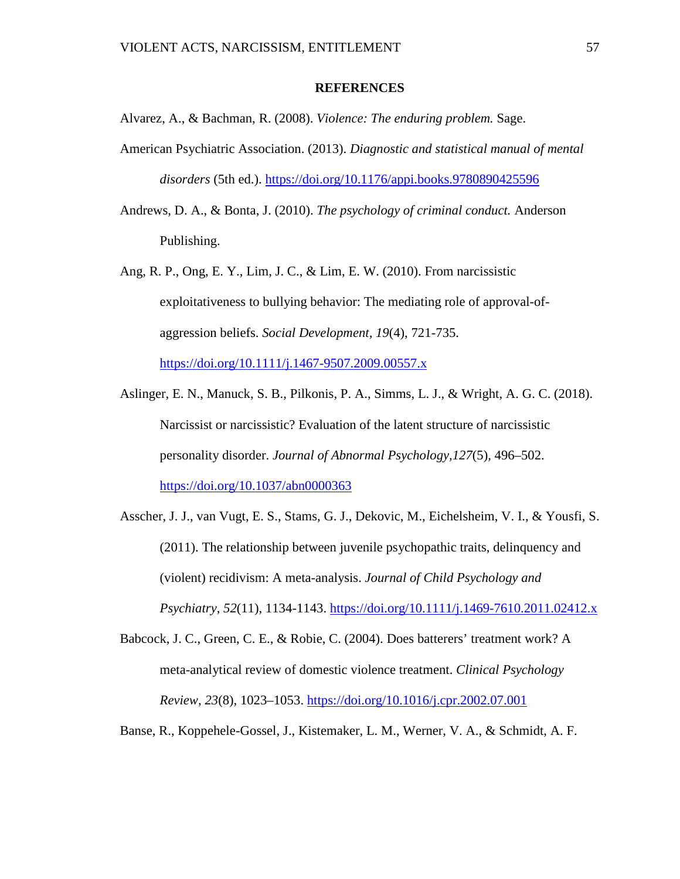### **REFERENCES**

Alvarez, A., & Bachman, R. (2008). *Violence: The enduring problem.* Sage.

- American Psychiatric Association. (2013). *Diagnostic and statistical manual of mental disorders* (5th ed.).<https://doi.org/10.1176/appi.books.9780890425596>
- Andrews, D. A., & Bonta, J. (2010). *The psychology of criminal conduct.* Anderson Publishing.

Ang, R. P., Ong, E. Y., Lim, J. C., & Lim, E. W. (2010). From narcissistic exploitativeness to bullying behavior: The mediating role of approval-ofaggression beliefs. *Social Development, 19*(4), 721-735. <https://doi.org/10.1111/j.1467-9507.2009.00557.x>

Aslinger, E. N., Manuck, S. B., Pilkonis, P. A., Simms, L. J., & Wright, A. G. C. (2018). Narcissist or narcissistic? Evaluation of the latent structure of narcissistic personality disorder. *Journal of Abnormal Psychology,127*(5)*,* 496–502. [https://doi.org/10.1037/abn0000363](https://psycnet.apa.org/doi/10.1037/abn0000363)

Asscher, J. J., van Vugt, E. S., Stams, G. J., Dekovic, M., Eichelsheim, V. I., & Yousfi, S. (2011). The relationship between juvenile psychopathic traits, delinquency and (violent) recidivism: A meta-analysis. *Journal of Child Psychology and Psychiatry*, *52*(11), 1134-1143.<https://doi.org/10.1111/j.1469-7610.2011.02412.x>

Babcock, J. C., Green, C. E., & Robie, C. (2004). Does batterers' treatment work? A meta-analytical review of domestic violence treatment. *Clinical Psychology Review, 23*(8), 1023–1053. <https://doi.org/10.1016/j.cpr.2002.07.001>

Banse, R., Koppehele-Gossel, J., Kistemaker, L. M., Werner, V. A., & Schmidt, A. F.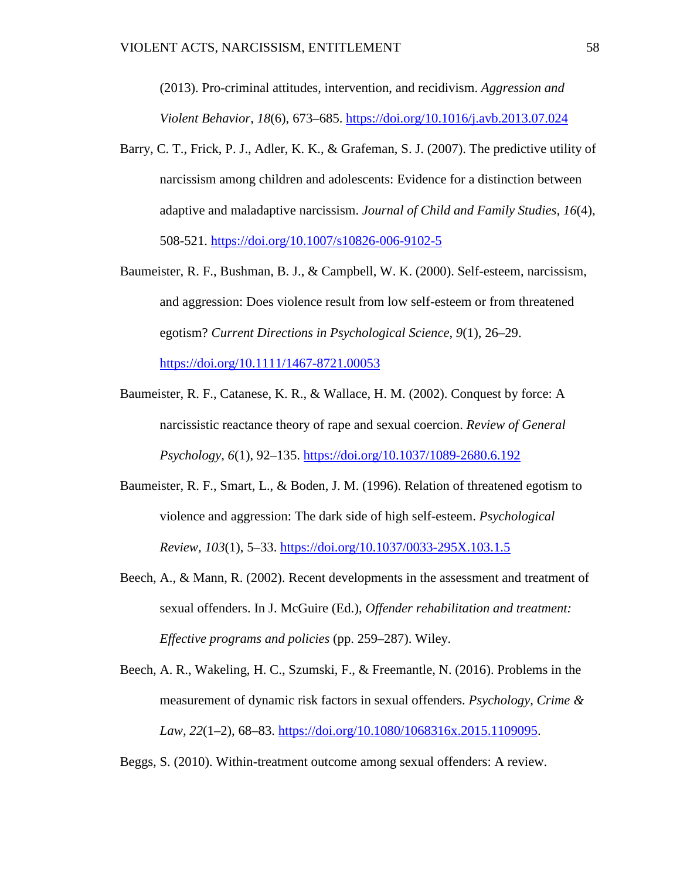(2013). Pro-criminal attitudes, intervention, and recidivism. *Aggression and Violent Behavior*, *18*(6), 673–685.<https://doi.org/10.1016/j.avb.2013.07.024>

- Barry, C. T., Frick, P. J., Adler, K. K., & Grafeman, S. J. (2007). The predictive utility of narcissism among children and adolescents: Evidence for a distinction between adaptive and maladaptive narcissism. *Journal of Child and Family Studies, 16*(4), 508-521. [https://doi.org/10.1007/s10826-006-9102-5](https://psycnet.apa.org/doi/10.1007/s10826-006-9102-5)
- Baumeister, R. F., Bushman, B. J., & Campbell, W. K. (2000). Self-esteem, narcissism, and aggression: Does violence result from low self-esteem or from threatened egotism? *Current Directions in Psychological Science*, *9*(1), 26–29.

<https://doi.org/10.1111/1467-8721.00053>

- Baumeister, R. F., Catanese, K. R., & Wallace, H. M. (2002). Conquest by force: A narcissistic reactance theory of rape and sexual coercion. *Review of General Psychology, 6*(1), 92–135.<https://doi.org/10.1037/1089-2680.6.192>
- Baumeister, R. F., Smart, L., & Boden, J. M. (1996). Relation of threatened egotism to violence and aggression: The dark side of high self-esteem. *Psychological Review, 103*(1), 5–33. [https://doi.org/10.1037/0033-295X.103.1.5](https://doi.apa.org/doi/10.1037/0033-295X.103.1.5)
- Beech, A., & Mann, R. (2002). Recent developments in the assessment and treatment of sexual offenders. In J. McGuire (Ed.), *Offender rehabilitation and treatment: Effective programs and policies* (pp. 259–287). Wiley.
- Beech, A. R., Wakeling, H. C., Szumski, F., & Freemantle, N. (2016). Problems in the measurement of dynamic risk factors in sexual offenders. *Psychology, Crime & Law, 22*(1–2), 68–83. [https://doi.org/10.1080/1068316x.2015.1109095.](https://doi.org/10.1080/1068316x.2015.1109095)
- Beggs, S. (2010). Within-treatment outcome among sexual offenders: A review.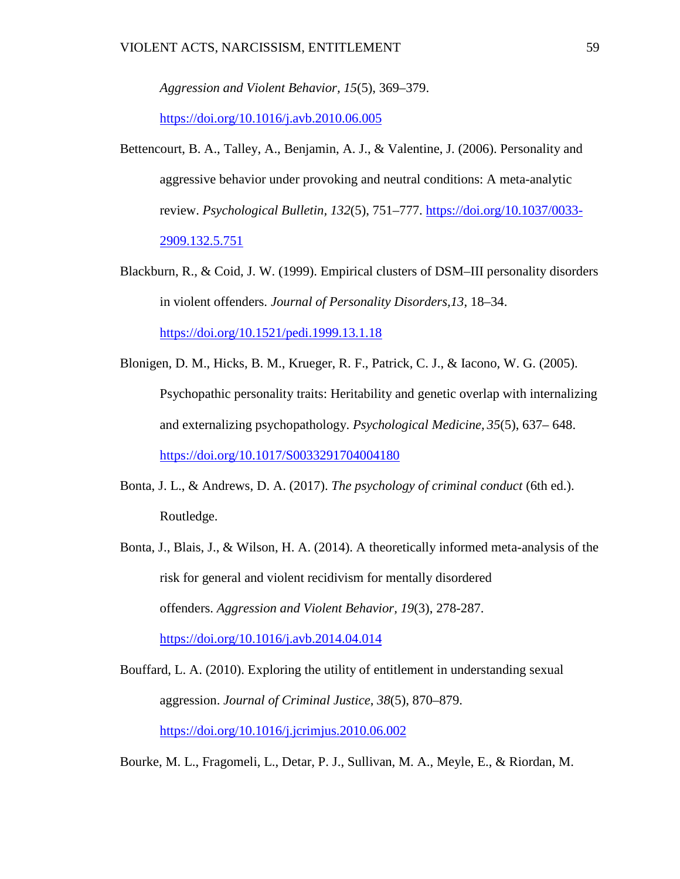*Aggression and Violent Behavior, 15*(5), 369–379.

<https://doi.org/10.1016/j.avb.2010.06.005>

- Bettencourt, B. A., Talley, A., Benjamin, A. J., & Valentine, J. (2006). Personality and aggressive behavior under provoking and neutral conditions: A meta-analytic review. *Psychological Bulletin, 132*(5), 751–777. [https://doi.org/10.1037/0033-](https://doi.org/10.1037/0033-2909.132.5.751) [2909.132.5.751](https://doi.org/10.1037/0033-2909.132.5.751)
- Blackburn, R., & Coid, J. W. (1999). Empirical clusters of DSM–III personality disorders in violent offenders. *Journal of Personality Disorders,13*, 18–34. <https://doi.org/10.1521/pedi.1999.13.1.18>
- Blonigen, D. M., Hicks, B. M., Krueger, R. F., Patrick, C. J., & Iacono, W. G. (2005). Psychopathic personality traits: Heritability and genetic overlap with internalizing and externalizing psychopathology. *Psychological Medicine, 35*(5), 637– 648. <https://doi.org/10.1017/S0033291704004180>
- Bonta, J. L., & Andrews, D. A. (2017). *The psychology of criminal conduct* (6th ed.). Routledge.
- Bonta, J., Blais, J., & Wilson, H. A. (2014). A theoretically informed meta-analysis of the risk for general and violent recidivism for mentally disordered offenders. *Aggression and Violent Behavior, 19*(3), 278-287. <https://doi.org/10.1016/j.avb.2014.04.014>
- Bouffard, L. A. (2010). Exploring the utility of entitlement in understanding sexual aggression. *Journal of Criminal Justice*, *38*(5), 870–879. <https://doi.org/10.1016/j.jcrimjus.2010.06.002>
- Bourke, M. L., Fragomeli, L., Detar, P. J., Sullivan, M. A., Meyle, E., & Riordan, M.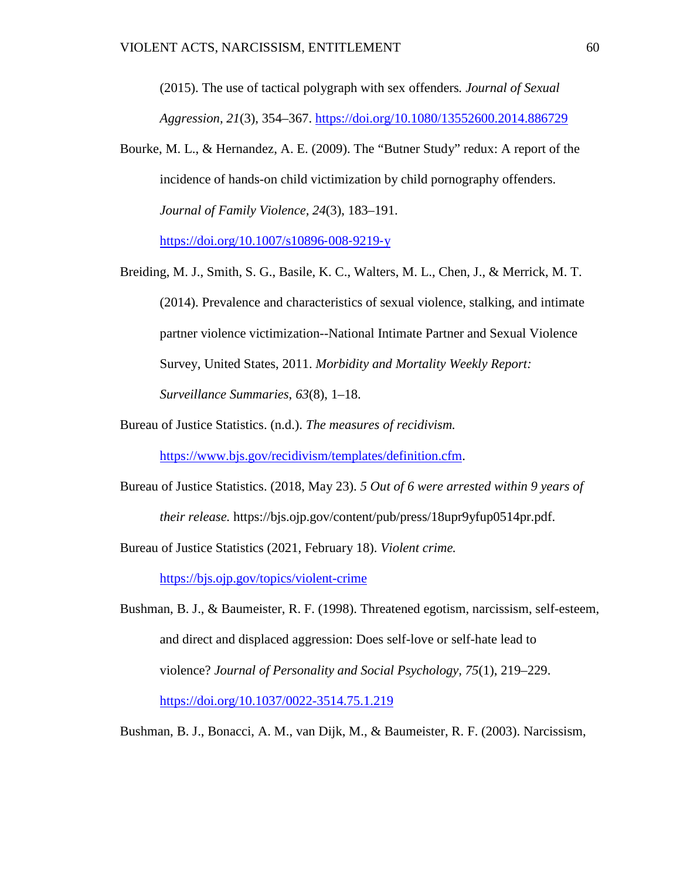(2015). The use of tactical polygraph with sex offenders*. Journal of Sexual Aggression, 21*(3), 354–367.<https://doi.org/10.1080/13552600.2014.886729>

Bourke, M. L., & Hernandez, A. E. (2009). The "Butner Study" redux: A report of the incidence of hands-on child victimization by child pornography offenders. *Journal of Family Violence, 24*(3), 183–191. [https://doi.org/10.1007/s10896](https://doi.org/10.1007/s10896%E2%80%90008%E2%80%909219%E2%80%90y)‐008‐9219‐y

Breiding, M. J., Smith, S. G., Basile, K. C., Walters, M. L., Chen, J., & Merrick, M. T. (2014). Prevalence and characteristics of sexual violence, stalking, and intimate partner violence victimization--National Intimate Partner and Sexual Violence Survey, United States, 2011. *Morbidity and Mortality Weekly Report: Surveillance Summaries*, *63*(8), 1–18.

Bureau of Justice Statistics. (n.d.). *The measures of recidivism.* 

[https://www.bjs.gov/recidivism/templates/definition.cfm.](https://www.bjs.gov/recidivism/templates/definition.cfm)

Bureau of Justice Statistics. (2018, May 23). *5 Out of 6 were arrested within 9 years of their release.* https://bjs.ojp.gov/content/pub/press/18upr9yfup0514pr.pdf.

Bureau of Justice Statistics (2021, February 18). *Violent crime.* 

<https://bjs.ojp.gov/topics/violent-crime>

Bushman, B. J., & Baumeister, R. F. (1998). Threatened egotism, narcissism, self-esteem, and direct and displaced aggression: Does self-love or self-hate lead to violence? *Journal of Personality and Social Psychology, 75*(1), 219–229. <https://doi.org/10.1037/0022-3514.75.1.219>

Bushman, B. J., Bonacci, A. M., van Dijk, M., & Baumeister, R. F. (2003). Narcissism,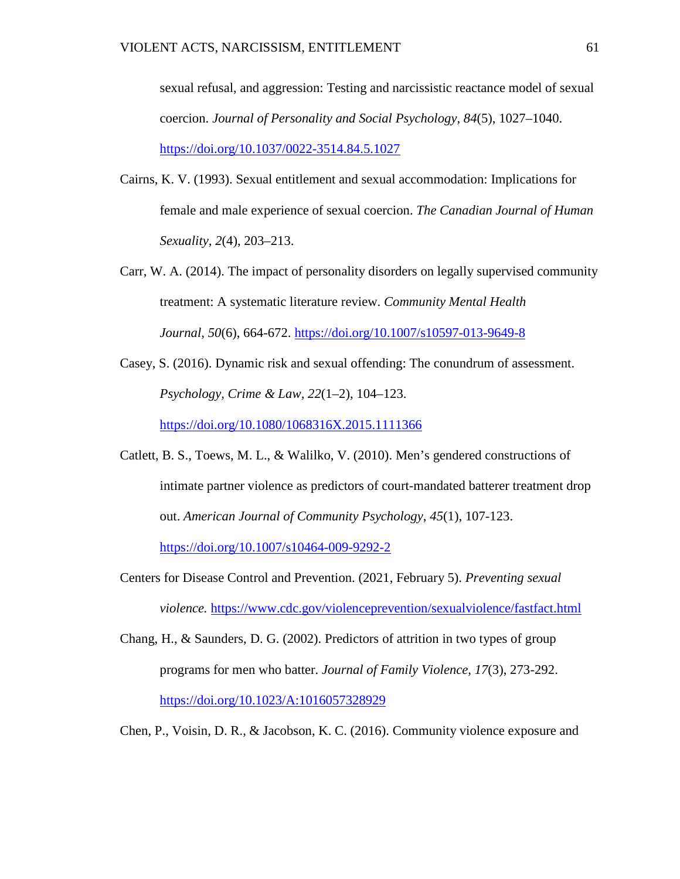sexual refusal, and aggression: Testing and narcissistic reactance model of sexual coercion. *Journal of Personality and Social Psychology, 84*(5), 1027–1040. <https://doi.org/10.1037/0022-3514.84.5.1027>

- Cairns, K. V. (1993). Sexual entitlement and sexual accommodation: Implications for female and male experience of sexual coercion. *The Canadian Journal of Human Sexuality, 2*(4), 203–213.
- Carr, W. A. (2014). The impact of personality disorders on legally supervised community treatment: A systematic literature review. *Community Mental Health Journal, 50*(6), 664-672. [https://doi.org/10.1007/s10597-013-9649-8](https://psycnet.apa.org/doi/10.1007/s10597-013-9649-8)
- Casey, S. (2016). Dynamic risk and sexual offending: The conundrum of assessment. *Psychology, Crime & Law, 22*(1–2), 104–123. <https://doi.org/10.1080/1068316X.2015.1111366>
- Catlett, B. S., Toews, M. L., & Walilko, V. (2010). Men's gendered constructions of intimate partner violence as predictors of court-mandated batterer treatment drop out. *American Journal of Community Psychology*, *45*(1), 107-123.

<https://doi.org/10.1007/s10464-009-9292-2>

- Centers for Disease Control and Prevention. (2021, February 5). *Preventing sexual violence.* <https://www.cdc.gov/violenceprevention/sexualviolence/fastfact.html>
- Chang, H., & Saunders, D. G. (2002). Predictors of attrition in two types of group programs for men who batter. *Journal of Family Violence, 17*(3), 273-292. [https://doi.org/10.1023/A:1016057328929](https://psycnet.apa.org/doi/10.1023/A:1016057328929)
- Chen, P., Voisin, D. R., & Jacobson, K. C. (2016). Community violence exposure and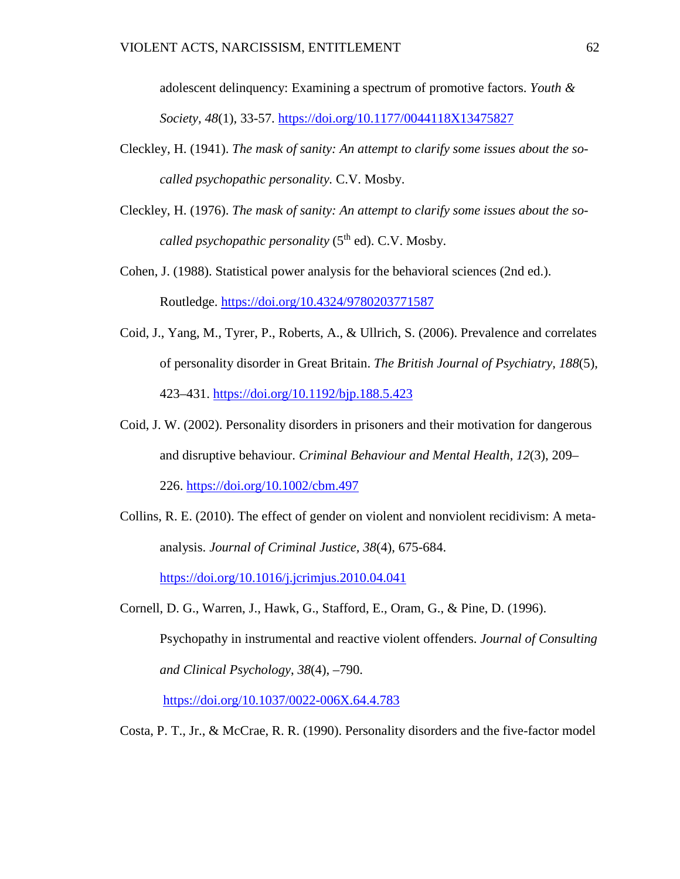adolescent delinquency: Examining a spectrum of promotive factors. *Youth & Society, 48*(1)*,* 33-57. [https://doi.org/10.1177/0044118X13475827](https://psycnet.apa.org/doi/10.1177/0044118X13475827)

- Cleckley, H. (1941). *The mask of sanity: An attempt to clarify some issues about the socalled psychopathic personality.* C.V. Mosby.
- Cleckley, H. (1976). *The mask of sanity: An attempt to clarify some issues about the socalled psychopathic personality* (5<sup>th</sup> ed). C.V. Mosby.
- Cohen, J. (1988). Statistical power analysis for the behavioral sciences (2nd ed.). Routledge.<https://doi.org/10.4324/9780203771587>
- Coid, J., Yang, M., Tyrer, P., Roberts, A., & Ullrich, S. (2006). Prevalence and correlates of personality disorder in Great Britain. *The British Journal of Psychiatry, 188*(5), 423–431.<https://doi.org/10.1192/bjp.188.5.423>
- Coid, J. W. (2002). Personality disorders in prisoners and their motivation for dangerous and disruptive behaviour. *Criminal Behaviour and Mental Health, 12*(3), 209– 226.<https://doi.org/10.1002/cbm.497>
- Collins, R. E. (2010). The effect of gender on violent and nonviolent recidivism: A metaanalysis. *Journal of Criminal Justice, 38*(4), 675-684. [https://doi.org/10.1016/j.jcrimjus.2010.04.041](https://psycnet.apa.org/doi/10.1016/j.jcrimjus.2010.04.041)
- Cornell, D. G., Warren, J., Hawk, G., Stafford, E., Oram, G., & Pine, D. (1996). Psychopathy in instrumental and reactive violent offenders. *Journal of Consulting and Clinical Psychology*, *38*(4), –790.

[https://doi.org/10.1037/0022-006X.64.4.783](https://psycnet.apa.org/doi/10.1037/0022-006X.64.4.783)

Costa, P. T., Jr., & McCrae, R. R. (1990). Personality disorders and the five-factor model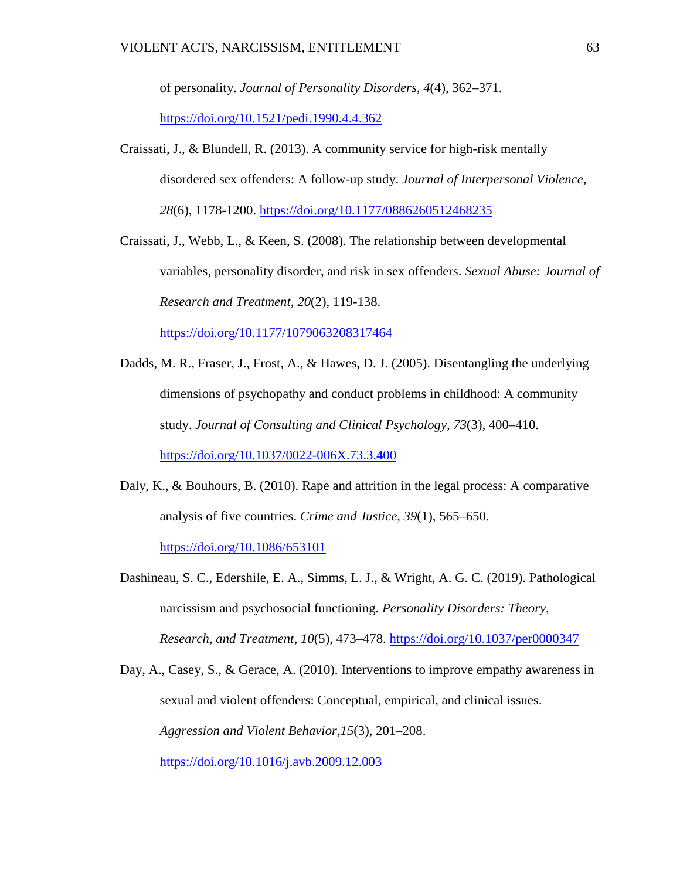of personality. *Journal of Personality Disorders, 4*(4), 362–371.

<https://doi.org/10.1521/pedi.1990.4.4.362>

Craissati, J., & Blundell, R. (2013). A community service for high-risk mentally disordered sex offenders: A follow-up study. *Journal of Interpersonal Violence, 28*(6), 1178-1200. [https://doi.org/10.1177/0886260512468235](https://doi.org/10.1177%2F0886260512468235)

Craissati, J., Webb, L., & Keen, S. (2008). The relationship between developmental variables, personality disorder, and risk in sex offenders. *Sexual Abuse: Journal of Research and Treatment, 20*(2), 119-138.

[https://doi.org/10.1177/1079063208317464](https://doi.org/10.1177%2F1079063208317464)

- Dadds, M. R., Fraser, J., Frost, A., & Hawes, D. J. (2005). Disentangling the underlying dimensions of psychopathy and conduct problems in childhood: A community study. *Journal of Consulting and Clinical Psychology, 73*(3), 400–410. [https://doi.org/10.1037/0022-006X.73.3.400](https://psycnet.apa.org/doi/10.1037/0022-006X.73.3.400)
- Daly, K., & Bouhours, B. (2010). Rape and attrition in the legal process: A comparative analysis of five countries. *Crime and Justice, 39*(1), 565–650. <https://doi.org/10.1086/653101>
- Dashineau, S. C., Edershile, E. A., Simms, L. J., & Wright, A. G. C. (2019). Pathological narcissism and psychosocial functioning. *Personality Disorders: Theory, Research, and Treatment, 10*(5), 473–478. [https://doi.org/10.1037/per0000347](https://psycnet.apa.org/doi/10.1037/per0000347)

Day, A., Casey, S., & Gerace, A. (2010). Interventions to improve empathy awareness in sexual and violent offenders: Conceptual, empirical, and clinical issues. *Aggression and Violent Behavior,15*(3), 201–208.

[https://doi.org/10.1016/j.avb.2009.12.003](https://psycnet.apa.org/doi/10.1016/j.avb.2009.12.003)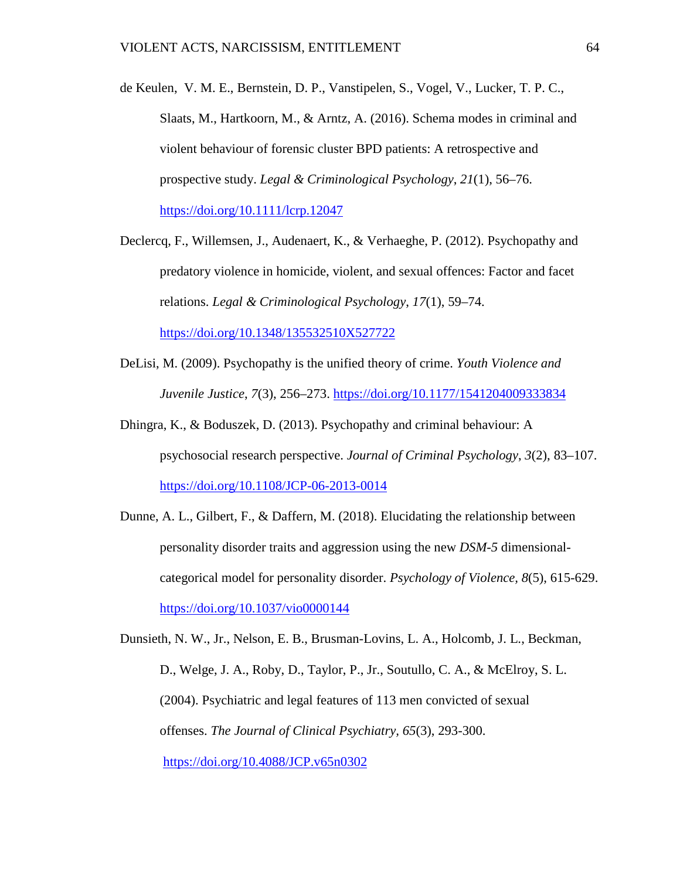- de Keulen, V. M. E., Bernstein, D. P., Vanstipelen, S., Vogel, V., Lucker, T. P. C., Slaats, M., Hartkoorn, M., & Arntz, A. (2016). Schema modes in criminal and violent behaviour of forensic cluster BPD patients: A retrospective and prospective study. *Legal & Criminological Psychology*, *21*(1), 56–76. <https://doi.org/10.1111/lcrp.12047>
- Declercq, F., Willemsen, J., Audenaert, K., & Verhaeghe, P. (2012). Psychopathy and predatory violence in homicide, violent, and sexual offences: Factor and facet relations. *Legal & Criminological Psychology*, *17*(1), 59–74. <https://doi.org/10.1348/135532510X527722>
- DeLisi, M. (2009). Psychopathy is the unified theory of crime. *Youth Violence and Juvenile Justice*, *7*(3), 256–273.<https://doi.org/10.1177/1541204009333834>
- Dhingra, K., & Boduszek, D. (2013). Psychopathy and criminal behaviour: A psychosocial research perspective. *Journal of Criminal Psychology*, *3*(2), 83–107. <https://doi.org/10.1108/JCP-06-2013-0014>
- Dunne, A. L., Gilbert, F., & Daffern, M. (2018). Elucidating the relationship between personality disorder traits and aggression using the new *DSM-5* dimensionalcategorical model for personality disorder. *Psychology of Violence, 8*(5), 615-629. [https://doi.org/10.1037/vio0000144](https://psycnet.apa.org/doi/10.1037/vio0000144)

Dunsieth, N. W., Jr., Nelson, E. B., Brusman-Lovins, L. A., Holcomb, J. L., Beckman, D., Welge, J. A., Roby, D., Taylor, P., Jr., Soutullo, C. A., & McElroy, S. L. (2004). Psychiatric and legal features of 113 men convicted of sexual offenses. *The Journal of Clinical Psychiatry, 65*(3), 293-300. [https://doi.org/10.4088/JCP.v65n0302](https://psycnet.apa.org/doi/10.4088/JCP.v65n0302)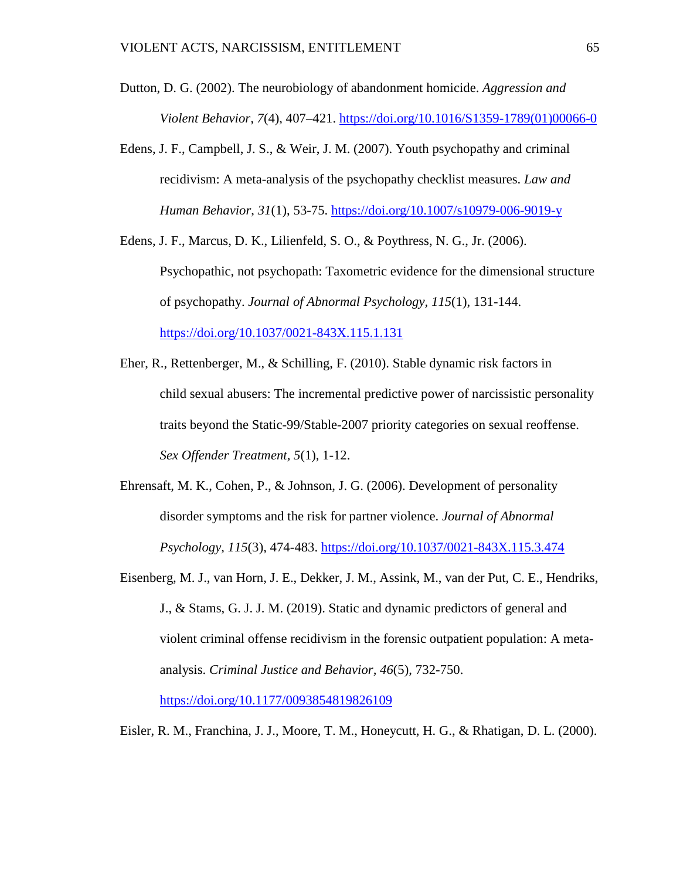- Dutton, D. G. (2002). The neurobiology of abandonment homicide. *Aggression and Violent Behavior, 7*(4), 407–421. [https://doi.org/10.1016/S1359-1789\(01\)00066-0](https://doi.org/10.1016/S1359-1789(01)00066-0)
- Edens, J. F., Campbell, J. S., & Weir, J. M. (2007). Youth psychopathy and criminal recidivism: A meta-analysis of the psychopathy checklist measures. *Law and Human Behavior*, *31*(1), 53-75.<https://doi.org/10.1007/s10979-006-9019-y>
- Edens, J. F., Marcus, D. K., Lilienfeld, S. O., & Poythress, N. G., Jr. (2006). Psychopathic, not psychopath: Taxometric evidence for the dimensional structure of psychopathy. *Journal of Abnormal Psychology, 115*(1), 131-144. <https://doi.org/10.1037/0021-843X.115.1.131>
- Eher, R., Rettenberger, M., & Schilling, F. (2010). Stable dynamic risk factors in child sexual abusers: The incremental predictive power of narcissistic personality traits beyond the Static-99/Stable-2007 priority categories on sexual reoffense. *Sex Offender Treatment, 5*(1), 1-12.
- Ehrensaft, M. K., Cohen, P., & Johnson, J. G. (2006). Development of personality disorder symptoms and the risk for partner violence. *Journal of Abnormal Psychology, 115*(3), 474-483. [https://doi.org/10.1037/0021-843X.115.3.474](https://psycnet.apa.org/doi/10.1037/0021-843X.115.3.474)
- Eisenberg, M. J., van Horn, J. E., Dekker, J. M., Assink, M., van der Put, C. E., Hendriks, J., & Stams, G. J. J. M. (2019). Static and dynamic predictors of general and violent criminal offense recidivism in the forensic outpatient population: A metaanalysis. *Criminal Justice and Behavior, 46*(5), 732-750.

[https://doi.org/10.1177/0093854819826109](https://psycnet.apa.org/doi/10.1177/0093854819826109)

Eisler, R. M., Franchina, J. J., Moore, T. M., Honeycutt, H. G., & Rhatigan, D. L. (2000).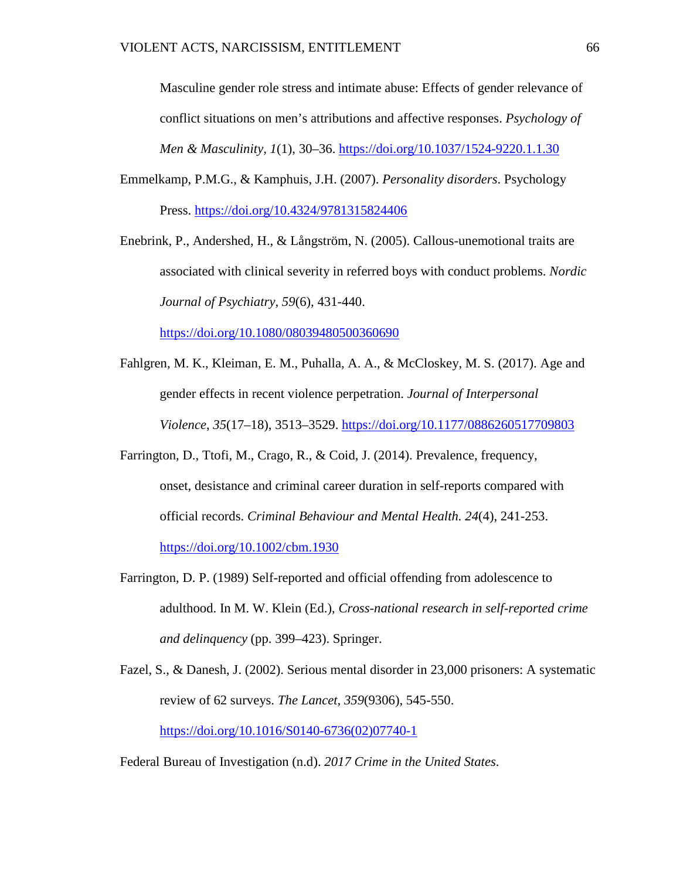Masculine gender role stress and intimate abuse: Effects of gender relevance of conflict situations on men's attributions and affective responses. *Psychology of Men & Masculinity, 1*(1), 30–36.<https://doi.org/10.1037/1524-9220.1.1.30>

Emmelkamp, P.M.G., & Kamphuis, J.H. (2007). *Personality disorders*. Psychology Press. <https://doi.org/10.4324/9781315824406>

Enebrink, P., Andershed, H., & Långström, N. (2005). Callous-unemotional traits are associated with clinical severity in referred boys with conduct problems. *Nordic Journal of Psychiatry, 59*(6)*,* 431-440.

<https://doi.org/10.1080/08039480500360690>

- Fahlgren, M. K., Kleiman, E. M., Puhalla, A. A., & McCloskey, M. S. (2017). Age and gender effects in recent violence perpetration. *Journal of Interpersonal Violence*, *35*(17–18), 3513–3529. <https://doi.org/10.1177/0886260517709803>
- Farrington, D., Ttofi, M., Crago, R., & Coid, J. (2014). Prevalence, frequency, onset, desistance and criminal career duration in self-reports compared with official records. *Criminal Behaviour and Mental Health. 24*(4), 241-253. <https://doi.org/10.1002/cbm.1930>
- Farrington, D. P. (1989) Self-reported and official offending from adolescence to adulthood. In M. W. Klein (Ed.), *Cross-national research in self-reported crime and delinquency* (pp. 399–423). Springer.
- Fazel, S., & Danesh, J. (2002). Serious mental disorder in 23,000 prisoners: A systematic review of 62 surveys. *The Lancet, 359*(9306), 545-550. [https://doi.org/10.1016/S0140-6736\(02\)07740-1](https://doi.org/10.1016/S0140-6736(02)07740-1)

Federal Bureau of Investigation (n.d). *2017 Crime in the United States*.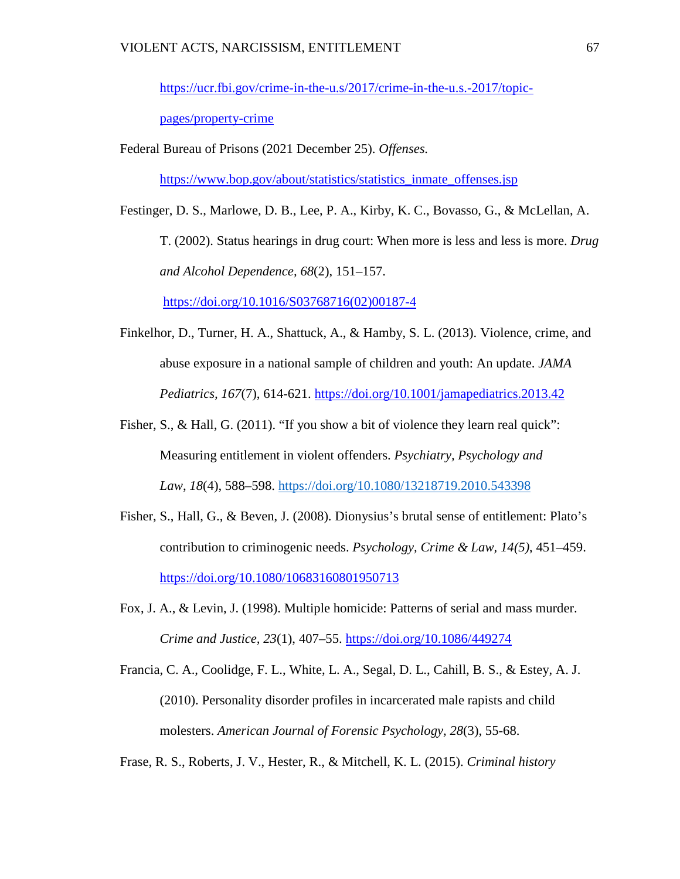[https://ucr.fbi.gov/crime-in-the-u.s/2017/crime-in-the-u.s.-2017/topic-](https://ucr.fbi.gov/crime-in-the-u.s/2017/crime-in-the-u.s.-2017/topic-pages/property-crime)

[pages/property-crime](https://ucr.fbi.gov/crime-in-the-u.s/2017/crime-in-the-u.s.-2017/topic-pages/property-crime)

Federal Bureau of Prisons (2021 December 25). *Offenses.* 

[https://www.bop.gov/about/statistics/statistics\\_inmate\\_offenses.jsp](https://www.bop.gov/about/statistics/statistics_inmate_offenses.jsp)

Festinger, D. S., Marlowe, D. B., Lee, P. A., Kirby, K. C., Bovasso, G., & McLellan, A. T. (2002). Status hearings in drug court: When more is less and less is more. *Drug and Alcohol Dependence, 68*(2), 151–157.

[https://doi.org/10.1016/S03768716\(02\)00187-4](https://doi.org/10.1016/S03768716(02)00187-4)

- Finkelhor, D., Turner, H. A., Shattuck, A., & Hamby, S. L. (2013). Violence, crime, and abuse exposure in a national sample of children and youth: An update. *JAMA Pediatrics, 167*(7), 614-621. <https://doi.org/10.1001/jamapediatrics.2013.42>
- Fisher, S., & Hall, G. (2011). "If you show a bit of violence they learn real quick": Measuring entitlement in violent offenders. *Psychiatry, Psychology and Law*, *18*(4), 588–598.<https://doi.org/10.1080/13218719.2010.543398>
- Fisher, S., Hall, G., & Beven, J. (2008). Dionysius's brutal sense of entitlement: Plato's contribution to criminogenic needs. *Psychology, Crime & Law, 14(5)*, 451–459. <https://doi.org/10.1080/10683160801950713>
- Fox, J. A., & Levin, J. (1998). Multiple homicide: Patterns of serial and mass murder. *Crime and Justice, 23*(1), 407–55. <https://doi.org/10.1086/449274>
- Francia, C. A., Coolidge, F. L., White, L. A., Segal, D. L., Cahill, B. S., & Estey, A. J. (2010). Personality disorder profiles in incarcerated male rapists and child molesters. *American Journal of Forensic Psychology, 28*(3), 55-68.

Frase, R. S., Roberts, J. V., Hester, R., & Mitchell, K. L. (2015). *Criminal history*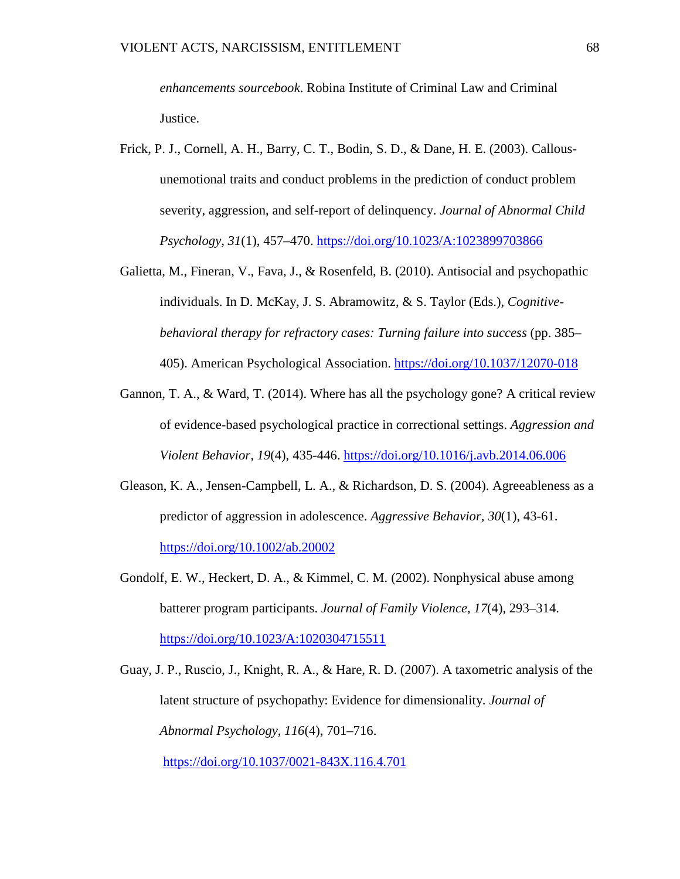*enhancements sourcebook*. Robina Institute of Criminal Law and Criminal Justice.

- Frick, P. J., Cornell, A. H., Barry, C. T., Bodin, S. D., & Dane, H. E. (2003). Callousunemotional traits and conduct problems in the prediction of conduct problem severity, aggression, and self-report of delinquency. *Journal of Abnormal Child Psychology, 31*(1), 457–470.<https://doi.org/10.1023/A:1023899703866>
- Galietta, M., Fineran, V., Fava, J., & Rosenfeld, B. (2010). Antisocial and psychopathic individuals. In D. McKay, J. S. Abramowitz, & S. Taylor (Eds.), *Cognitivebehavioral therapy for refractory cases: Turning failure into success* (pp. 385– 405). American Psychological Association.<https://doi.org/10.1037/12070-018>
- Gannon, T. A., & Ward, T. (2014). Where has all the psychology gone? A critical review of evidence-based psychological practice in correctional settings. *Aggression and Violent Behavior, 19*(4), 435-446. [https://doi.org/10.1016/j.avb.2014.06.006](https://psycnet.apa.org/doi/10.1016/j.avb.2014.06.006)
- Gleason, K. A., Jensen-Campbell, L. A., & Richardson, D. S. (2004). Agreeableness as a predictor of aggression in adolescence. *Aggressive Behavior, 30*(1), 43-61. [https://doi.org/10.1002/ab.20002](https://psycnet.apa.org/doi/10.1002/ab.20002)
- Gondolf, E. W., Heckert, D. A., & Kimmel, C. M. (2002). Nonphysical abuse among batterer program participants. *Journal of Family Violence*, *17*(4), 293–314. <https://doi.org/10.1023/A:1020304715511>
- Guay, J. P., Ruscio, J., Knight, R. A., & Hare, R. D. (2007). A taxometric analysis of the latent structure of psychopathy: Evidence for dimensionality. *Journal of Abnormal Psychology*, *116*(4), 701–716.

[https://doi.org/10.1037/0021-843X.116.4.701](https://doi.apa.org/doi/10.1037/0021-843X.116.4.701)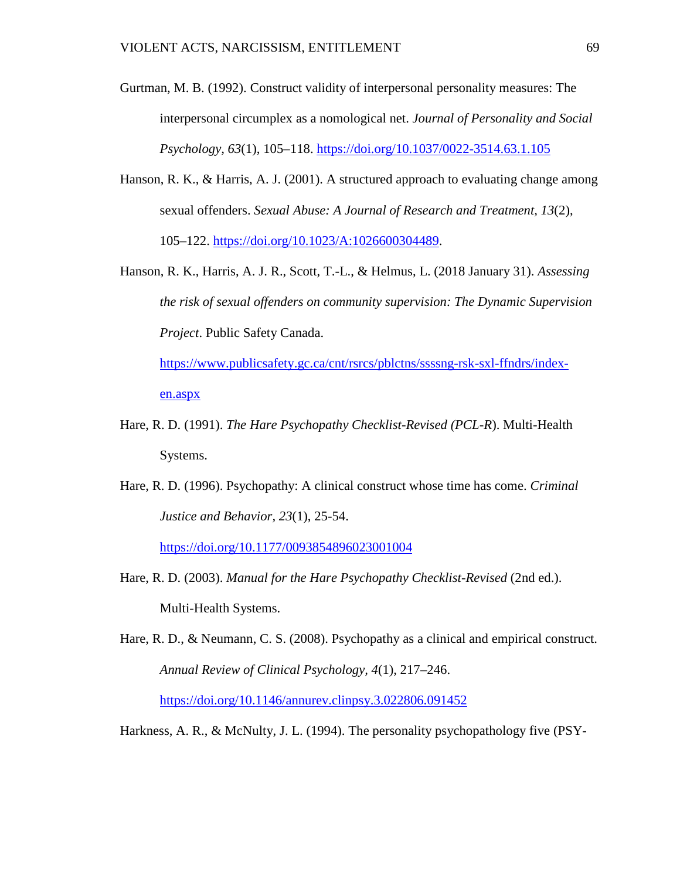- Gurtman, M. B. (1992). Construct validity of interpersonal personality measures: The interpersonal circumplex as a nomological net. *Journal of Personality and Social Psychology, 63*(1), 105–118. [https://doi.org/10.1037/0022-3514.63.1.105](https://psycnet.apa.org/doi/10.1037/0022-3514.63.1.105)
- Hanson, R. K., & Harris, A. J. (2001). A structured approach to evaluating change among sexual offenders. *Sexual Abuse: A Journal of Research and Treatment, 13*(2), 105–122. [https://doi.org/10.1023/A:1026600304489.](https://doi.org/10.1023/A:1026600304489)
- Hanson, R. K., Harris, A. J. R., Scott, T.-L., & Helmus, L. (2018 January 31). *Assessing the risk of sexual offenders on community supervision: The Dynamic Supervision Project*. Public Safety Canada.

[https://www.publicsafety.gc.ca/cnt/rsrcs/pblctns/ssssng-rsk-sxl-ffndrs/index](https://www.publicsafety.gc.ca/cnt/rsrcs/pblctns/ssssng-rsk-sxl-ffndrs/index-en.aspx)[en.aspx](https://www.publicsafety.gc.ca/cnt/rsrcs/pblctns/ssssng-rsk-sxl-ffndrs/index-en.aspx)

- Hare, R. D. (1991). *The Hare Psychopathy Checklist-Revised (PCL-R*). Multi-Health Systems.
- Hare, R. D. (1996). Psychopathy: A clinical construct whose time has come. *Criminal Justice and Behavior, 23*(1), 25-54.

<https://doi.org/10.1177/0093854896023001004>

- Hare, R. D. (2003). *Manual for the Hare Psychopathy Checklist-Revised* (2nd ed.). Multi-Health Systems.
- Hare, R. D., & Neumann, C. S. (2008). Psychopathy as a clinical and empirical construct. *Annual Review of Clinical Psychology, 4*(1), 217–246.

<https://doi.org/10.1146/annurev.clinpsy.3.022806.091452>

Harkness, A. R., & McNulty, J. L. (1994). The personality psychopathology five (PSY-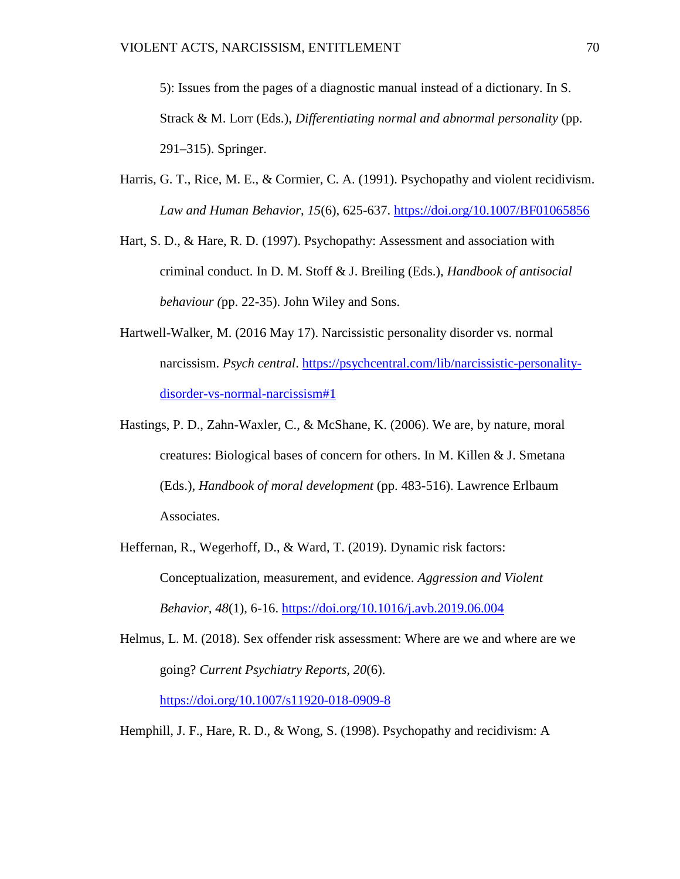5): Issues from the pages of a diagnostic manual instead of a dictionary. In S. Strack & M. Lorr (Eds.), *Differentiating normal and abnormal personality* (pp. 291–315). Springer.

- Harris, G. T., Rice, M. E., & Cormier, C. A. (1991). Psychopathy and violent recidivism. *Law and Human Behavior, 15*(6), 625-637. [https://doi.org/10.1007/BF01065856](https://psycnet.apa.org/doi/10.1007/BF01065856)
- Hart, S. D., & Hare, R. D. (1997). Psychopathy: Assessment and association with criminal conduct. In D. M. Stoff & J. Breiling (Eds.), *Handbook of antisocial behaviour (*pp. 22-35). John Wiley and Sons.
- Hartwell-Walker, M. (2016 May 17). Narcissistic personality disorder vs. normal narcissism. *Psych central*. [https://psychcentral.com/lib/narcissistic-personality](https://psychcentral.com/lib/narcissistic-personality-disorder-vs-normal-narcissism#1)[disorder-vs-normal-narcissism#1](https://psychcentral.com/lib/narcissistic-personality-disorder-vs-normal-narcissism#1)
- Hastings, P. D., Zahn-Waxler, C., & McShane, K. (2006). We are, by nature, moral creatures: Biological bases of concern for others. In M. Killen & J. Smetana (Eds.), *Handbook of moral development* (pp. 483-516). Lawrence Erlbaum Associates.
- Heffernan, R., Wegerhoff, D., & Ward, T. (2019). Dynamic risk factors: Conceptualization, measurement, and evidence. *Aggression and Violent Behavior, 48*(1), 6-16.<https://doi.org/10.1016/j.avb.2019.06.004>
- Helmus, L. M. (2018). Sex offender risk assessment: Where are we and where are we going? *Current Psychiatry Reports, 20*(6).

<https://doi.org/10.1007/s11920-018-0909-8>

Hemphill, J. F., Hare, R. D., & Wong, S. (1998). Psychopathy and recidivism: A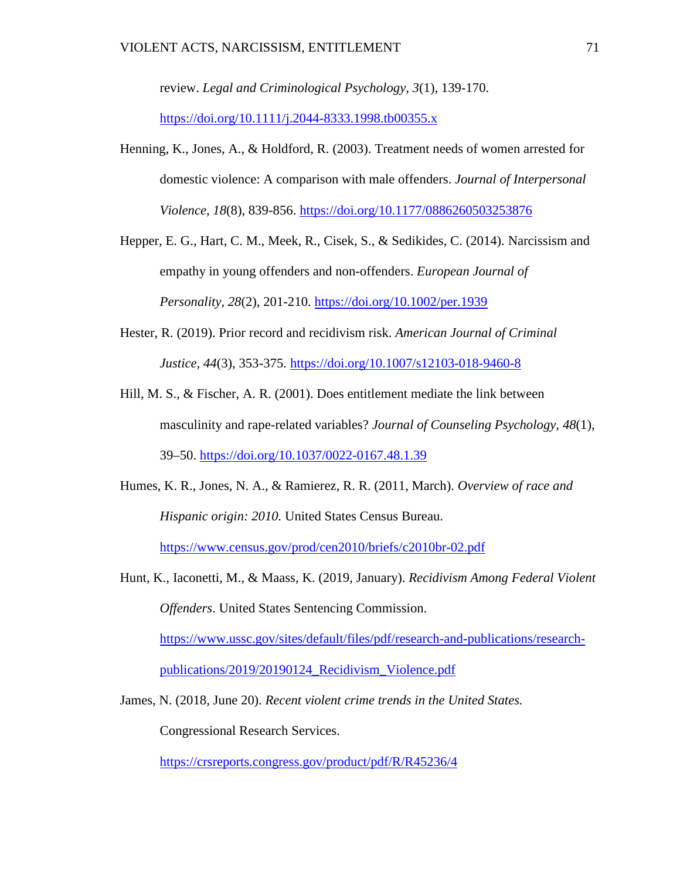review. *Legal and Criminological Psychology, 3*(1), 139-170.

<https://doi.org/10.1111/j.2044-8333.1998.tb00355.x>

- Henning, K., Jones, A., & Holdford, R. (2003). Treatment needs of women arrested for domestic violence: A comparison with male offenders. *Journal of Interpersonal Violence, 18*(8), 839-856. [https://doi.org/10.1177/0886260503253876](https://psycnet.apa.org/doi/10.1177/0886260503253876)
- Hepper, E. G., Hart, C. M., Meek, R., Cisek, S., & Sedikides, C. (2014). Narcissism and empathy in young offenders and non-offenders. *European Journal of Personality, 28*(2), 201-210. [https://doi.org/10.1002/per.1939](https://psycnet.apa.org/doi/10.1002/per.1939)
- Hester, R. (2019). Prior record and recidivism risk. *American Journal of Criminal Justice, 44*(3), 353-375.<https://doi.org/10.1007/s12103-018-9460-8>
- Hill, M. S., & Fischer, A. R. (2001). Does entitlement mediate the link between masculinity and rape-related variables? *Journal of Counseling Psychology, 48*(1), 39–50. [https://doi.org/10.1037/0022-0167.48.1.39](https://doi.apa.org/doi/10.1037/0022-0167.48.1.39)
- Humes, K. R., Jones, N. A., & Ramierez, R. R. (2011, March). *Overview of race and Hispanic origin: 2010.* United States Census Bureau. <https://www.census.gov/prod/cen2010/briefs/c2010br-02.pdf>
- Hunt, K., Iaconetti, M., & Maass, K. (2019, January). *Recidivism Among Federal Violent Offenders*. United States Sentencing Commission. [https://www.ussc.gov/sites/default/files/pdf/research-and-publications/research](https://www.ussc.gov/sites/default/files/pdf/research-and-publications/research-publications/2019/20190124_Recidivism_Violence.pdf)[publications/2019/20190124\\_Recidivism\\_Violence.pdf](https://www.ussc.gov/sites/default/files/pdf/research-and-publications/research-publications/2019/20190124_Recidivism_Violence.pdf)
- James, N. (2018, June 20). *Recent violent crime trends in the United States.*

Congressional Research Services.

<https://crsreports.congress.gov/product/pdf/R/R45236/4>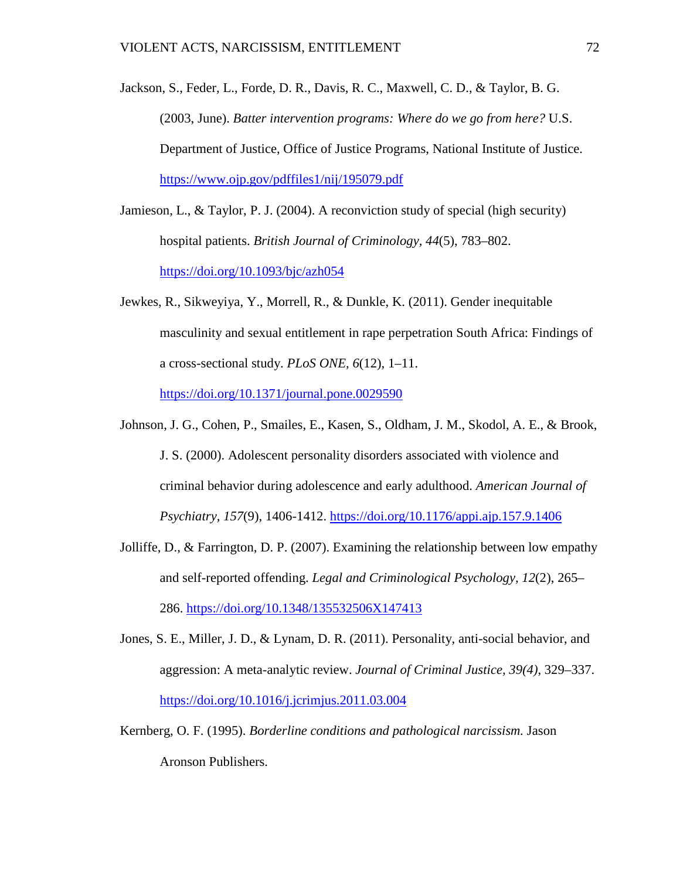Jackson, S., Feder, L., Forde, D. R., Davis, R. C., Maxwell, C. D., & Taylor, B. G. (2003, June). *Batter intervention programs: Where do we go from here?* U.S. Department of Justice, Office of Justice Programs, National Institute of Justice. <https://www.ojp.gov/pdffiles1/nij/195079.pdf>

- Jamieson, L., & Taylor, P. J. (2004). A reconviction study of special (high security) hospital patients. *British Journal of Criminology, 44*(5), 783–802. <https://doi.org/10.1093/bjc/azh054>
- Jewkes, R., Sikweyiya, Y., Morrell, R., & Dunkle, K. (2011). Gender inequitable masculinity and sexual entitlement in rape perpetration South Africa: Findings of a cross-sectional study. *PLoS ONE, 6*(12), 1–11. <https://doi.org/10.1371/journal.pone.0029590>
- Johnson, J. G., Cohen, P., Smailes, E., Kasen, S., Oldham, J. M., Skodol, A. E., & Brook, J. S. (2000). Adolescent personality disorders associated with violence and criminal behavior during adolescence and early adulthood. *American Journal of Psychiatry, 157*(9), 1406-1412.<https://doi.org/10.1176/appi.ajp.157.9.1406>
- Jolliffe, D., & Farrington, D. P. (2007). Examining the relationship between low empathy and self-reported offending. *Legal and Criminological Psychology, 12*(2), 265– 286. [https://doi.org/10.1348/135532506X147413](https://psycnet.apa.org/doi/10.1348/135532506X147413)
- Jones, S. E., Miller, J. D., & Lynam, D. R. (2011). Personality, anti-social behavior, and aggression: A meta-analytic review. *Journal of Criminal Justice, 39(4)*, 329–337. <https://doi.org/10.1016/j.jcrimjus.2011.03.004>
- Kernberg, O. F. (1995). *Borderline conditions and pathological narcissism.* Jason Aronson Publishers.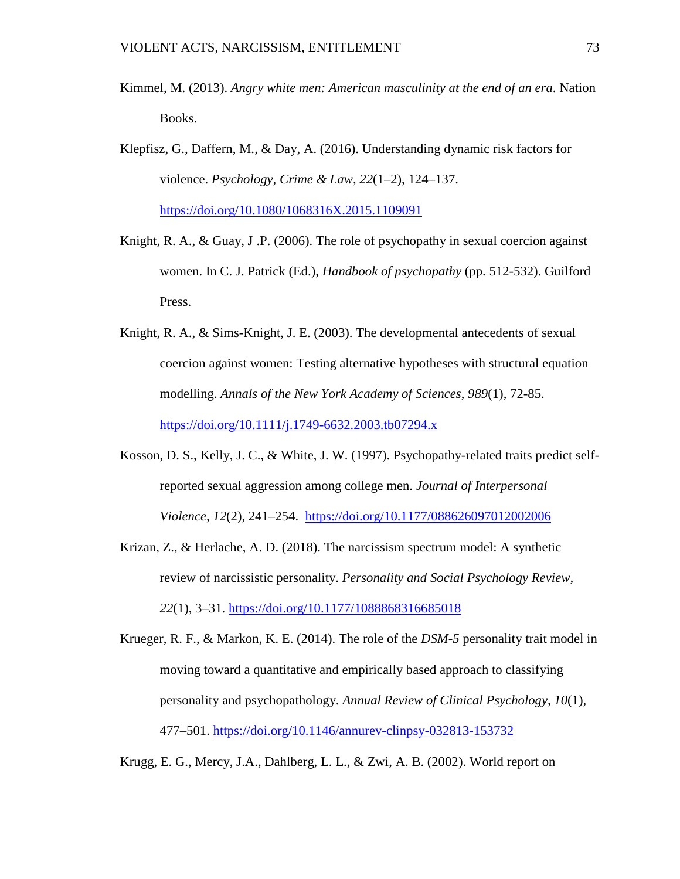- Kimmel, M. (2013). *Angry white men: American masculinity at the end of an era*. Nation Books.
- Klepfisz, G., Daffern, M., & Day, A. (2016). Understanding dynamic risk factors for violence. *Psychology, Crime & Law, 22*(1–2), 124–137. <https://doi.org/10.1080/1068316X.2015.1109091>
- Knight, R. A., & Guay, J .P. (2006). The role of psychopathy in sexual coercion against women. In C. J. Patrick (Ed.), *Handbook of psychopathy* (pp. 512-532). Guilford Press.
- Knight, R. A., & Sims-Knight, J. E. (2003). The developmental antecedents of sexual coercion against women: Testing alternative hypotheses with structural equation modelling. *Annals of the New York Academy of Sciences*, *989*(1), 72-85. <https://doi.org/10.1111/j.1749-6632.2003.tb07294.x>
- Kosson, D. S., Kelly, J. C., & White, J. W. (1997). Psychopathy-related traits predict selfreported sexual aggression among college men. *Journal of Interpersonal Violence, 12*(2), 241–254. [https://doi.org/10.1177/088626097012002006](https://psycnet.apa.org/doi/10.1177/088626097012002006)
- Krizan, Z., & Herlache, A. D. (2018). The narcissism spectrum model: A synthetic review of narcissistic personality. *Personality and Social Psychology Review, 22*(1), 3–31. [https://doi.org/10.1177/1088868316685018](https://doi.org/10.1177%2F1088868316685018)
- Krueger, R. F., & Markon, K. E. (2014). The role of the *DSM-5* personality trait model in moving toward a quantitative and empirically based approach to classifying personality and psychopathology. *Annual Review of Clinical Psychology, 10*(1)*,* 477–501. <https://doi.org/10.1146/annurev-clinpsy-032813-153732>

Krugg, E. G., Mercy, J.A., Dahlberg, L. L., & Zwi, A. B. (2002). World report on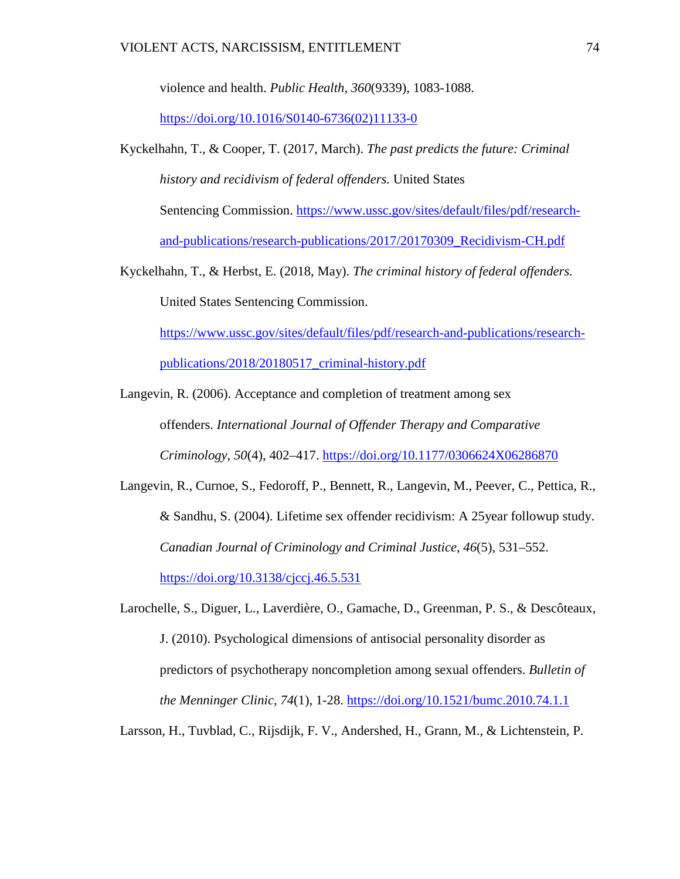violence and health. *Public Health, 360*(9339), 1083-1088.

[https://doi.org/10.1016/S0140-6736\(02\)11133-0](https://doi.org/10.1016/S0140-6736(02)11133-0)

- Kyckelhahn, T., & Cooper, T. (2017, March). *The past predicts the future: Criminal history and recidivism of federal offenders.* United States Sentencing Commission. [https://www.ussc.gov/sites/default/files/pdf/research](https://www.ussc.gov/sites/default/files/pdf/research-and-publications/research-publications/2017/20170309_Recidivism-CH.pdf)[and-publications/research-publications/2017/20170309\\_Recidivism-CH.pdf](https://www.ussc.gov/sites/default/files/pdf/research-and-publications/research-publications/2017/20170309_Recidivism-CH.pdf)
- Kyckelhahn, T., & Herbst, E. (2018, May). *The criminal history of federal offenders.* United States Sentencing Commission.

[https://www.ussc.gov/sites/default/files/pdf/research-and-publications/research-](https://www.ussc.gov/sites/default/files/pdf/research-and-publications/research-publications/2018/20180517_criminal-history.pdf)

[publications/2018/20180517\\_criminal-history.pdf](https://www.ussc.gov/sites/default/files/pdf/research-and-publications/research-publications/2018/20180517_criminal-history.pdf)

Langevin, R. (2006). Acceptance and completion of treatment among sex offenders. *International Journal of Offender Therapy and Comparative Criminology, 50*(4), 402–417. [https://doi.org/10.1177/0306624X06286870](https://psycnet.apa.org/doi/10.1177/0306624X06286870)

Langevin, R., Curnoe, S., Fedoroff, P., Bennett, R., Langevin, M., Peever, C., Pettica, R., & Sandhu, S. (2004). Lifetime sex offender recidivism: A 25year followup study. *Canadian Journal of Criminology and Criminal Justice, 46*(5), 531–552. <https://doi.org/10.3138/cjccj.46.5.531>

Larochelle, S., Diguer, L., Laverdière, O., Gamache, D., Greenman, P. S., & Descôteaux, J. (2010). Psychological dimensions of antisocial personality disorder as predictors of psychotherapy noncompletion among sexual offenders. *Bulletin of the Menninger Clinic, 74*(1), 1-28. [https://doi.org/10.1521/bumc.2010.74.1.1](https://psycnet.apa.org/doi/10.1521/bumc.2010.74.1.1)

Larsson, H., Tuvblad, C., Rijsdijk, F. V., Andershed, H., Grann, M., & Lichtenstein, P.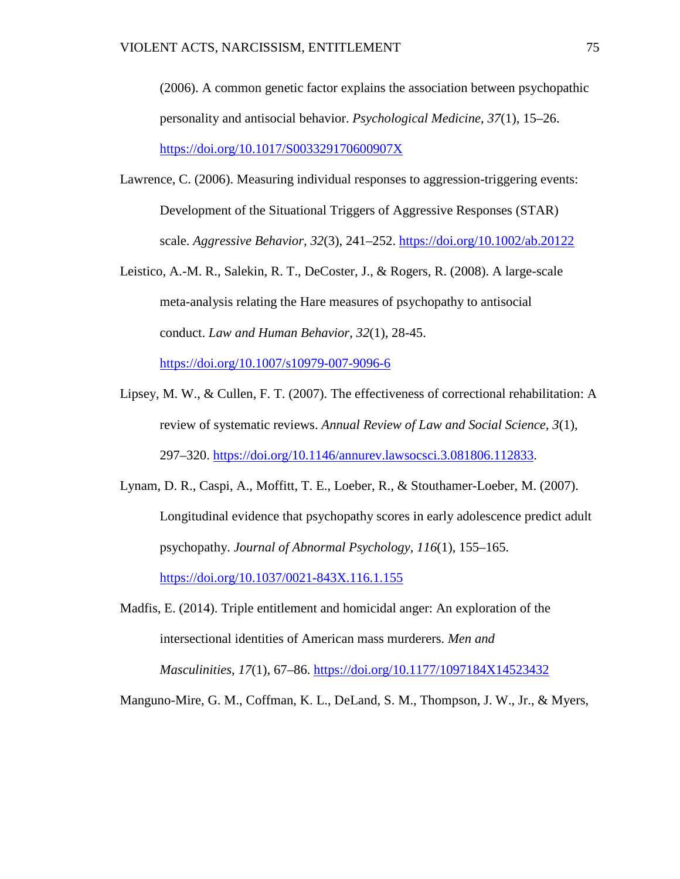(2006). A common genetic factor explains the association between psychopathic personality and antisocial behavior. *Psychological Medicine*, *37*(1), 15–26. <https://doi.org/10.1017/S003329170600907X>

- Lawrence, C. (2006). Measuring individual responses to aggression-triggering events: Development of the Situational Triggers of Aggressive Responses (STAR) scale. *Aggressive Behavior, 32*(3), 241–252. [https://doi.org/10.1002/ab.20122](https://psycnet.apa.org/doi/10.1002/ab.20122)
- Leistico, A.-M. R., Salekin, R. T., DeCoster, J., & Rogers, R. (2008). A large-scale meta-analysis relating the Hare measures of psychopathy to antisocial conduct. *Law and Human Behavior*, *32*(1), 28-45.

<https://doi.org/10.1007/s10979-007-9096-6>

- Lipsey, M. W., & Cullen, F. T. (2007). The effectiveness of correctional rehabilitation: A review of systematic reviews. *Annual Review of Law and Social Science, 3*(1), 297–320. [https://doi.org/10.1146/annurev.lawsocsci.3.081806.112833.](https://doi.org/10.1146/annurev.lawsocsci.3.081806.112833)
- Lynam, D. R., Caspi, A., Moffitt, T. E., Loeber, R., & Stouthamer-Loeber, M. (2007). Longitudinal evidence that psychopathy scores in early adolescence predict adult psychopathy. *Journal of Abnormal Psychology, 116*(1), 155–165. <https://doi.org/10.1037/0021-843X.116.1.155>
- Madfis, E. (2014). Triple entitlement and homicidal anger: An exploration of the intersectional identities of American mass murderers. *Men and Masculinities*, *17*(1), 67–86.<https://doi.org/10.1177/1097184X14523432>

Manguno-Mire, G. M., Coffman, K. L., DeLand, S. M., Thompson, J. W., Jr., & Myers,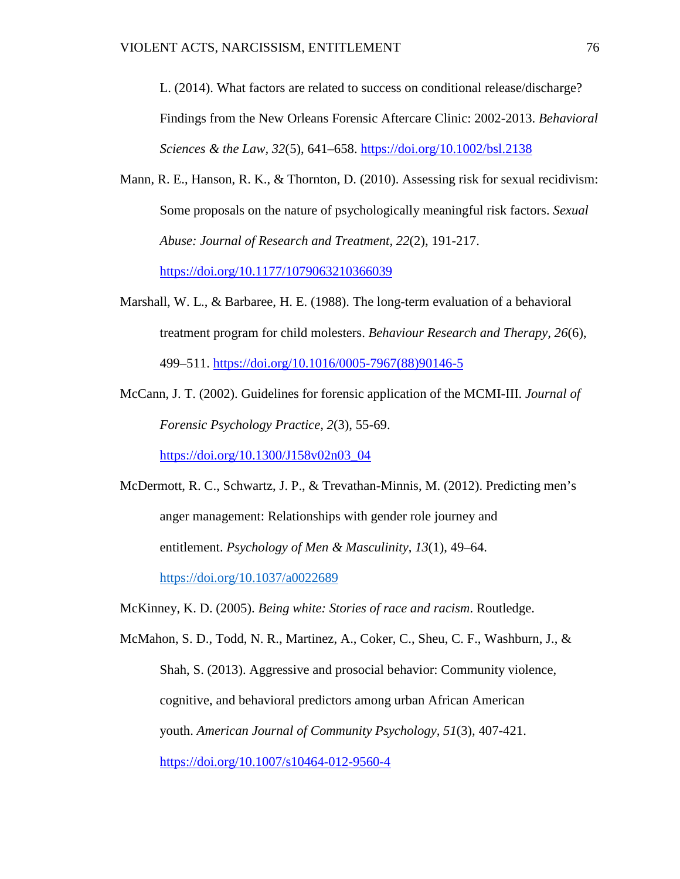L. (2014). What factors are related to success on conditional release/discharge? Findings from the New Orleans Forensic Aftercare Clinic: 2002-2013. *Behavioral Sciences & the Law, 32*(5), 641–658.<https://doi.org/10.1002/bsl.2138>

- Mann, R. E., Hanson, R. K., & Thornton, D. (2010). Assessing risk for sexual recidivism: Some proposals on the nature of psychologically meaningful risk factors. *Sexual Abuse: Journal of Research and Treatment, 22*(2), 191-217. [https://doi.org/10.1177/1079063210366039](https://doi.org/10.1177%2F1079063210366039)
- Marshall, W. L., & Barbaree, H. E. (1988). The long-term evaluation of a behavioral treatment program for child molesters. *Behaviour Research and Therapy, 26*(6), 499–511. [https://doi.org/10.1016/0005-7967\(88\)90146-5](https://psycnet.apa.org/doi/10.1016/0005-7967(88)90146-5)
- McCann, J. T. (2002). Guidelines for forensic application of the MCMI-III. *Journal of Forensic Psychology Practice, 2*(3), 55-69.

[https://doi.org/10.1300/J158v02n03\\_04](https://doi.org/10.1300/J158v02n03_04)

McDermott, R. C., Schwartz, J. P., & Trevathan-Minnis, M. (2012). Predicting men's anger management: Relationships with gender role journey and entitlement. *Psychology of Men & Masculinity*, *13*(1), 49–64. <https://doi.org/10.1037/a0022689>

McKinney, K. D. (2005). *Being white: Stories of race and racism*. Routledge.

McMahon, S. D., Todd, N. R., Martinez, A., Coker, C., Sheu, C. F., Washburn, J., & Shah, S. (2013). Aggressive and prosocial behavior: Community violence, cognitive, and behavioral predictors among urban African American youth. *American Journal of Community Psychology, 51*(3)*,* 407-421. <https://doi.org/10.1007/s10464-012-9560-4>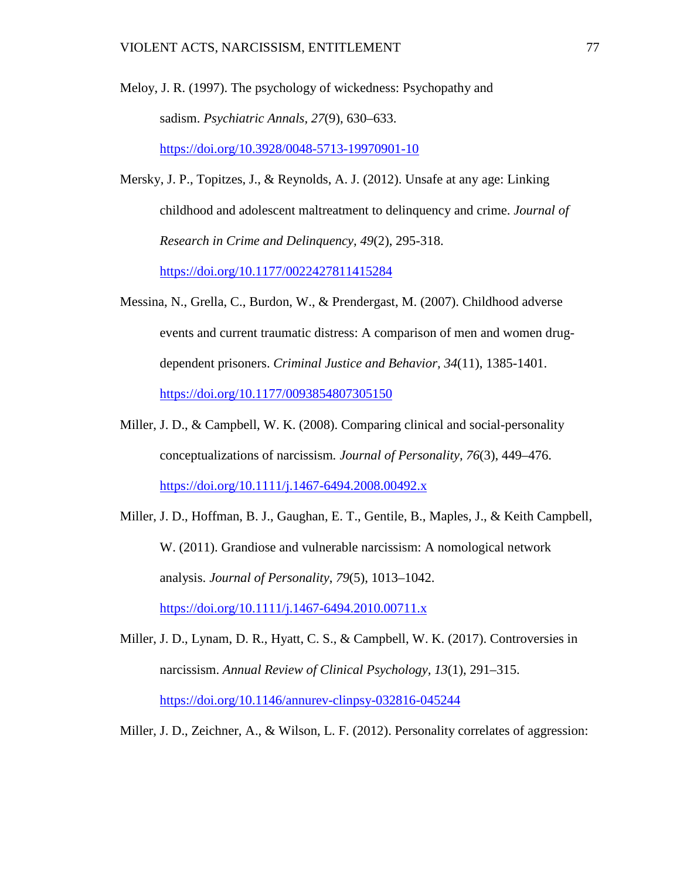- Meloy, J. R. (1997). The psychology of wickedness: Psychopathy and sadism. *Psychiatric Annals, 27*(9), 630–633. <https://doi.org/10.3928/0048-5713-19970901-10>
- Mersky, J. P., Topitzes, J., & Reynolds, A. J. (2012). Unsafe at any age: Linking childhood and adolescent maltreatment to delinquency and crime. *Journal of Research in Crime and Delinquency, 49*(2), 295-318. [https://doi.org/10.1177/0022427811415284](https://doi.org/10.1177%2F0022427811415284)
- Messina, N., Grella, C., Burdon, W., & Prendergast, M. (2007). Childhood adverse events and current traumatic distress: A comparison of men and women drugdependent prisoners. *Criminal Justice and Behavior, 34*(11), 1385-1401. [https://doi.org/10.1177/0093854807305150](https://psycnet.apa.org/doi/10.1177/0093854807305150)
- Miller, J. D., & Campbell, W. K. (2008). Comparing clinical and social-personality conceptualizations of narcissism*. Journal of Personality, 76*(3), 449–476. <https://doi.org/10.1111/j.1467-6494.2008.00492.x>
- Miller, J. D., Hoffman, B. J., Gaughan, E. T., Gentile, B., Maples, J., & Keith Campbell, W. (2011). Grandiose and vulnerable narcissism: A nomological network analysis. *Journal of Personality*, *79*(5), 1013–1042. <https://doi.org/10.1111/j.1467-6494.2010.00711.x>
- Miller, J. D., Lynam, D. R., Hyatt, C. S., & Campbell, W. K. (2017). Controversies in narcissism. *Annual Review of Clinical Psychology, 13*(1), 291–315. <https://doi.org/10.1146/annurev-clinpsy-032816-045244>
- Miller, J. D., Zeichner, A., & Wilson, L. F. (2012). Personality correlates of aggression: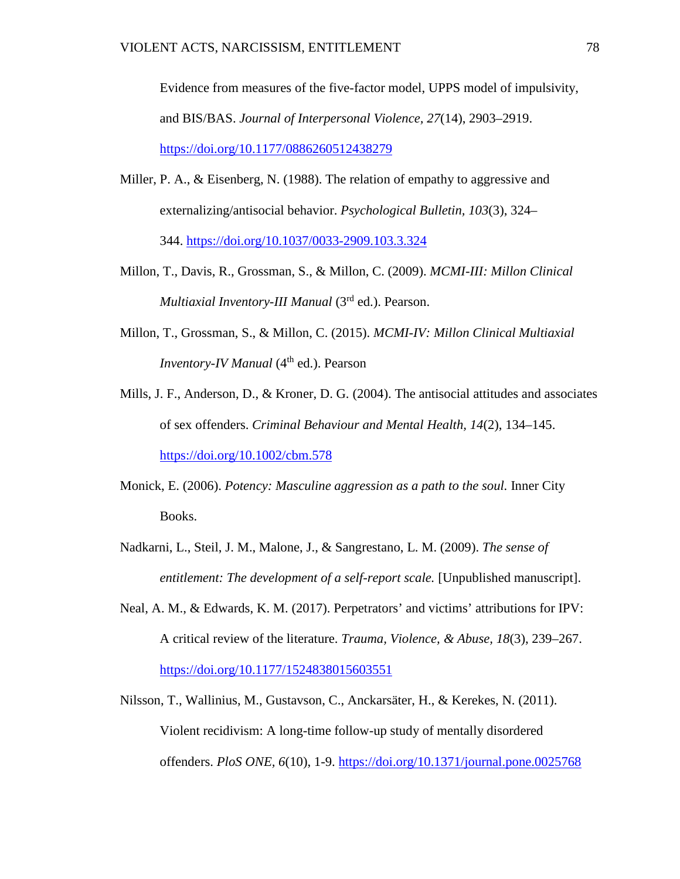Evidence from measures of the five-factor model, UPPS model of impulsivity, and BIS/BAS. *Journal of Interpersonal Violence, 27*(14), 2903–2919. [https://doi.org/10.1177/0886260512438279](https://doi.org/10.1177%2F0886260512438279)

- Miller, P. A., & Eisenberg, N. (1988). The relation of empathy to aggressive and externalizing/antisocial behavior. *Psychological Bulletin, 103*(3), 324– 344. [https://doi.org/10.1037/0033-2909.103.3.324](https://psycnet.apa.org/doi/10.1037/0033-2909.103.3.324)
- Millon, T., Davis, R., Grossman, S., & Millon, C. (2009). *MCMI-III: Millon Clinical Multiaxial Inventory-III Manual* (3rd ed.). Pearson.
- Millon, T., Grossman, S., & Millon, C. (2015). *MCMI-IV: Millon Clinical Multiaxial Inventory-IV Manual* (4<sup>th</sup> ed.). Pearson
- Mills, J. F., Anderson, D., & Kroner, D. G. (2004). The antisocial attitudes and associates of sex offenders. *Criminal Behaviour and Mental Health, 14*(2), 134–145. <https://doi.org/10.1002/cbm.578>
- Monick, E. (2006). *Potency: Masculine aggression as a path to the soul.* Inner City Books.
- Nadkarni, L., Steil, J. M., Malone, J., & Sangrestano, L. M. (2009). *The sense of entitlement: The development of a self-report scale.* [Unpublished manuscript].
- Neal, A. M., & Edwards, K. M. (2017). Perpetrators' and victims' attributions for IPV: A critical review of the literature. *Trauma, Violence, & Abuse, 18*(3), 239–267. <https://doi.org/10.1177/1524838015603551>
- Nilsson, T., Wallinius, M., Gustavson, C., Anckarsäter, H., & Kerekes, N. (2011). Violent recidivism: A long-time follow-up study of mentally disordered offenders. *PloS ONE, 6*(10), 1-9. <https://doi.org/10.1371/journal.pone.0025768>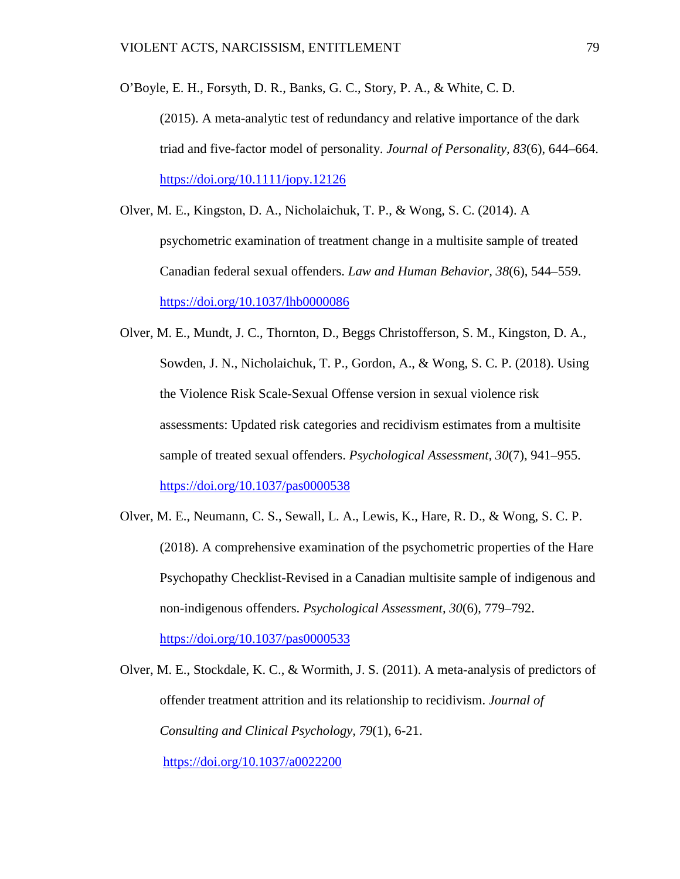O'Boyle, E. H., Forsyth, D. R., Banks, G. C., Story, P. A., & White, C. D.

(2015). A meta-analytic test of redundancy and relative importance of the dark triad and five-factor model of personality. *Journal of Personality, 83*(6), 644–664. <https://doi.org/10.1111/jopy.12126>

- Olver, M. E., Kingston, D. A., Nicholaichuk, T. P., & Wong, S. C. (2014). A psychometric examination of treatment change in a multisite sample of treated Canadian federal sexual offenders. *Law and Human Behavior, 38*(6), 544–559. <https://doi.org/10.1037/lhb0000086>
- Olver, M. E., Mundt, J. C., Thornton, D., Beggs Christofferson, S. M., Kingston, D. A., Sowden, J. N., Nicholaichuk, T. P., Gordon, A., & Wong, S. C. P. (2018). Using the Violence Risk Scale-Sexual Offense version in sexual violence risk assessments: Updated risk categories and recidivism estimates from a multisite sample of treated sexual offenders. *Psychological Assessment, 30*(7), 941–955. <https://doi.org/10.1037/pas0000538>
- Olver, M. E., Neumann, C. S., Sewall, L. A., Lewis, K., Hare, R. D., & Wong, S. C. P. (2018). A comprehensive examination of the psychometric properties of the Hare Psychopathy Checklist-Revised in a Canadian multisite sample of indigenous and non-indigenous offenders. *Psychological Assessment, 30*(6), 779–792.

<https://doi.org/10.1037/pas0000533>

Olver, M. E., Stockdale, K. C., & Wormith, J. S. (2011). A meta-analysis of predictors of offender treatment attrition and its relationship to recidivism. *Journal of Consulting and Clinical Psychology, 79*(1), 6-21. [https://doi.org/10.1037/a0022200](https://psycnet.apa.org/doi/10.1037/a0022200)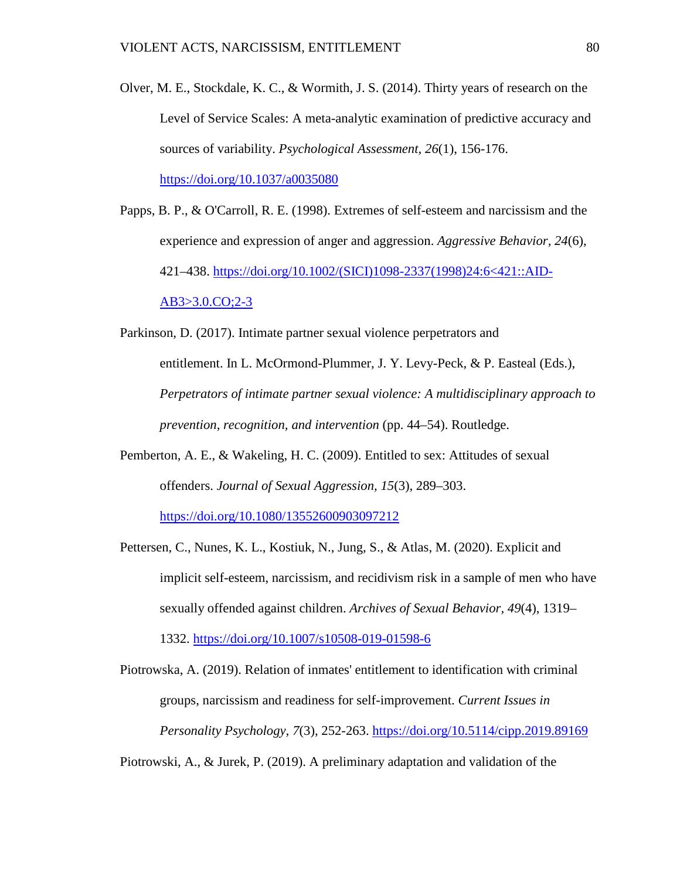Olver, M. E., Stockdale, K. C., & Wormith, J. S. (2014). Thirty years of research on the Level of Service Scales: A meta-analytic examination of predictive accuracy and sources of variability. *Psychological Assessment, 26*(1), 156-176. [https://doi.org/10.1037/a0035080](https://psycnet.apa.org/doi/10.1037/a0035080)

Papps, B. P., & O'Carroll, R. E. (1998). Extremes of self-esteem and narcissism and the experience and expression of anger and aggression. *Aggressive Behavior, 24*(6), 421–438. [https://doi.org/10.1002/\(SICI\)1098-2337\(1998\)24:6<421::AID-](https://psycnet.apa.org/doi/10.1002/(SICI)1098-2337(1998)24:6%3C421::AID-AB3%3E3.0.CO;2-3)[AB3>3.0.CO;2-3](https://psycnet.apa.org/doi/10.1002/(SICI)1098-2337(1998)24:6%3C421::AID-AB3%3E3.0.CO;2-3)

Parkinson, D. (2017). Intimate partner sexual violence perpetrators and entitlement. In L. McOrmond-Plummer, J. Y. Levy-Peck, & P. Easteal (Eds.), *Perpetrators of intimate partner sexual violence: A multidisciplinary approach to prevention, recognition, and intervention* (pp. 44–54). Routledge.

Pemberton, A. E., & Wakeling, H. C. (2009). Entitled to sex: Attitudes of sexual offenders. *Journal of Sexual Aggression, 15*(3), 289–303.

<https://doi.org/10.1080/13552600903097212>

Pettersen, C., Nunes, K. L., Kostiuk, N., Jung, S., & Atlas, M. (2020). Explicit and implicit self-esteem, narcissism, and recidivism risk in a sample of men who have sexually offended against children. *Archives of Sexual Behavior, 49*(4), 1319–

1332. [https://doi.org/10.1007/s10508-019-01598-6](https://psycnet.apa.org/doi/10.1007/s10508-019-01598-6)

Piotrowska, A. (2019). Relation of inmates' entitlement to identification with criminal groups, narcissism and readiness for self-improvement. *Current Issues in Personality Psychology, 7*(3), 252-263.<https://doi.org/10.5114/cipp.2019.89169>

Piotrowski, A., & Jurek, P. (2019). A preliminary adaptation and validation of the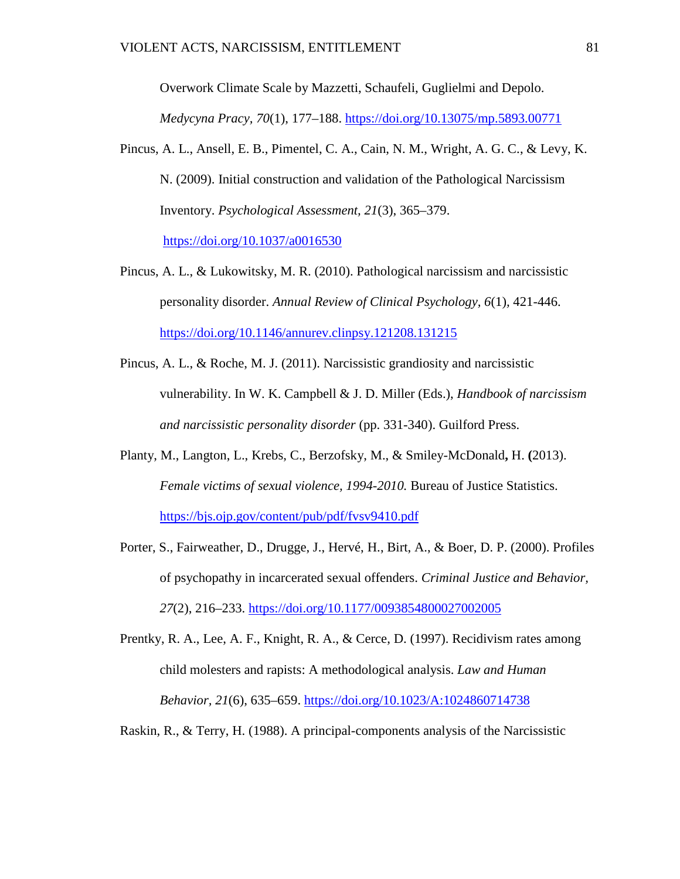Overwork Climate Scale by Mazzetti, Schaufeli, Guglielmi and Depolo. *Medycyna Pracy, 70*(1), 177–188.<https://doi.org/10.13075/mp.5893.00771>

- Pincus, A. L., Ansell, E. B., Pimentel, C. A., Cain, N. M., Wright, A. G. C., & Levy, K. N. (2009). Initial construction and validation of the Pathological Narcissism Inventory. *Psychological Assessment, 21*(3), 365–379. [https://doi.org/10.1037/a0016530](https://psycnet.apa.org/doi/10.1037/a0016530)
- Pincus, A. L., & Lukowitsky, M. R. (2010). Pathological narcissism and narcissistic personality disorder. *Annual Review of Clinical Psychology, 6*(1)*,* 421-446. <https://doi.org/10.1146/annurev.clinpsy.121208.131215>
- Pincus, A. L., & Roche, M. J. (2011). Narcissistic grandiosity and narcissistic vulnerability. In W. K. Campbell & J. D. Miller (Eds.), *Handbook of narcissism and narcissistic personality disorder* (pp. 331-340). Guilford Press.
- Planty, M., Langton, L., Krebs, C., Berzofsky, M., & Smiley-McDonald**,** H. **(**2013). *Female victims of sexual violence, 1994-2010.* Bureau of Justice Statistics. <https://bjs.ojp.gov/content/pub/pdf/fvsv9410.pdf>
- Porter, S., Fairweather, D., Drugge, J., Hervé, H., Birt, A., & Boer, D. P. (2000). Profiles of psychopathy in incarcerated sexual offenders. *Criminal Justice and Behavior, 27*(2), 216–233. [https://doi.org/10.1177/0093854800027002005](https://psycnet.apa.org/doi/10.1177/0093854800027002005)
- Prentky, R. A., Lee, A. F., Knight, R. A., & Cerce, D. (1997). Recidivism rates among child molesters and rapists: A methodological analysis. *Law and Human Behavior, 21*(6), 635–659.<https://doi.org/10.1023/A:1024860714738>

Raskin, R., & Terry, H. (1988). A principal-components analysis of the Narcissistic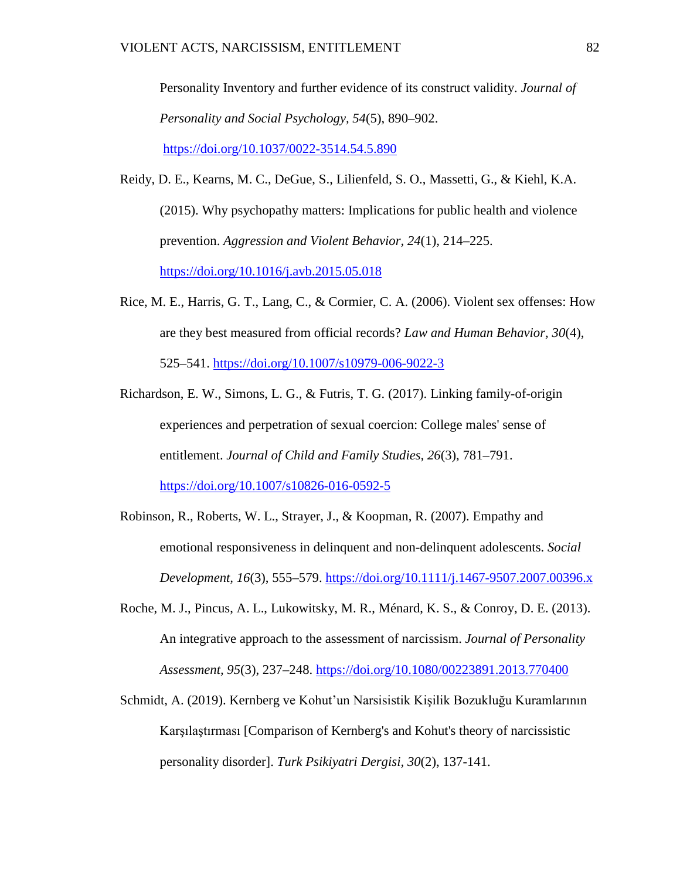Personality Inventory and further evidence of its construct validity. *Journal of Personality and Social Psychology, 54*(5), 890–902. [https://doi.org/10.1037/0022-3514.54.5.890](https://psycnet.apa.org/doi/10.1037/0022-3514.54.5.890)

Reidy, D. E., Kearns, M. C., DeGue, S., Lilienfeld, S. O., Massetti, G., & Kiehl, K.A. (2015). Why psychopathy matters: Implications for public health and violence prevention. *Aggression and Violent Behavior, 24*(1)*,* 214–225. <https://doi.org/10.1016/j.avb.2015.05.018>

- Rice, M. E., Harris, G. T., Lang, C., & Cormier, C. A. (2006). Violent sex offenses: How are they best measured from official records? *Law and Human Behavior, 30*(4), 525–541. [https://doi.org/10.1007/s10979-006-9022-3](https://doi.apa.org/doi/10.1007/s10979-006-9022-3)
- Richardson, E. W., Simons, L. G., & Futris, T. G. (2017). Linking family-of-origin experiences and perpetration of sexual coercion: College males' sense of entitlement. *Journal of Child and Family Studies, 26*(3), 781–791. <https://doi.org/10.1007/s10826-016-0592-5>
- Robinson, R., Roberts, W. L., Strayer, J., & Koopman, R. (2007). Empathy and emotional responsiveness in delinquent and non-delinquent adolescents. *Social Development, 16*(3), 555–579. [https://doi.org/10.1111/j.1467-9507.2007.00396.x](https://psycnet.apa.org/doi/10.1111/j.1467-9507.2007.00396.x)
- Roche, M. J., Pincus, A. L., Lukowitsky, M. R., Ménard, K. S., & Conroy, D. E. (2013). An integrative approach to the assessment of narcissism. *Journal of Personality Assessment, 95*(3), 237–248.<https://doi.org/10.1080/00223891.2013.770400>
- Schmidt, A. (2019). Kernberg ve Kohut'un Narsisistik Kişilik Bozukluğu Kuramlarının Karşılaştırması [Comparison of Kernberg's and Kohut's theory of narcissistic personality disorder]. *Turk Psikiyatri Dergisi, 30*(2), 137-141.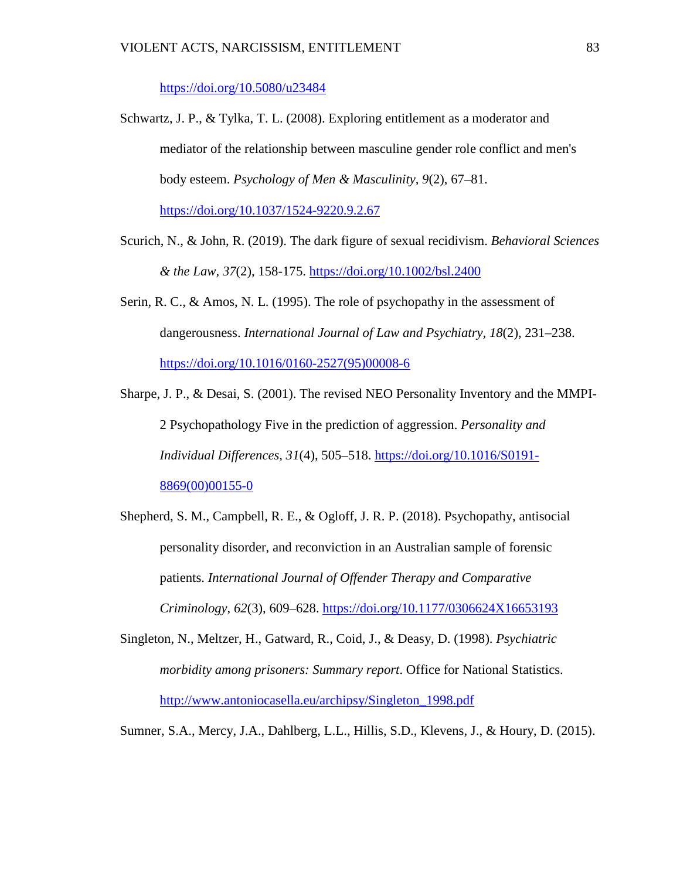<https://doi.org/10.5080/u23484>

- Schwartz, J. P., & Tylka, T. L. (2008). Exploring entitlement as a moderator and mediator of the relationship between masculine gender role conflict and men's body esteem. *Psychology of Men & Masculinity, 9*(2), 67–81. <https://doi.org/10.1037/1524-9220.9.2.67>
- Scurich, N., & John, R. (2019). The dark figure of sexual recidivism. *Behavioral Sciences & the Law, 37*(2), 158-175.<https://doi.org/10.1002/bsl.2400>
- Serin, R. C., & Amos, N. L. (1995). The role of psychopathy in the assessment of dangerousness. *International Journal of Law and Psychiatry, 18*(2), 231–238. [https://doi.org/10.1016/0160-2527\(95\)00008-6](https://doi.org/10.1016/0160-2527(95)00008-6)
- Sharpe, J. P., & Desai, S. (2001). The revised NEO Personality Inventory and the MMPI-2 Psychopathology Five in the prediction of aggression. *Personality and Individual Differences, 31*(4), 505–518. [https://doi.org/10.1016/S0191-](https://doi.org/10.1016/S0191-8869(00)00155-0) [8869\(00\)00155-0](https://doi.org/10.1016/S0191-8869(00)00155-0)
- Shepherd, S. M., Campbell, R. E., & Ogloff, J. R. P. (2018). Psychopathy, antisocial personality disorder, and reconviction in an Australian sample of forensic patients. *International Journal of Offender Therapy and Comparative Criminology, 62*(3), 609–628. [https://doi.org/10.1177/0306624X16653193](https://psycnet.apa.org/doi/10.1177/0306624X16653193)
- Singleton, N., Meltzer, H., Gatward, R., Coid, J., & Deasy, D. (1998). *Psychiatric morbidity among prisoners: Summary report*. Office for National Statistics. [http://www.antoniocasella.eu/archipsy/Singleton\\_1998.pdf](http://www.antoniocasella.eu/archipsy/Singleton_1998.pdf)

Sumner, S.A., Mercy, J.A., Dahlberg, L.L., Hillis, S.D., Klevens, J., & Houry, D. (2015).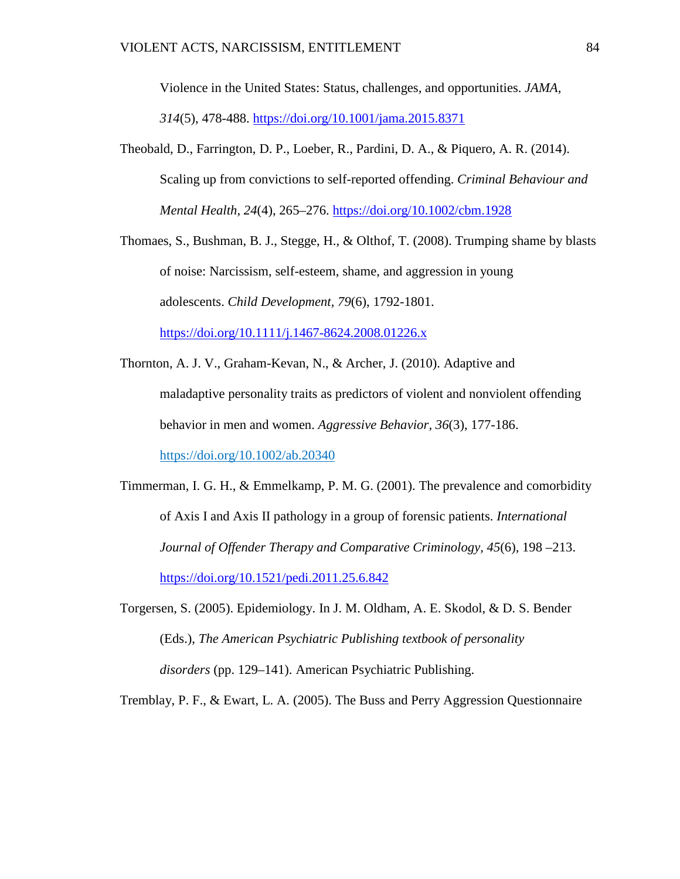Violence in the United States: Status, challenges, and opportunities. *JAMA, 314*(5), 478-488.<https://doi.org/10.1001/jama.2015.8371>

Theobald, D., Farrington, D. P., Loeber, R., Pardini, D. A., & Piquero, A. R. (2014). Scaling up from convictions to self-reported offending. *Criminal Behaviour and Mental Health, 24*(4), 265–276.<https://doi.org/10.1002/cbm.1928>

Thomaes, S., Bushman, B. J., Stegge, H., & Olthof, T. (2008). Trumping shame by blasts of noise: Narcissism, self-esteem, shame, and aggression in young adolescents. *Child Development, 79*(6), 1792-1801. <https://doi.org/10.1111/j.1467-8624.2008.01226.x>

- Thornton, A. J. V., Graham-Kevan, N., & Archer, J. (2010). Adaptive and maladaptive personality traits as predictors of violent and nonviolent offending behavior in men and women. *Aggressive Behavior, 36*(3), 177-186. <https://doi.org/10.1002/ab.20340>
- Timmerman, I. G. H., & Emmelkamp, P. M. G. (2001). The prevalence and comorbidity of Axis I and Axis II pathology in a group of forensic patients. *International Journal of Offender Therapy and Comparative Criminology, 45*(6)*,* 198 –213. <https://doi.org/10.1521/pedi.2011.25.6.842>
- Torgersen, S. (2005). Epidemiology. In J. M. Oldham, A. E. Skodol, & D. S. Bender (Eds.), *The American Psychiatric Publishing textbook of personality disorders* (pp. 129–141). American Psychiatric Publishing.

Tremblay, P. F., & Ewart, L. A. (2005). The Buss and Perry Aggression Questionnaire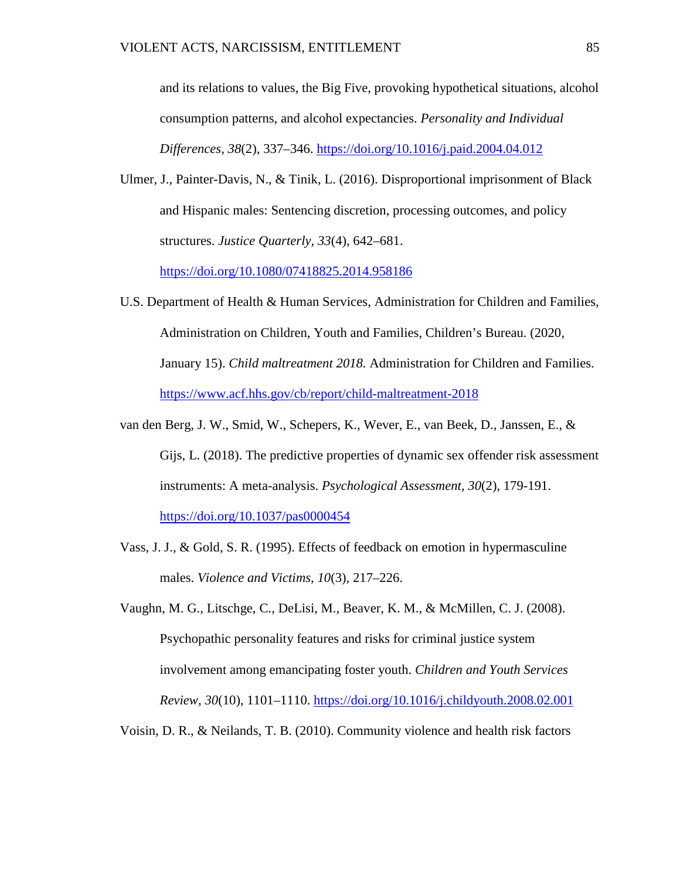and its relations to values, the Big Five, provoking hypothetical situations, alcohol consumption patterns, and alcohol expectancies. *Personality and Individual Differences, 38*(2), 337–346. [https://doi.org/10.1016/j.paid.2004.04.012](https://psycnet.apa.org/doi/10.1016/j.paid.2004.04.012)

Ulmer, J., Painter-Davis, N., & Tinik, L. (2016). Disproportional imprisonment of Black and Hispanic males: Sentencing discretion, processing outcomes, and policy structures. *Justice Quarterly, 33*(4), 642–681.

<https://doi.org/10.1080/07418825.2014.958186>

- U.S. Department of Health & Human Services, Administration for Children and Families, Administration on Children, Youth and Families, Children's Bureau. (2020, January 15). *Child maltreatment 2018.* Administration for Children and Families. <https://www.acf.hhs.gov/cb/report/child-maltreatment-2018>
- van den Berg, J. W., Smid, W., Schepers, K., Wever, E., van Beek, D., Janssen, E., & Gijs, L. (2018). The predictive properties of dynamic sex offender risk assessment instruments: A meta-analysis. *Psychological Assessment, 30*(2), 179-191. <https://doi.org/10.1037/pas0000454>
- Vass, J. J., & Gold, S. R. (1995). Effects of feedback on emotion in hypermasculine males. *Violence and Victims, 10*(3), 217–226.
- Vaughn, M. G., Litschge, C., DeLisi, M., Beaver, K. M., & McMillen, C. J. (2008). Psychopathic personality features and risks for criminal justice system involvement among emancipating foster youth. *Children and Youth Services Review, 30*(10), 1101–1110. [https://doi.org/10.1016/j.childyouth.2008.02.001](https://psycnet.apa.org/doi/10.1016/j.childyouth.2008.02.001)

Voisin, D. R., & Neilands, T. B. (2010). Community violence and health risk factors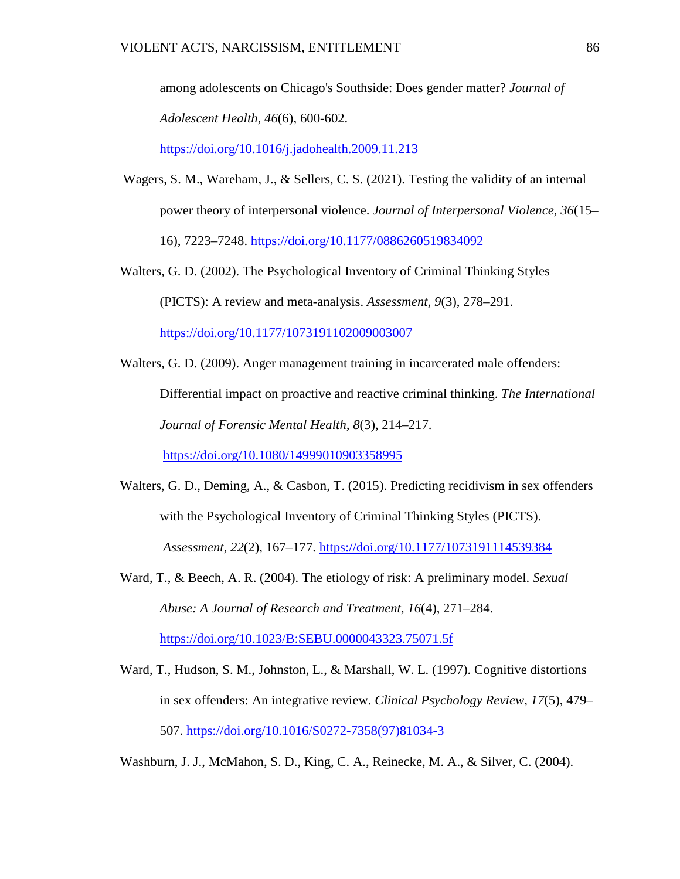among adolescents on Chicago's Southside: Does gender matter? *Journal of Adolescent Health, 46*(6), 600-602.

<https://doi.org/10.1016/j.jadohealth.2009.11.213>

- Wagers, S. M., Wareham, J., & Sellers, C. S. (2021). Testing the validity of an internal power theory of interpersonal violence. *Journal of Interpersonal Violence, 36*(15– 16), 7223–7248.<https://doi.org/10.1177/0886260519834092>
- Walters, G. D. (2002). The Psychological Inventory of Criminal Thinking Styles (PICTS): A review and meta-analysis. *Assessment, 9*(3), 278–291.

<https://doi.org/10.1177/1073191102009003007>

Walters, G. D. (2009). Anger management training in incarcerated male offenders: Differential impact on proactive and reactive criminal thinking. *The International Journal of Forensic Mental Health, 8*(3), 214–217.

[https://doi.org/10.1080/14999010903358995](https://psycnet.apa.org/doi/10.1080/14999010903358995)

- Walters, G. D., Deming, A., & Casbon, T. (2015). Predicting recidivism in sex offenders with the Psychological Inventory of Criminal Thinking Styles (PICTS). *Assessment*, *22*(2), 167–177. <https://doi.org/10.1177/1073191114539384>
- Ward, T., & Beech, A. R. (2004). The etiology of risk: A preliminary model. *Sexual Abuse: A Journal of Research and Treatment, 16*(4), 271–284. <https://doi.org/10.1023/B:SEBU.0000043323.75071.5f>
- Ward, T., Hudson, S. M., Johnston, L., & Marshall, W. L. (1997). Cognitive distortions in sex offenders: An integrative review. *Clinical Psychology Review*, *17*(5), 479– 507. [https://doi.org/10.1016/S0272-7358\(97\)81034-3](https://doi.org/10.1016/S0272-7358(97)81034-3)

Washburn, J. J., McMahon, S. D., King, C. A., Reinecke, M. A., & Silver, C. (2004).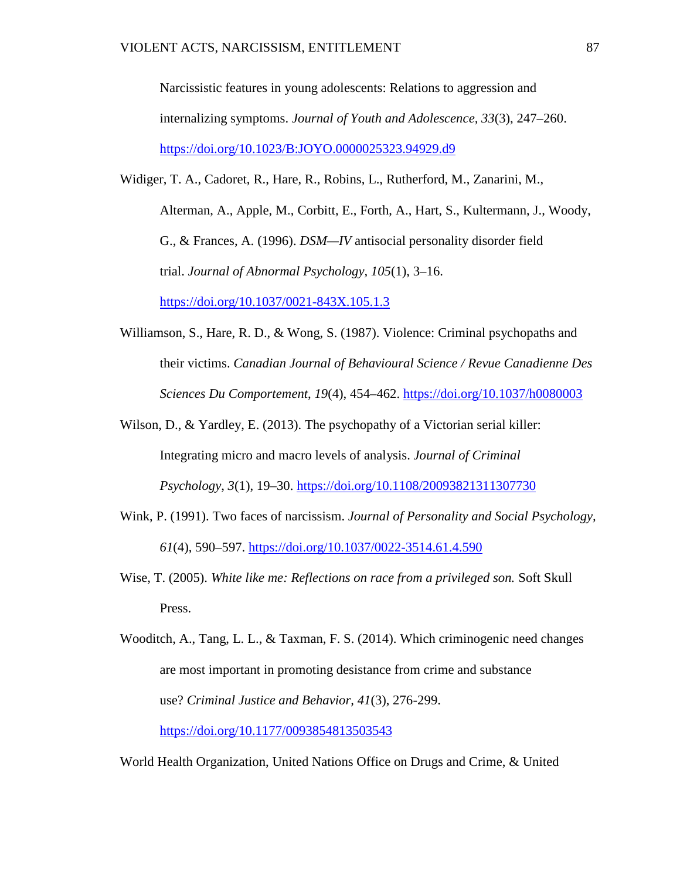Narcissistic features in young adolescents: Relations to aggression and internalizing symptoms. *Journal of Youth and Adolescence, 33*(3), 247–260. <https://doi.org/10.1023/B:JOYO.0000025323.94929.d9>

- Widiger, T. A., Cadoret, R., Hare, R., Robins, L., Rutherford, M., Zanarini, M., Alterman, A., Apple, M., Corbitt, E., Forth, A., Hart, S., Kultermann, J., Woody, G., & Frances, A. (1996). *DSM—IV* antisocial personality disorder field trial. *Journal of Abnormal Psychology, 105*(1), 3–16. <https://doi.org/10.1037/0021-843X.105.1.3>
- Williamson, S., Hare, R. D., & Wong, S. (1987). Violence: Criminal psychopaths and their victims. *Canadian Journal of Behavioural Science / Revue Canadienne Des Sciences Du Comportement*, *19*(4), 454–462.<https://doi.org/10.1037/h0080003>
- Wilson, D., & Yardley, E. (2013). The psychopathy of a Victorian serial killer: Integrating micro and macro levels of analysis. *Journal of Criminal Psychology*, *3*(1), 19–30.<https://doi.org/10.1108/20093821311307730>
- Wink, P. (1991). Two faces of narcissism. *Journal of Personality and Social Psychology, 61*(4), 590–597. [https://doi.org/10.1037/0022-3514.61.4.590](https://psycnet.apa.org/doi/10.1037/0022-3514.61.4.590)
- Wise, T. (2005). *White like me: Reflections on race from a privileged son.* Soft Skull Press.

Wooditch, A., Tang, L. L., & Taxman, F. S. (2014). Which criminogenic need changes are most important in promoting desistance from crime and substance use? *Criminal Justice and Behavior, 41*(3), 276-299. [https://doi.org/10.1177/0093854813503543](https://doi.org/10.1177%2F0093854813503543)

World Health Organization, United Nations Office on Drugs and Crime, & United